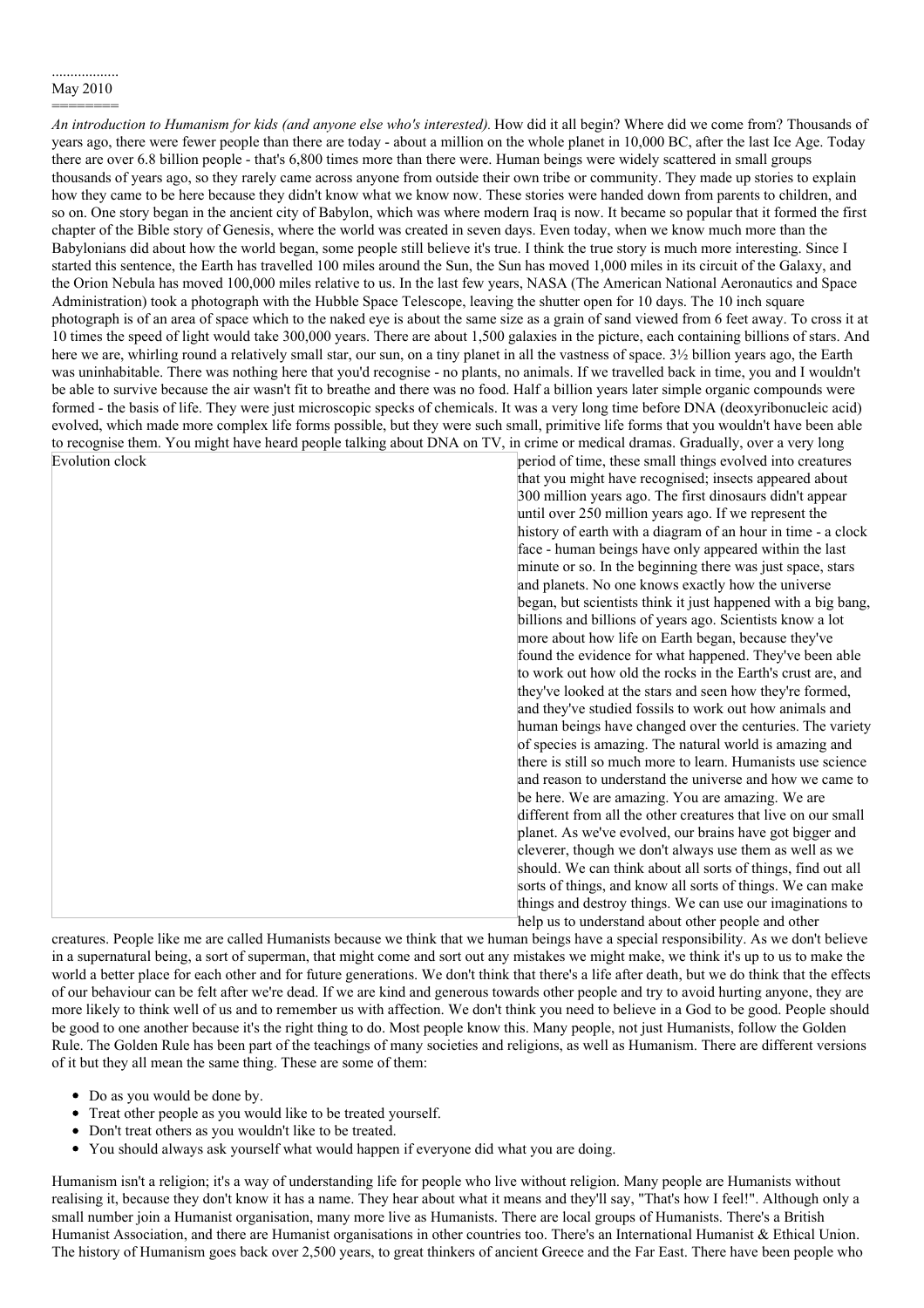#### .................. May 2010 ========

Evolution clock *An introduction to Humanism for kids (and anyone else who's interested).* How did it all begin? Where did we come from? Thousands of years ago, there were fewer people than there are today - about a million on the whole planet in 10,000 BC, after the last Ice Age. Today there are over 6.8 billion people - that's 6,800 times more than there were. Human beings were widely scattered in small groups thousands of years ago, so they rarely came across anyone from outside their own tribe or community. They made up stories to explain how they came to be here because they didn't know what we know now. These stories were handed down from parents to children, and so on. One story began in the ancient city of Babylon, which was where modern Iraq is now. It became so popular that it formed the first chapter of the Bible story of Genesis, where the world was created in seven days. Even today, when we know much more than the Babylonians did about how the world began, some people still believe it's true. I think the true story is much more interesting. Since I started this sentence, the Earth has travelled 100 miles around the Sun, the Sun has moved 1,000 miles in its circuit of the Galaxy, and the Orion Nebula has moved 100,000 miles relative to us. In the last few years, NASA (The American National Aeronautics and Space Administration) took a photograph with the Hubble Space Telescope, leaving the shutter open for 10 days. The 10 inch square photograph is of an area of space which to the naked eye is about the same size as a grain of sand viewed from 6 feet away. To cross it at 10 times the speed of light would take 300,000 years. There are about 1,500 galaxies in the picture, each containing billions of stars. And here we are, whirling round a relatively small star, our sun, on a tiny planet in all the vastness of space. 3½ billion years ago, the Earth was uninhabitable. There was nothing here that you'd recognise - no plants, no animals. If we travelled back in time, you and I wouldn't be able to survive because the air wasn't fit to breathe and there was no food. Half a billion years later simple organic compounds were formed - the basis of life. They were just microscopic specks of chemicals. It was a very long time before DNA (deoxyribonucleic acid) evolved, which made more complex life forms possible, but they were such small, primitive life forms that you wouldn't have been able to recognise them. You might have heard people talking about DNA on TV, in crime or medical dramas. Gradually, over a very long

period of time, these small things evolved into creatures that you might have recognised; insects appeared about 300 million years ago. The first dinosaurs didn't appear until over 250 million years ago. If we represent the history of earth with a diagram of an hour in time - a clock face - human beings have only appeared within the last minute or so. In the beginning there was just space, stars and planets. No one knows exactly how the universe began, but scientists think it just happened with a big bang, billions and billions of years ago. Scientists know a lot more about how life on Earth began, because they've found the evidence for what happened. They've been able to work out how old the rocks in the Earth's crust are, and they've looked at the stars and seen how they're formed, and they've studied fossils to work out how animals and human beings have changed over the centuries. The variety of species is amazing. The natural world is amazing and there is still so much more to learn. Humanists use science and reason to understand the universe and how we came to be here. We are amazing. You are amazing. We are different from all the other creatures that live on our small planet. As we've evolved, our brains have got bigger and cleverer, though we don't always use them as well as we should. We can think about all sorts of things, find out all sorts of things, and know all sorts of things. We can make things and destroy things. We can use our imaginations to help us to understand about other people and other

creatures. People like me are called Humanists because we think that we human beings have a special responsibility. As we don't believe in a supernatural being, a sort of superman, that might come and sort out any mistakes we might make, we think it's up to us to make the world a better place for each other and for future generations. We don't think that there's a life after death, but we do think that the effects of our behaviour can be felt after we're dead. If we are kind and generous towards other people and try to avoid hurting anyone, they are more likely to think well of us and to remember us with affection. We don't think you need to believe in a God to be good. People should be good to one another because it's the right thing to do. Most people know this. Many people, not just Humanists, follow the Golden Rule. The Golden Rule has been part of the teachings of many societies and religions, as well as Humanism. There are different versions of it but they all mean the same thing. These are some of them:

- Do as you would be done by.
- Treat other people as you would like to be treated yourself.
- Don't treat others as you wouldn't like to be treated.
- You should always ask yourself what would happen if everyone did what you are doing.

Humanism isn't a religion; it's a way of understanding life for people who live without religion. Many people are Humanists without realising it, because they don't know it has a name. They hear about what it means and they'll say, "That's how I feel!". Although only a small number join a Humanist organisation, many more live as Humanists. There are local groups of Humanists. There's a British Humanist Association, and there are Humanist organisations in other countries too. There's an International Humanist & Ethical Union. The history of Humanism goes back over 2,500 years, to great thinkers of ancient Greece and the Far East. There have been people who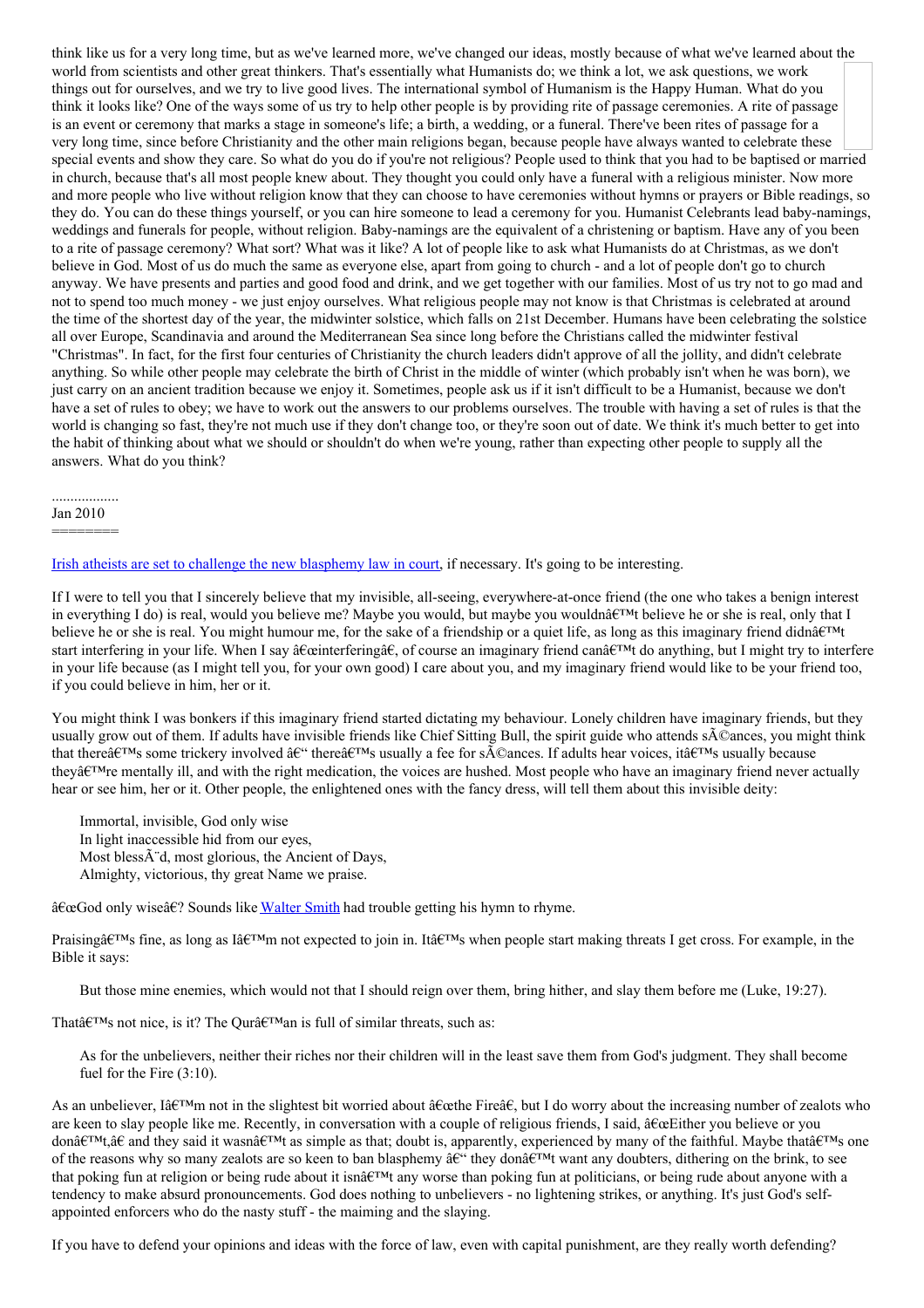think like us for a very long time, but as we've learned more, we've changed our ideas, mostly because of what we've learned about the world from scientists and other great thinkers. That's essentially what Humanists do; we think a lot, we ask questions, we work things out for ourselves, and we try to live good lives. The international symbol of Humanism is the Happy Human. What do you think it looks like? One of the ways some of us try to help other people is by providing rite of passage ceremonies. A rite of passage is an event or ceremony that marks a stage in someone's life; a birth, a wedding, or a funeral. There've been rites of passage for a very long time, since before Christianity and the other main religions began, because people have always wanted to celebrate these special events and show they care. So what do you do if you're not religious? People used to think that you had to be baptised or married in church, because that's all most people knew about. They thought you could only have a funeral with a religious minister. Now more and more people who live without religion know that they can choose to have ceremonies without hymns or prayers or Bible readings, so they do. You can do these things yourself, or you can hire someone to lead a ceremony for you. Humanist Celebrants lead baby-namings, weddings and funerals for people, without religion. Baby-namings are the equivalent of a christening or baptism. Have any of you been to a rite of passage ceremony? What sort? What was it like? A lot of people like to ask what Humanists do at Christmas, as we don't believe in God. Most of us do much the same as everyone else, apart from going to church - and a lot of people don't go to church anyway. We have presents and parties and good food and drink, and we get together with our families. Most of us try not to go mad and not to spend too much money - we just enjoy ourselves. What religious people may not know is that Christmas is celebrated at around the time of the shortest day of the year, the midwinter solstice, which falls on 21st December. Humans have been celebrating the solstice all over Europe, Scandinavia and around the Mediterranean Sea since long before the Christians called the midwinter festival "Christmas". In fact, for the first four centuries of Christianity the church leaders didn't approve of all the jollity, and didn't celebrate anything. So while other people may celebrate the birth of Christ in the middle of winter (which probably isn't when he was born), we just carry on an ancient tradition because we enjoy it. Sometimes, people ask us if it isn't difficult to be a Humanist, because we don't have a set of rules to obey; we have to work out the answers to our problems ourselves. The trouble with having a set of rules is that the world is changing so fast, they're not much use if they don't change too, or they're soon out of date. We think it's much better to get into the habit of thinking about what we should or shouldn't do when we're young, rather than expecting other people to supply all the answers. What do you think?

#### .................. Jan 2010

========

Irish atheists are set to challenge the new [blasphemy](http://www.guardian.co.uk/world/2010/jan/01/irish-atheists-challenge-blasphemy-law) law in court, if necessary. It's going to be interesting.

If I were to tell you that I sincerely believe that my invisible, all-seeing, everywhere-at-once friend (the one who takes a benign interest in everything I do) is real, would you believe me? Maybe you would, but maybe you wouldnâ $\epsilon^{TM}$ t believe he or she is real, only that I believe he or she is real. You might humour me, for the sake of a friendship or a quiet life, as long as this imaginary friend didn $\hat{\mathbf{a}} \in \mathbb{R}^{M}$ t start interfering in your life. When I say "interferingâ€, of course an imaginary friend can't do anything, but I might try to interfere in your life because (as I might tell you, for your own good) I care about you, and my imaginary friend would like to be your friend too, if you could believe in him, her or it.

You might think I was bonkers if this imaginary friend started dictating my behaviour. Lonely children have imaginary friends, but they usually grow out of them. If adults have invisible friends like Chief Sitting Bull, the spirit guide who attends  $\tilde{A}$ Cances, you might think that there $\hat{\mathbf{a}} \in \mathbb{R}^m$ s some trickery involved  $\hat{\mathbf{a}} \in \hat{\mathbf{a}} \in \mathbb{R}^m$ s usually a fee for s $\tilde{\mathbf{A}}$ Cances. If adults hear voices, it $\hat{\mathbf{a}} \in \mathbb{R}^m$ s usually because they $\hat{\mathbf{r}}$  mentally ill, and with the right medication, the voices are hushed. Most people who have an imaginary friend never actually hear or see him, her or it. Other people, the enlightened ones with the fancy dress, will tell them about this invisible deity:

Immortal, invisible, God only wise In light inaccessible hid from our eyes, Most bless $\tilde{A}$ "d, most glorious, the Ancient of Days, Almighty, victorious, thy great Name we praise.

 $\hat{\alpha} \in \text{God}$  only wise $\hat{\alpha} \in \text{Sounds}$  Sounds like [Walter](http://en.wikipedia.org/wiki/Immortal,_Invisible,_God_Only_Wise) Smith had trouble getting his hymn to rhyme.

Praising $\hat{\mathfrak{a}} \in \mathbb{C}^{TM}$  fine, as long as I $\hat{\mathfrak{a}} \in \mathbb{C}^{TM}$  mot expected to join in. It  $\hat{\mathfrak{a}} \in \mathbb{C}^{TM}$  when people start making threats I get cross. For example, in the Bible it says:

But those mine enemies, which would not that I should reign over them, bring hither, and slay them before me (Luke, 19:27).

That $\hat{\mathbf{a}} \in \mathbb{R}^m$ s not nice, is it? The Qur $\hat{\mathbf{a}} \in \mathbb{R}^m$ an is full of similar threats, such as:

As for the unbelievers, neither their riches nor their children will in the least save them from God's judgment. They shall become fuel for the Fire (3:10).

As an unbeliever, I $\hat{a}\in\{TM\}$ m not in the slightest bit worried about  $\hat{a}\in\hat{c}$  but I do worry about the increasing number of zealots who are keen to slay people like me. Recently, in conversation with a couple of religious friends, I said,  $\frac{\partial \mathbf{F}}{\partial \mathbf{F}}$  and  $\frac{\partial \mathbf{F}}{\partial \mathbf{F}}$  and  $\frac{\partial \mathbf{F}}{\partial \mathbf{F}}$  and  $\frac{\partial \mathbf{F}}{\partial \mathbf{F}}$  and  $\frac{\partial \mathbf{F}}{\partial \mathbf{F}}$ don $\hat{\mathbf{a}} \in \mathbb{M}$ t, $\hat{\mathbf{a}} \in \mathbb{M}$ t as simple as that; doubt is, apparently, experienced by many of the faithful. Maybe that $\hat{\mathbf{a}} \in \mathbb{M}$ s one of the reasons why so many zealots are so keen to ban blasphemy  $\hat{a} \in \hat{f}^*$  they don $\hat{a} \in \hat{f}^*$  want any doubters, dithering on the brink, to see that poking fun at religion or being rude about it isn $\hat{H}^{\text{TM}}$  any worse than poking fun at politicians, or being rude about anyone with a tendency to make absurd pronouncements. God does nothing to unbelievers - no lightening strikes, or anything. It's just God's selfappointed enforcers who do the nasty stuff - the maiming and the slaying.

If you have to defend your opinions and ideas with the force of law, even with capital punishment, are they really worth defending?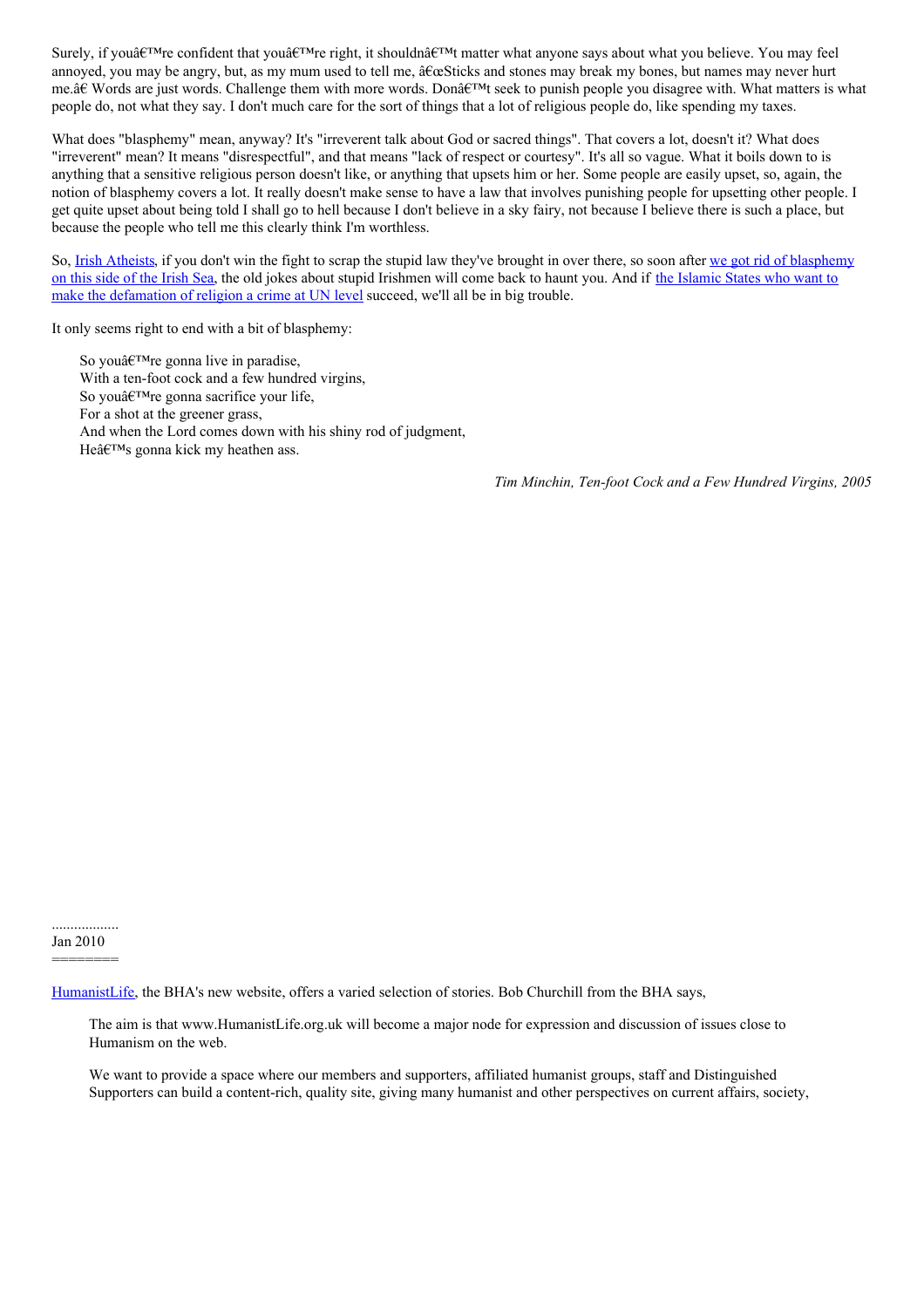Surely, if you $\hat{a} \in T^M$ re confident that you $\hat{a} \in T^M$ re right, it shouldn $\hat{a} \in T^M$ t matter what anyone says about what you believe. You may feel annoyed, you may be angry, but, as my mum used to tell me,  $\hat{a}\in\vec{c}$  as and stones may break my bones, but names may never hurt me.†Words are just words. Challenge them with more words. Don't seek to punish people you disagree with. What matters is what people do, not what they say. I don't much care for the sort of things that a lot of religious people do, like spending my taxes.

What does "blasphemy" mean, anyway? It's "irreverent talk about God or sacred things". That covers a lot, doesn't it? What does "irreverent" mean? It means "disrespectful", and that means "lack of respect or courtesy". It's all so vague. What it boils down to is anything that a sensitive religious person doesn't like, or anything that upsets him or her. Some people are easily upset, so, again, the notion of blasphemy covers a lot. It really doesn't make sense to have a law that involves punishing people for upsetting other people. I get quite upset about being told I shall go to hell because I don't believe in a sky fairy, not because I believe there is such a place, but because the people who tell me this clearly think I'm worthless.

So, Irish [Atheists](http://blasphemy.ie/2010/01/01/atheist-ireland-publishes-25-blasphemous-quotes/), if you don't win the fight to scrap the stupid law they've brought in over there, so soon after we got rid of [blasphemy](http://www.secularism.org.uk/lordsapproveabolitionofblasphemy1.html) on this side of the Irish Sea, the old jokes about stupid Irishmen will come back to haunt you. And if the Islamic States who want to make the [defamation](http://www.iheu.org/united-nations-will-violate-human-rights-says-new-report-religious-freedoms) of religion a crime at UN level succeed, we'll all be in big trouble.

It only seems right to end with a bit of blasphemy:

So you $\hat{a} \in T^M$ re gonna live in paradise, With a ten-foot cock and a few hundred virgins, So you're gonna sacrifice your life, For a shot at the greener grass, And when the Lord comes down with his shiny rod of judgment, He $\hat{a} \in T^{M}$ s gonna kick my heathen ass.

*Tim Minchin, Ten-foot Cock and a Few Hundred Virgins, 2005*

.................. Jan 2010 ========

[HumanistLife](http://www.humanistlife.org.uk/), the BHA's new website, offers a varied selection of stories. Bob Churchill from the BHA says,

The aim is that www.HumanistLife.org.uk will become a major node for expression and discussion of issues close to Humanism on the web.

We want to provide a space where our members and supporters, affiliated humanist groups, staff and Distinguished Supporters can build a content-rich, quality site, giving many humanist and other perspectives on current affairs, society,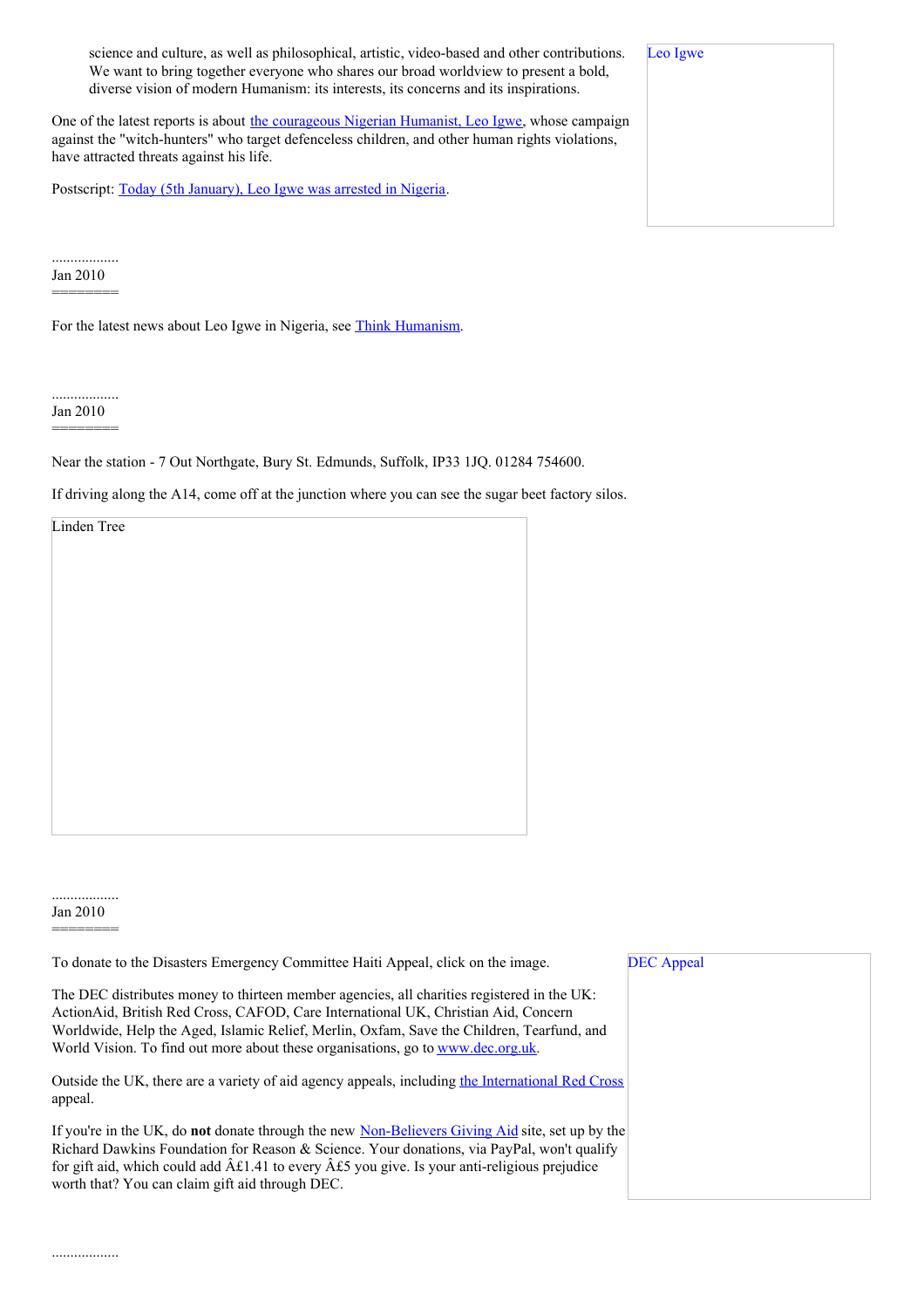science and culture, as well as philosophical, artistic, video-based and other contributions. We want to bring together everyone who shares our broad worldview to present a bold, diverse vision of modern Humanism: its interests, its concerns and its inspirations.

One of [the](http://www.humanistlife.org.uk/2010/01/the-tireless-courageous-humanism-of-leo-igwe/) latest reports is about the [courageous](http://www.humanistlife.org.uk/2010/01/the-tireless-courageous-humanism-of-leo-igwe/) Nigerian Humanist, Leo Igwe, whose campaign against the "witch-hunters" who target defenceless children, and other human rights violations, have attracted threats against his life.

Postscript: Today (5th [January\),](http://www.humanistlife.org.uk/2010/01/leo-igwe-arrested-in-nigeria/) Leo Igwe was arrested in Nigeria.

.................. Jan 2010 ========

For the latest news about Leo Igwe in Nigeria, see Think [Humanism](http://www.thinkhumanism.com/phpBB3/viewtopic.php?f=8&t=3894).

.................. Jan 2010

========

Near the station - 7 Out Northgate, Bury St. Edmunds, Suffolk, IP33 1JQ. 01284 754600.

If driving along the A14, come off at the junction where you can see the sugar beet factory silos.

Linden Tree

.................. Jan 2010 ========

..................

| To donate to the Disasters Emergency Committee Haiti Appeal, click on the image.                                                                                                                                                                                                                                                                                          | <b>DEC</b> Appeal |
|---------------------------------------------------------------------------------------------------------------------------------------------------------------------------------------------------------------------------------------------------------------------------------------------------------------------------------------------------------------------------|-------------------|
| The DEC distributes money to thirteen member agencies, all charities registered in the UK:<br>ActionAid, British Red Cross, CAFOD, Care International UK, Christian Aid, Concern<br>Worldwide, Help the Aged, Islamic Relief, Merlin, Oxfam, Save the Children, Tearfund, and<br>World Vision. To find out more about these organisations, go to www.dec.org.uk.          |                   |
| Outside the UK, there are a variety of aid agency appeals, including the International Red Cross<br>appeal.                                                                                                                                                                                                                                                               |                   |
| If you're in the UK, do not donate through the new <u>Non-Believers Giving Aid</u> site, set up by the<br>Richard Dawkins Foundation for Reason & Science. Your donations, via PayPal, won't qualify<br>for gift aid, which could add $\hat{A}$ £1.41 to every $\hat{A}$ £5 you give. Is your anti-religious prejudice<br>worth that? You can claim gift aid through DEC. |                   |

Leo Igwe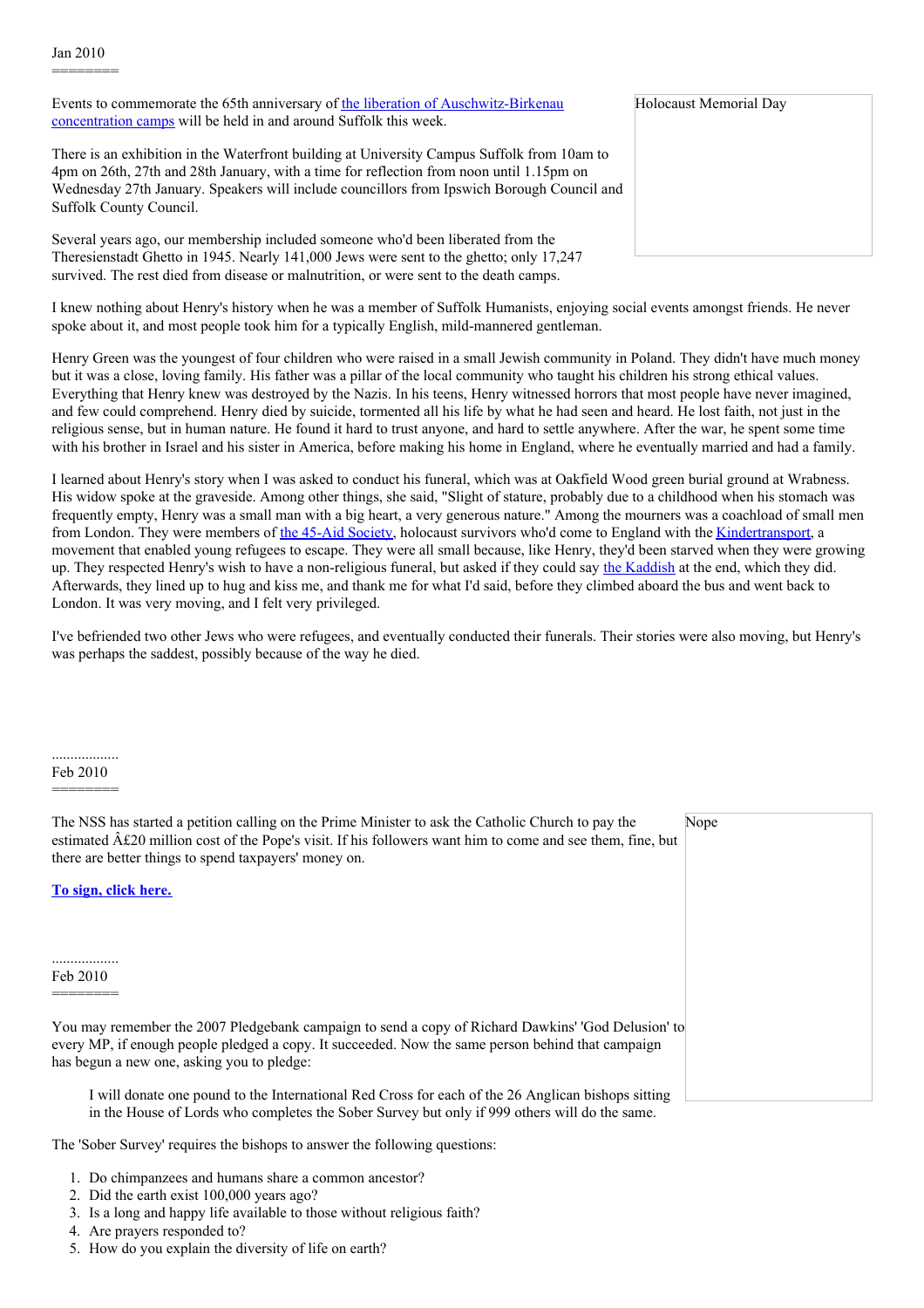Jan 2010 ========

Events to commemorate the 65th anniversary of the liberation of [Auschwitz-Birkenau](http://remember.org/auschwitz/) concentration camps will be held in and around Suffolk this week.

There is an exhibition in the Waterfront building at University Campus Suffolk from 10am to 4pm on 26th, 27th and 28th January, with a time for reflection from noon until 1.15pm on Wednesday 27th January. Speakers will include councillors from Ipswich Borough Council and Suffolk County Council.

Several years ago, our membership included someone who'd been liberated from the Theresienstadt Ghetto in 1945. Nearly 141,000 Jews were sent to the ghetto; only 17,247 survived. The rest died from disease or malnutrition, or were sent to the death camps.

I knew nothing about Henry's history when he was a member of Suffolk Humanists, enjoying social events amongst friends. He never spoke about it, and most people took him for a typically English, mild-mannered gentleman.

Henry Green was the youngest of four children who were raised in a small Jewish community in Poland. They didn't have much money but it was a close, loving family. His father was a pillar of the local community who taught his children his strong ethical values. Everything that Henry knew was destroyed by the Nazis. In his teens, Henry witnessed horrors that most people have never imagined, and few could comprehend. Henry died by suicide, tormented all his life by what he had seen and heard. He lost faith, not just in the religious sense, but in human nature. He found it hard to trust anyone, and hard to settle anywhere. After the war, he spent some time with his brother in Israel and his sister in America, before making his home in England, where he eventually married and had a family.

I learned about Henry's story when I was asked to conduct his funeral, which was at Oakfield Wood green burial ground at Wrabness. His widow spoke at the graveside. Among other things, she said, "Slight of stature, probably due to a childhood when his stomach was frequently empty, Henry was a small man with a big heart, a very generous nature." Among the mourners was a coachload of small men from London. They were members of the 45-Aid [Society](http://45aidsociety.co.uk/index.htm), holocaust survivors who'd come to England with the [Kindertransport](http://www.kindertransport.org/), a movement that enabled young refugees to escape. They were all small because, like Henry, they'd been starved when they were growing up. They respected Henry's wish to have a non-religious funeral, but asked if they could say the [Kaddish](http://en.wikipedia.org/wiki/Kaddish) at the end, which they did. Afterwards, they lined up to hug and kiss me, and thank me for what I'd said, before they climbed aboard the bus and went back to London. It was very moving, and I felt very privileged.

I've befriended two other Jews who were refugees, and eventually conducted their funerals. Their stories were also moving, but Henry's was perhaps the saddest, possibly because of the way he died.

Feb 2010

========

The NSS has started a petition calling on the Prime Minister to ask the Catholic Church to pay the estimated  $\hat{A}E20$  million cost of the Pope's visit. If his followers want him to come and see them, fine, but there are better things to spend taxpayers' money on.

**To sign, click [here.](http://www.secularism.org.uk/petition-the-pm.html)**

.................. Feb 2010

========

You may remember the 2007 Pledgebank campaign to send a copy of Richard Dawkins' 'God Delusion' to every MP, if enough people pledged a copy. It succeeded. Now the same person behind that campaign has begun a new one, asking you to pledge:

I will donate one pound to the International Red Cross for each of the 26 Anglican bishops sitting in the House of Lords who completes the Sober Survey but only if 999 others will do the same.

The 'Sober Survey' requires the bishops to answer the following questions:

- 1. Do chimpanzees and humans share a common ancestor?
- 2. Did the earth exist 100,000 years ago?
- 3. Is a long and happy life available to those without religious faith?
- 4. Are prayers responded to?
- 5. How do you explain the diversity of life on earth?



| Holocaust Memorial Day |  |  |  |
|------------------------|--|--|--|
|                        |  |  |  |
|                        |  |  |  |
|                        |  |  |  |
|                        |  |  |  |
|                        |  |  |  |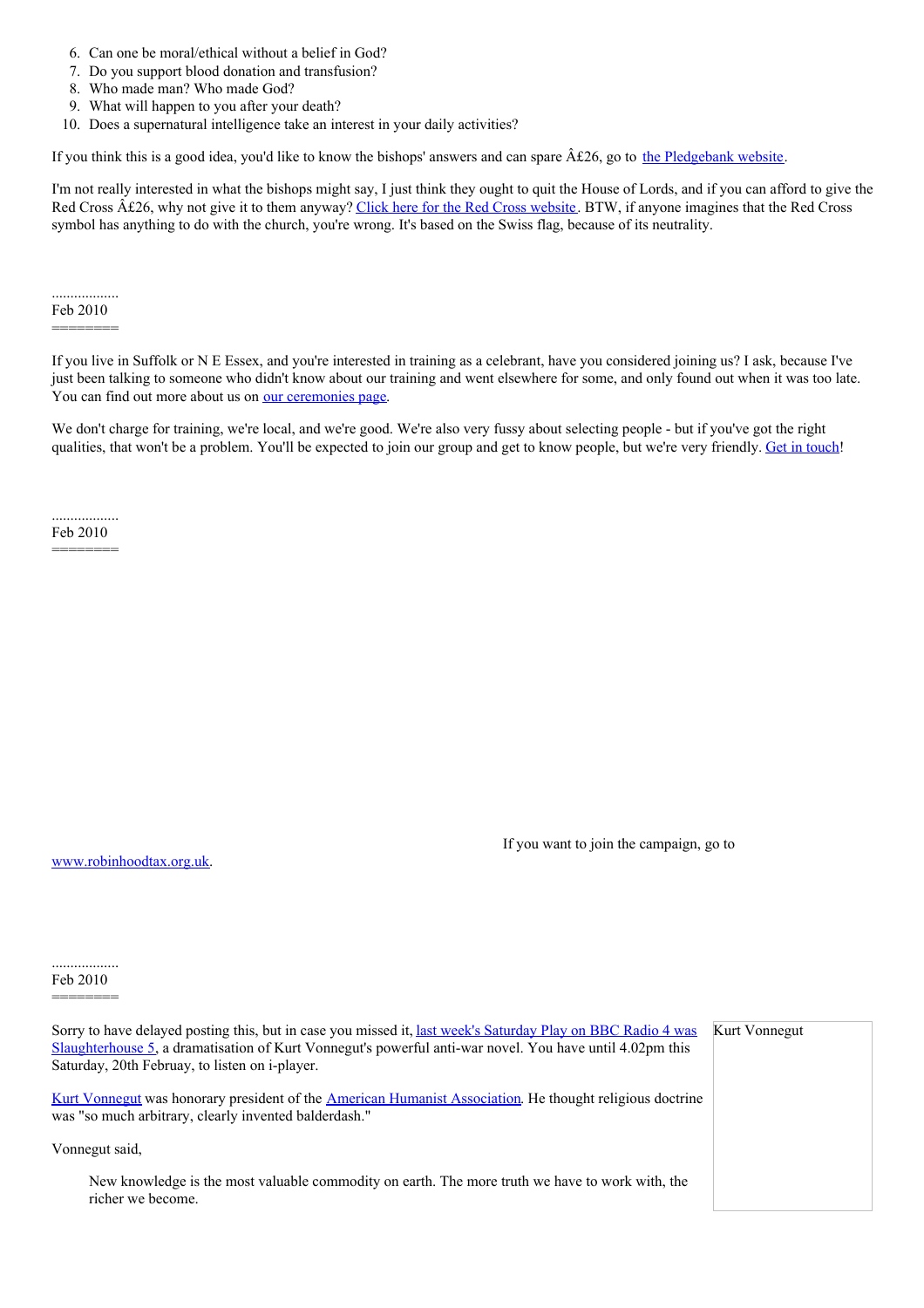- 6. Can one be moral/ethical without a belief in God?
- 7. Do you support blood donation and transfusion?
- 8. Who made man? Who made God?
- 9. What will happen to you after your death?
- 10. Does a supernatural intelligence take an interest in your daily activities?

If you think this is a good idea, you'd like to know the bishops' answers and can spare  $\hat{A}t26$ , go to the [Pledgebank](http://www.pledgebank.com/LordInTheLords) website.

I'm not really interested in what the bishops might say, I just think they ought to quit the House of Lords, and if you can afford to give the Red Cross  $\hat{A}L26$ , why not give it to them anyway? Click here for the Red Cross [website](http://www.redcross.org.uk/index.asp?id=39992). BTW, if anyone imagines that the Red Cross symbol has anything to do with the church, you're wrong. It's based on the Swiss flag, because of its neutrality.

#### .................. Feb 2010

========

If you live in Suffolk or N E Essex, and you're interested in training as a celebrant, have you considered joining us? I ask, because I've just been talking to someone who didn't know about our training and went elsewhere for some, and only found out when it was too late. You can find out more about us on our [ceremonies](http://www.suffolkhands.org.uk/ceremonies/becomeacelebrant) page.

We don't charge for training, we're local, and we're good. We're also very fussy about selecting people - but if you've got the right qualities, that won't be a problem. You'll be expected to join our group and get to know people, but we're very friendly. Get in [touch](http://www.suffolkhands.org.uk/contact)!

.................. Feb 2010 ========

[www.robinhoodtax.org.uk](http://robinhoodtax.org.uk/).

If you want to join the campaign, go to

.................. Feb 2010

========

Sorry to have delayed posting this, but in case you missed it, last week's Saturday Play on BBC Radio 4 was [Slaughterhouse](http://www.bbc.co.uk/iplayer/episode/b00qny57/Saturday_Play_Slaughterhouse_5/) 5, a dramatisation of Kurt Vonnegut's powerful anti-war novel. You have until 4.02pm this Saturday, 20th Februay, to listen on i-player.

Kurt [Vonnegut](http://en.wikipedia.org/wiki/Kurt_Vonnegut) was honorary president of the American Humanist [Association](http://www.americanhumanist.org/). He thought religious doctrine was "so much arbitrary, clearly invented balderdash."

Vonnegut said,

New knowledge is the most valuable commodity on earth. The more truth we have to work with, the richer we become.

Kurt Vonnegut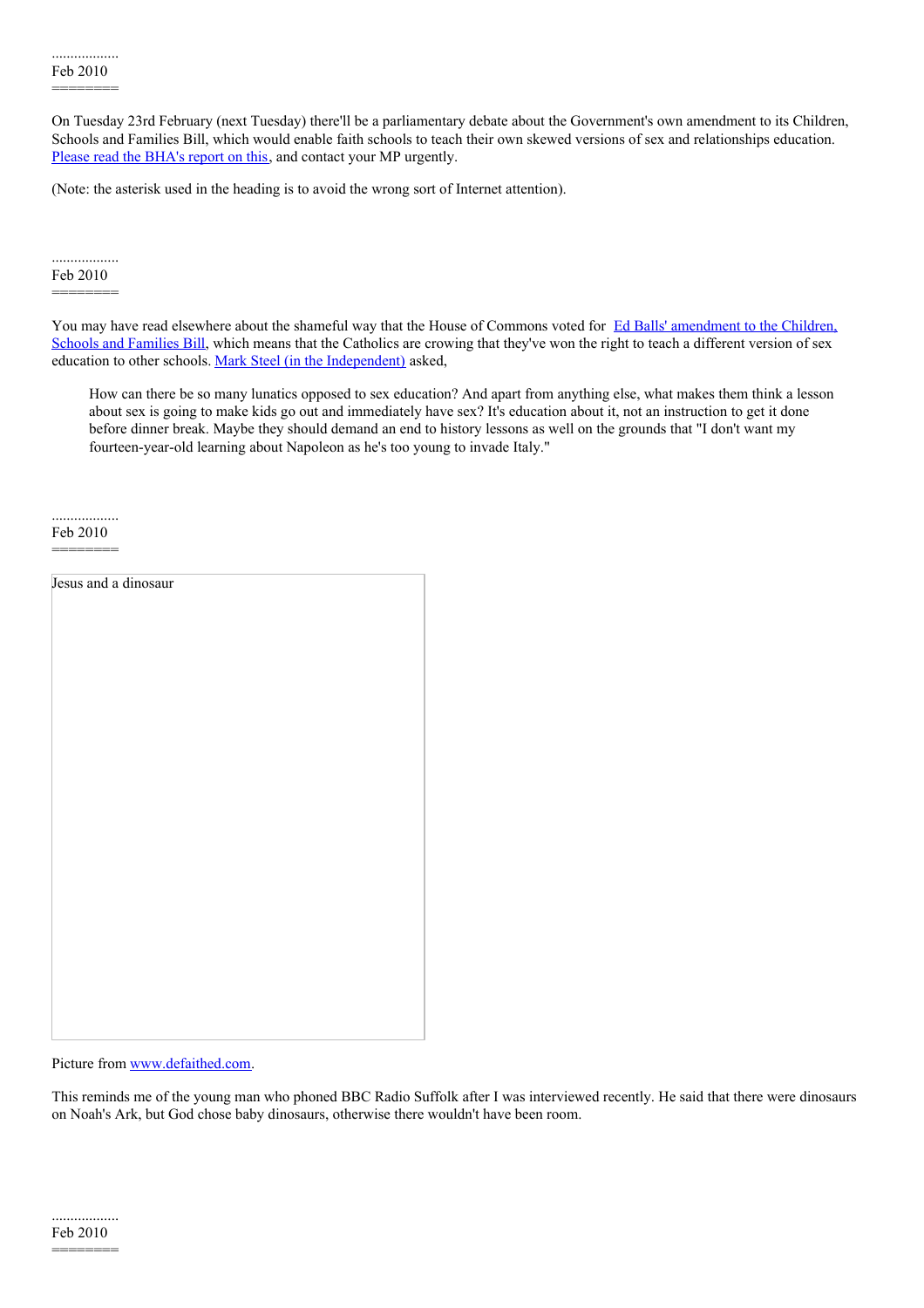On Tuesday 23rd February (next Tuesday) there'll be a parliamentary debate about the Government's own amendment to its Children, Schools and Families Bill, which would enable faith schools to teach their own skewed versions of sex and relationships education. Please read the [BHA's](http://www.humanism.org.uk/news/view/489) report on this, and contact your MP urgently.

(Note: the asterisk used in the heading is to avoid the wrong sort of Internet attention).

Feb 2010 ========

You may have read elsewhere about the shameful way that the House of Commons voted for Ed Balls' [amendment](https://html2pdf.com/files/wqi16hzg0unp2tip/o_1dro0t3jpsekrotk0p7hq163av/Children,%20Schools%20and%20Families%20Bill) to the Children, Schools and Families Bill, which means that the Catholics are crowing that they've won the right to teach a different version of sex education to other schools. Mark Steel (in the [Independent\)](http://www.independent.co.uk/opinion/commentators/mark-steel/mark-steel-you-can-teach-birth-control-but-youll-end-in-hell-if-you-do-it-1908334.html) asked,

How can there be so many lunatics opposed to sex education? And apart from anything else, what makes them think a lesson about sex is going to make kids go out and immediately have sex? It's education about it, not an instruction to get it done before dinner break. Maybe they should demand an end to history lessons as well on the grounds that "I don't want my fourteen-year-old learning about Napoleon as he's too young to invade Italy."

.................. Feb 2010 ========

| Jesus and a dinosaur |  |  |
|----------------------|--|--|
|                      |  |  |
|                      |  |  |
|                      |  |  |
|                      |  |  |
|                      |  |  |
|                      |  |  |
|                      |  |  |
|                      |  |  |
|                      |  |  |
|                      |  |  |
|                      |  |  |
|                      |  |  |
|                      |  |  |
|                      |  |  |
|                      |  |  |
|                      |  |  |
|                      |  |  |
|                      |  |  |
|                      |  |  |

Picture from [www.defaithed.com](http://www.defaithed.com/).

This reminds me of the young man who phoned BBC Radio Suffolk after I was interviewed recently. He said that there were dinosaurs on Noah's Ark, but God chose baby dinosaurs, otherwise there wouldn't have been room.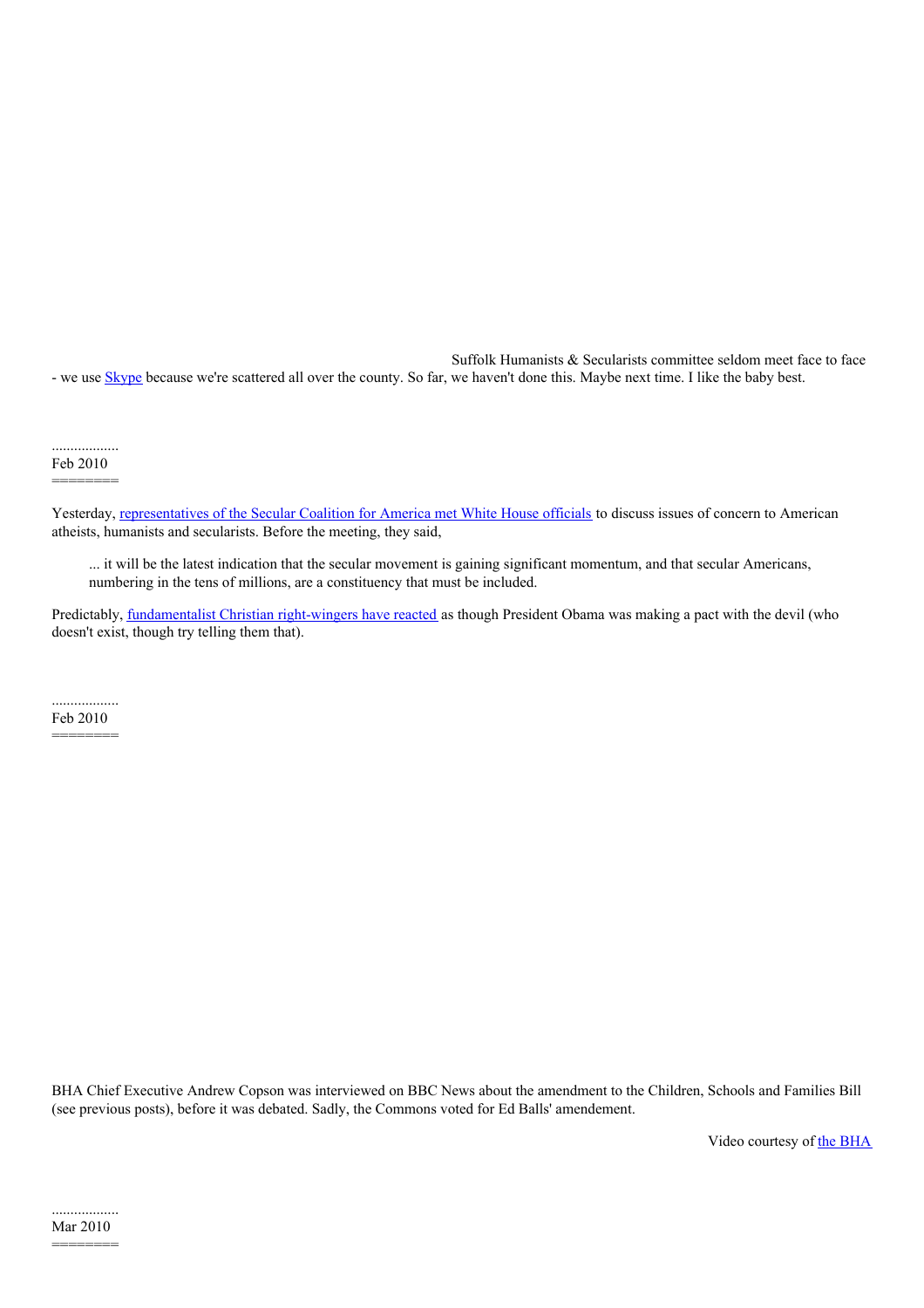Suffolk Humanists & Secularists committee seldom meet face to face - we use **[Skype](http://www.skype.com/intl/en-gb/)** because we're scattered all over the county. So far, we haven't done this. Maybe next time. I like the baby best.

.................. Feb 2010

# ========

Yesterday, [representatives](http://www.secular.org/node/209) of the Secular Coalition for America met White House officials to discuss issues of concern to American atheists, humanists and secularists. Before the meeting, they said,

... it will be the latest indication that the secular movement is gaining significant momentum, and that secular Americans, numbering in the tens of millions, are a constituency that must be included.

Predictably, [fundamentalist](http://rawstory.com/2010/02/obama-meeting-atheist-hate-groups/) Christian right-wingers have reacted as though President Obama was making a pact with the devil (who doesn't exist, though try telling them that).

.................. Feb 2010

========

BHA Chief Executive Andrew Copson was interviewed on BBC News about the amendment to the Children, Schools and Families Bill (see previous posts), before it was debated. Sadly, the Commons voted for Ed Balls' amendement.

Video courtesy of the [BHA](http://www.humanism.org.uk/)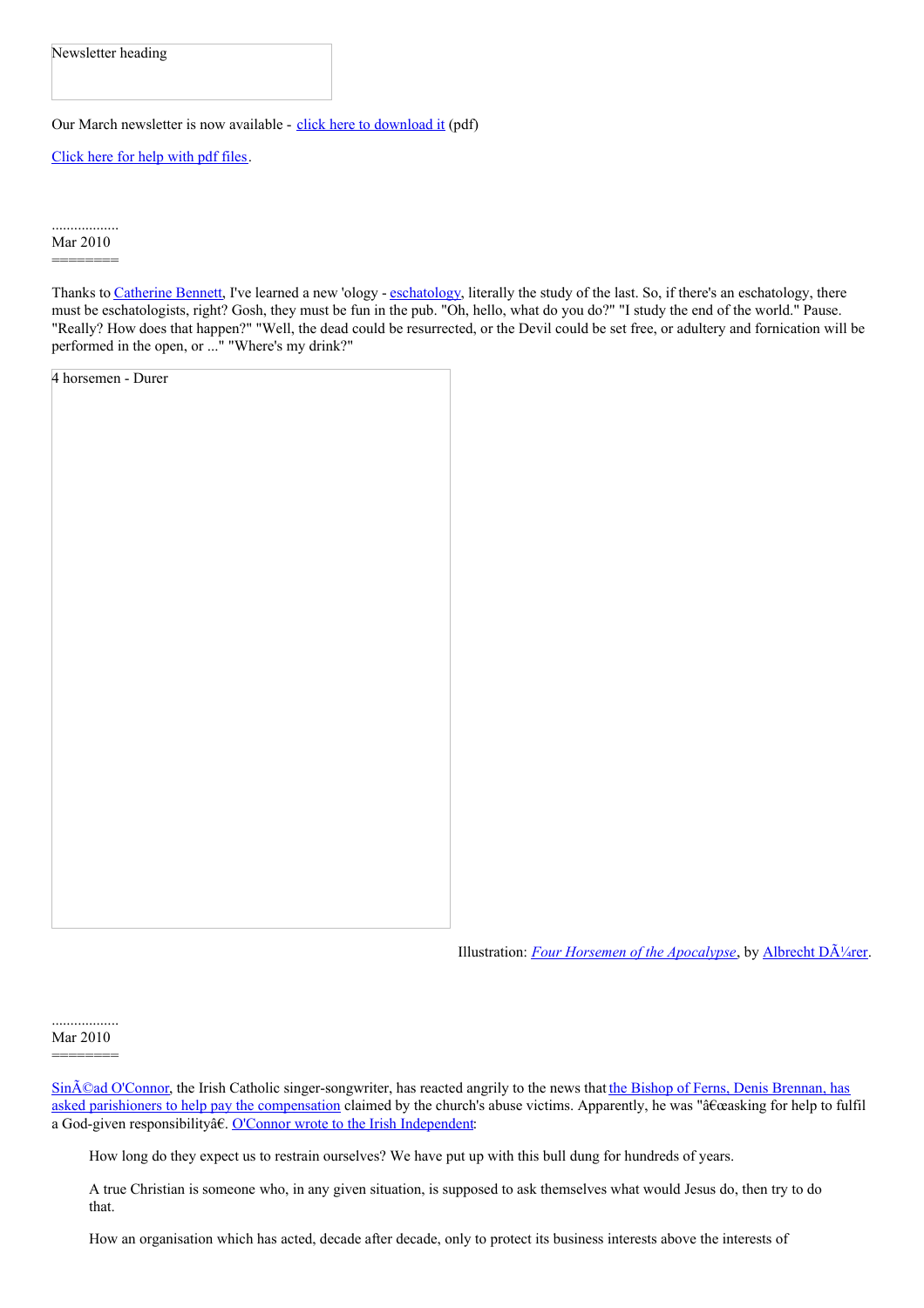Our March newsletter is now available - click here to [download](https://html2pdf.com/files/wqi16hzg0unp2tip/o_1dro0t3jpsekrotk0p7hq163av/%20http://www.suffolkhands.org.uk/files/1/2010%20SH&S%20News%20March.pdf) it (pdf)

[Click](http://www.suffolkhands.org.uk/node/40) here for help with pdf files.

.................. Mar 2010 ========

Thanks to [Catherine](http://www.guardian.co.uk/commentisfree/2010/feb/28/catherine-bennett-faith-schools) Bennett, I've learned a new 'ology - [eschatology](http://en.wikipedia.org/wiki/Eschatology), literally the study of the last. So, if there's an eschatology, there must be eschatologists, right? Gosh, they must be fun in the pub. "Oh, hello, what do you do?" "I study the end of the world." Pause. "Really? How does that happen?" "Well, the dead could be resurrected, or the Devil could be set free, or adultery and fornication will be performed in the open, or ..." "Where's my drink?"

| 4 horsemen - Durer |  |
|--------------------|--|
|                    |  |
|                    |  |
|                    |  |
|                    |  |
|                    |  |
|                    |  |
|                    |  |
|                    |  |
|                    |  |
|                    |  |
|                    |  |
|                    |  |
|                    |  |
|                    |  |
|                    |  |
|                    |  |
|                    |  |
|                    |  |
|                    |  |
|                    |  |
|                    |  |
|                    |  |
|                    |  |
|                    |  |

Illustration: *Four Horsemen of the [Apocalypse](http://en.wikipedia.org/wiki/Four_Horsemen_of_the_Apocalypse)*, by [Albrecht](http://en.wikipedia.org/wiki/Albrecht_D%25C3%25BCrer) DA<sup>1</sup>/4rer.

.................. Mar 2010 ========

How long do they expect us to restrain ourselves? We have put up with this bull dung for hundreds of years.

A true Christian is someone who, in any given situation, is supposed to ask themselves what would Jesus do, then try to do that.

How an organisation which has acted, decade after decade, only to protect its business interests above the interests of

SinÁ©ad [O'Connor](http://en.wikipedia.org/wiki/Sin%25C3%25A9ad_O%2527Connor), the Irish Catholic [singer-songwriter,](http://www.timesonline.co.uk/tol/news/world/europe/article7048747.ece) has reacted angrily to the news that the Bishop of Ferns, Denis Brennan, has asked parishioners to help pay the compensation claimed by the church's abuse victims. Apparently, he was "at casking for help to fulfil a God-given responsibilityâ€. O'Connor wrote to the Irish [Independent](http://www.independent.ie/opinion/letters/sinead-oconnor-id-help-jesus-to-burn-down-the-vatican-2087994.html):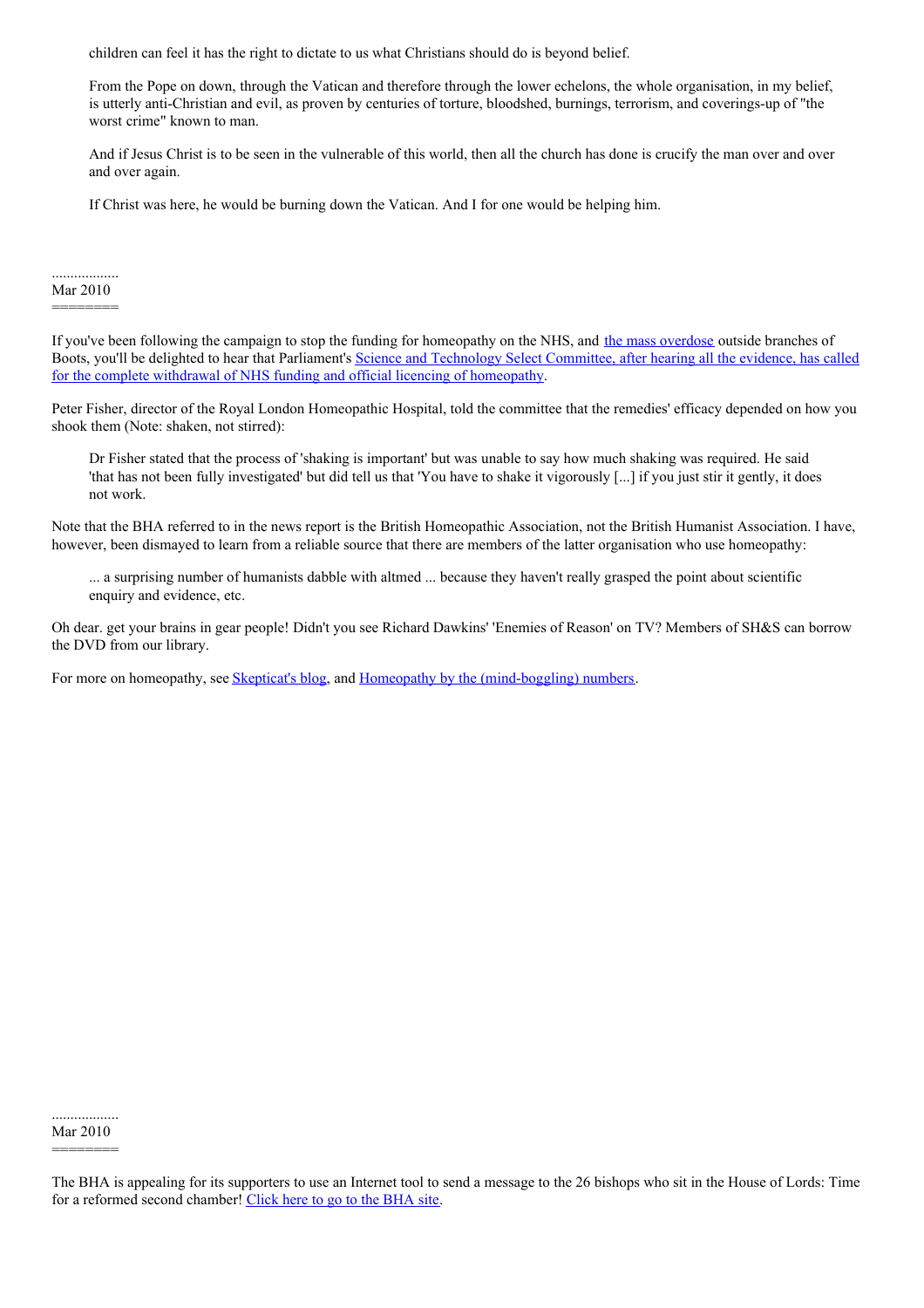children can feel it has the right to dictate to us what Christians should do is beyond belief.

From the Pope on down, through the Vatican and therefore through the lower echelons, the whole organisation, in my belief, is utterly anti-Christian and evil, as proven by centuries of torture, bloodshed, burnings, terrorism, and coverings-up of "the worst crime" known to man.

And if Jesus Christ is to be seen in the vulnerable of this world, then all the church has done is crucify the man over and over and over again.

If Christ was here, he would be burning down the Vatican. And I for one would be helping him.

.................. Mar 2010

========

If you've been following the campaign to stop the funding for homeopathy on the NHS, and the mass [overdose](http://www.1023.org.uk/the-1023-overdose-event.php) outside branches of Boots, you'll be delighted to hear that Parliament's Science and Technology Select Committee, after hearing all the evidence, has called for the complete withdrawal of NHS funding and official licencing of [homeopathy.](http://www.guardian.co.uk/science/blog/2010/feb/22/mps-verdict-homeopathy-useless-unethical)

Peter Fisher, director of the Royal London Homeopathic Hospital, told the committee that the remedies' efficacy depended on how you shook them (Note: shaken, not stirred):

Dr Fisher stated that the process of 'shaking is important' but was unable to say how much shaking was required. He said 'that has not been fully investigated' but did tell us that 'You have to shake it vigorously [...] if you just stir it gently, it does not work.

Note that the BHA referred to in the news report is the British Homeopathic Association, not the British Humanist Association. I have, however, been dismayed to learn from a reliable source that there are members of the latter organisation who use homeopathy:

... a surprising number of humanists dabble with altmed ... because they haven't really grasped the point about scientific enquiry and evidence, etc.

Oh dear. get your brains in gear people! Didn't you see Richard Dawkins' 'Enemies of Reason' on TV? Members of SH&S can borrow the DVD from our library.

For more on homeopathy, see [Skepticat's](http://www.skepticat.org/2009/03/homeopathy/) blog, and Homeopathy by the [\(mind-boggling\)](http://timesonline.typepad.com/science/2010/01/homeopathy-by-the-mindboggling-numbers.html) numbers.

.................. Mar 2010 ========

The BHA is appealing for its supporters to use an Internet tool to send a message to the 26 bishops who sit in the House of Lords: Time for a reformed second chamber! [Click](http://www.humanism.org.uk/campaigns/what-you-can-do-to-help/Bishops) here to go to the BHA site.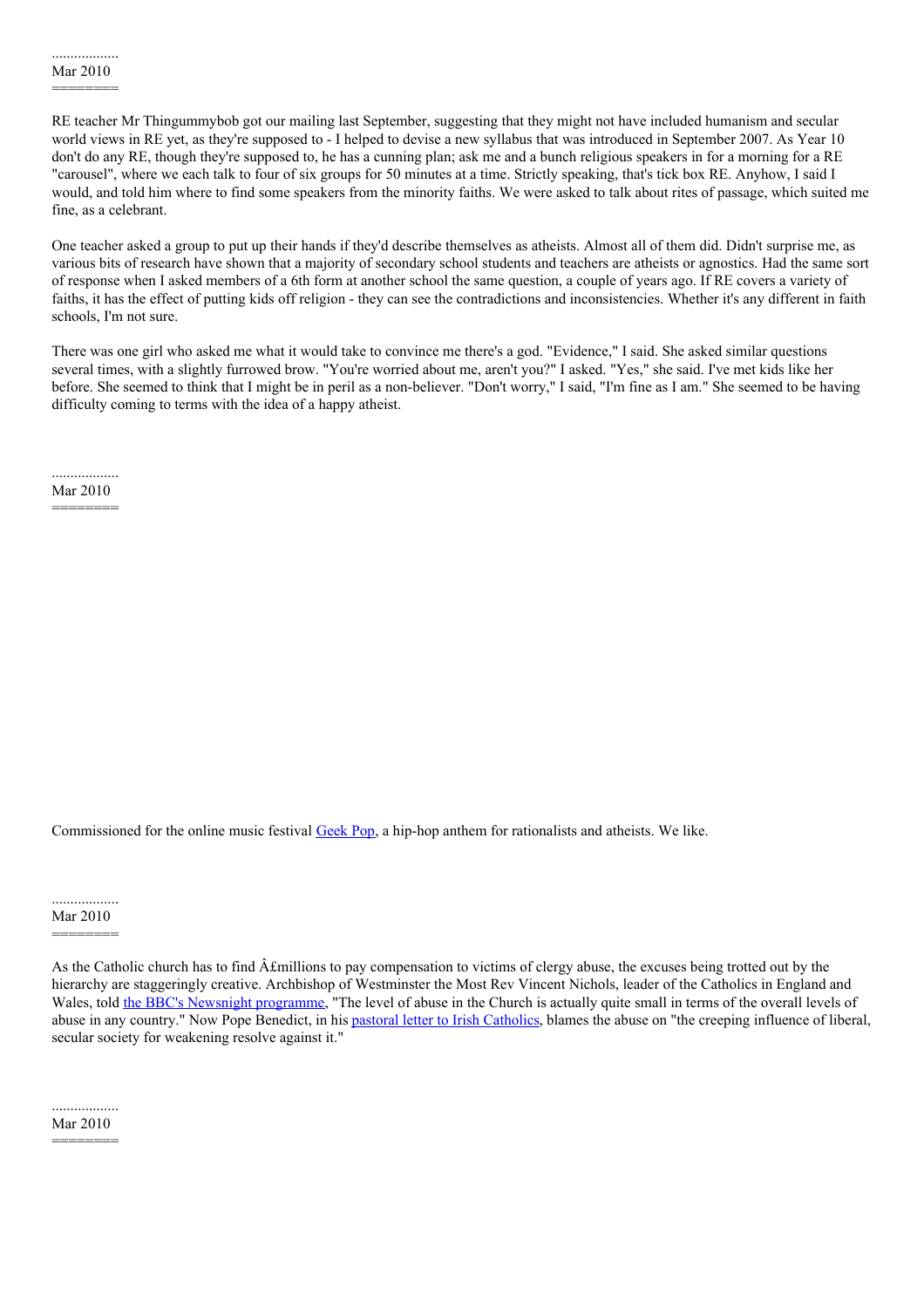========

RE teacher Mr Thingummybob got our mailing last September, suggesting that they might not have included humanism and secular world views in RE yet, as they're supposed to - I helped to devise a new syllabus that was introduced in September 2007. As Year 10 don't do any RE, though they're supposed to, he has a cunning plan; ask me and a bunch religious speakers in for a morning for a RE "carousel", where we each talk to four of six groups for 50 minutes at a time. Strictly speaking, that's tick box RE. Anyhow, I said I would, and told him where to find some speakers from the minority faiths. We were asked to talk about rites of passage, which suited me fine, as a celebrant.

One teacher asked a group to put up their hands if they'd describe themselves as atheists. Almost all of them did. Didn't surprise me, as various bits of research have shown that a majority of secondary school students and teachers are atheists or agnostics. Had the same sort of response when I asked members of a 6th form at another school the same question, a couple of years ago. If RE covers a variety of faiths, it has the effect of putting kids off religion - they can see the contradictions and inconsistencies. Whether it's any different in faith schools, I'm not sure.

There was one girl who asked me what it would take to convince me there's a god. "Evidence," I said. She asked similar questions several times, with a slightly furrowed brow. "You're worried about me, aren't you?" I asked. "Yes," she said. I've met kids like her before. She seemed to think that I might be in peril as a non-believer. "Don't worry," I said, "I'm fine as I am." She seemed to be having difficulty coming to terms with the idea of a happy atheist.

.................. Mar 2010 ========

Commissioned for the online music festival [Geek](http://www.geekpop.co.uk) Pop, a hip-hop anthem for rationalists and atheists. We like.

Mar 2010

========

As the Catholic church has to find  $\hat{A}$  find  $\hat{A}$  finditions to pay compensation to victims of clergy abuse, the excuses being trotted out by the hierarchy are staggeringly creative. Archbishop of Westminster the Most Rev Vincent Nichols, leader of the Catholics in England and Wales, told the BBC's Newsnight [programme](http://www.guardian.co.uk/uk/feedarticle/8997067), "The level of abuse in the Church is actually quite small in terms of the overall levels of abuse in any country." Now Pope Benedict, in his pastoral letter to Irish [Catholics](http://www.guardian.co.uk/world/2010/mar/21/pope-ireland-letter-paedophile-priests), blames the abuse on "the creeping influence of liberal, secular society for weakening resolve against it."

.................. Mar 2010

========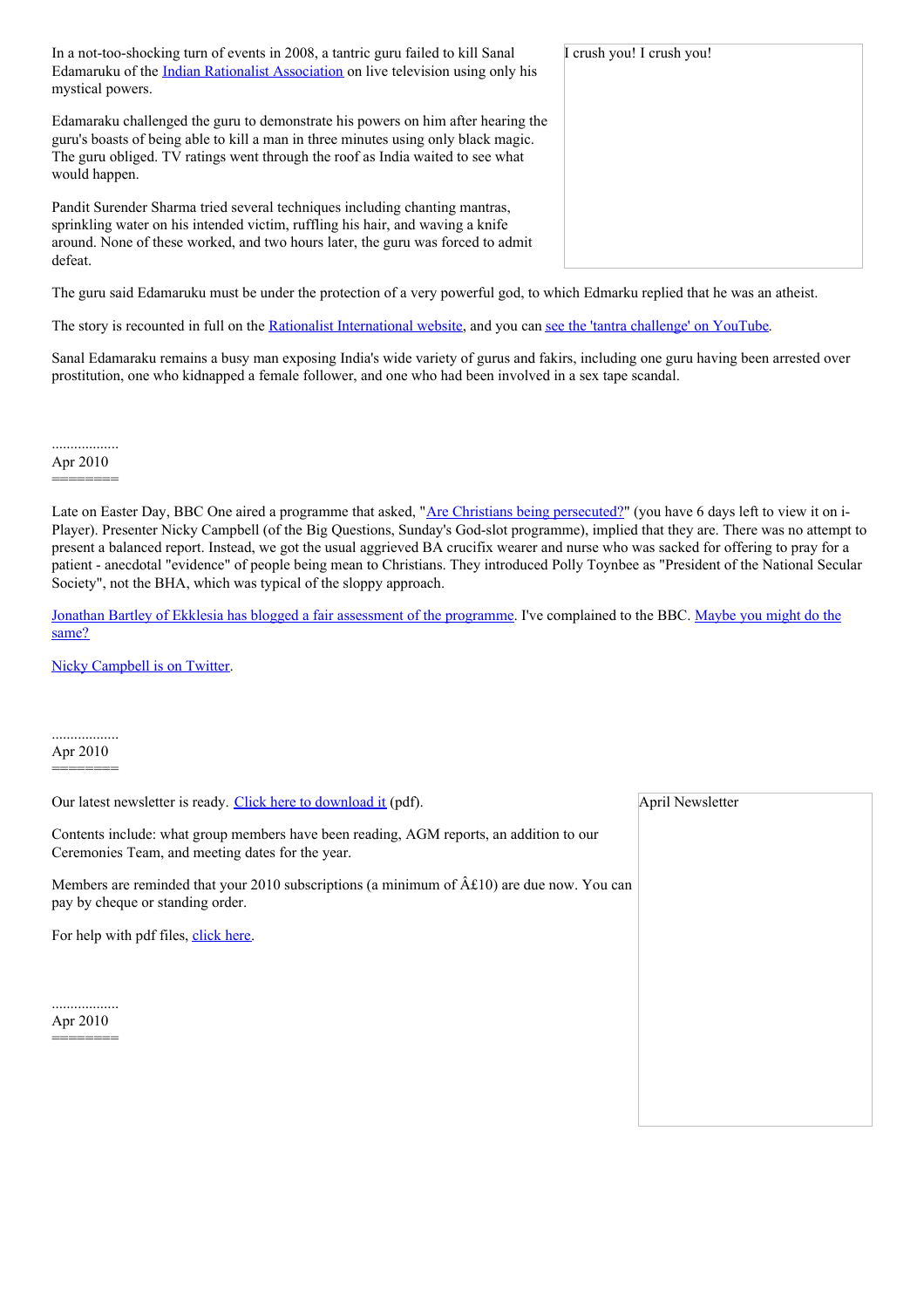In a not-too-shocking turn of events in 2008, a tantric guru failed to kill Sanal Edamaruku of the Indian Rationalist [Association](http://www.indianrationalists.blogspot.com/) on live television using only his mystical powers.

Edamaraku challenged the guru to demonstrate his powers on him after hearing the guru's boasts of being able to kill a man in three minutes using only black magic. The guru obliged. TV ratings went through the roof as India waited to see what would happen.

Pandit Surender Sharma tried several techniques including chanting mantras, sprinkling water on his intended victim, ruffling his hair, and waving a knife around. None of these worked, and two hours later, the guru was forced to admit defeat.

The guru said Edamaruku must be under the protection of a very powerful god, to which Edmarku replied that he was an atheist.

The story is recounted in full on the Rationalist [International](http://www.rationalistinternational.net/article/2008/20080310/en_1.html) website, and you can see the 'tantra [challenge'](http://www.youtube.com/watch?v=Bmo1a-bimAM) on YouTube.

Sanal Edamaraku remains a busy man exposing India's wide variety of gurus and fakirs, including one guru having been arrested over prostitution, one who kidnapped a female follower, and one who had been involved in a sex tape scandal.

..................

#### Apr 2010 ========

Late on Easter Day, BBC One aired a programme that asked, "Are Christians being [persecuted?](http://www.bbc.co.uk/programmes/b00rx7tj)" (you have 6 days left to view it on i-Player). Presenter Nicky Campbell (of the Big Questions, Sunday's God-slot programme), implied that they are. There was no attempt to present a balanced report. Instead, we got the usual aggrieved BA crucifix wearer and nurse who was sacked for offering to pray for a patient - anecdotal "evidence" of people being mean to Christians. They introduced Polly Toynbee as "President of the National Secular Society", not the BHA, which was typical of the sloppy approach.

Jonathan Bartley of Ekklesia has blogged a fair assessment of the [programme.](https://www.bbc.co.uk/complaints/forms/) I've complained to the BBC. Maybe you might do the same?

Nicky [Campbell](http://twitter.com/NickyAACampbell) is on Twitter.

.................. Apr 2010 ========

Our latest newsletter is ready. Click here to [download](http://www.suffolkhands.org.uk/files/1/2010%20SH&S%20News%20April.pdf) it (pdf).

Contents include: what group members have been reading, AGM reports, an addition to our Ceremonies Team, and meeting dates for the year.

Members are reminded that your 2010 subscriptions (a minimum of  $\hat{A} \pounds 10$ ) are due now. You can pay by cheque or standing order.

For help with pdf files, [click](http://www.suffolkhands.org.uk/node/40) here.

.................. Apr 2010 ======== I crush you! I crush you!

April Newsletter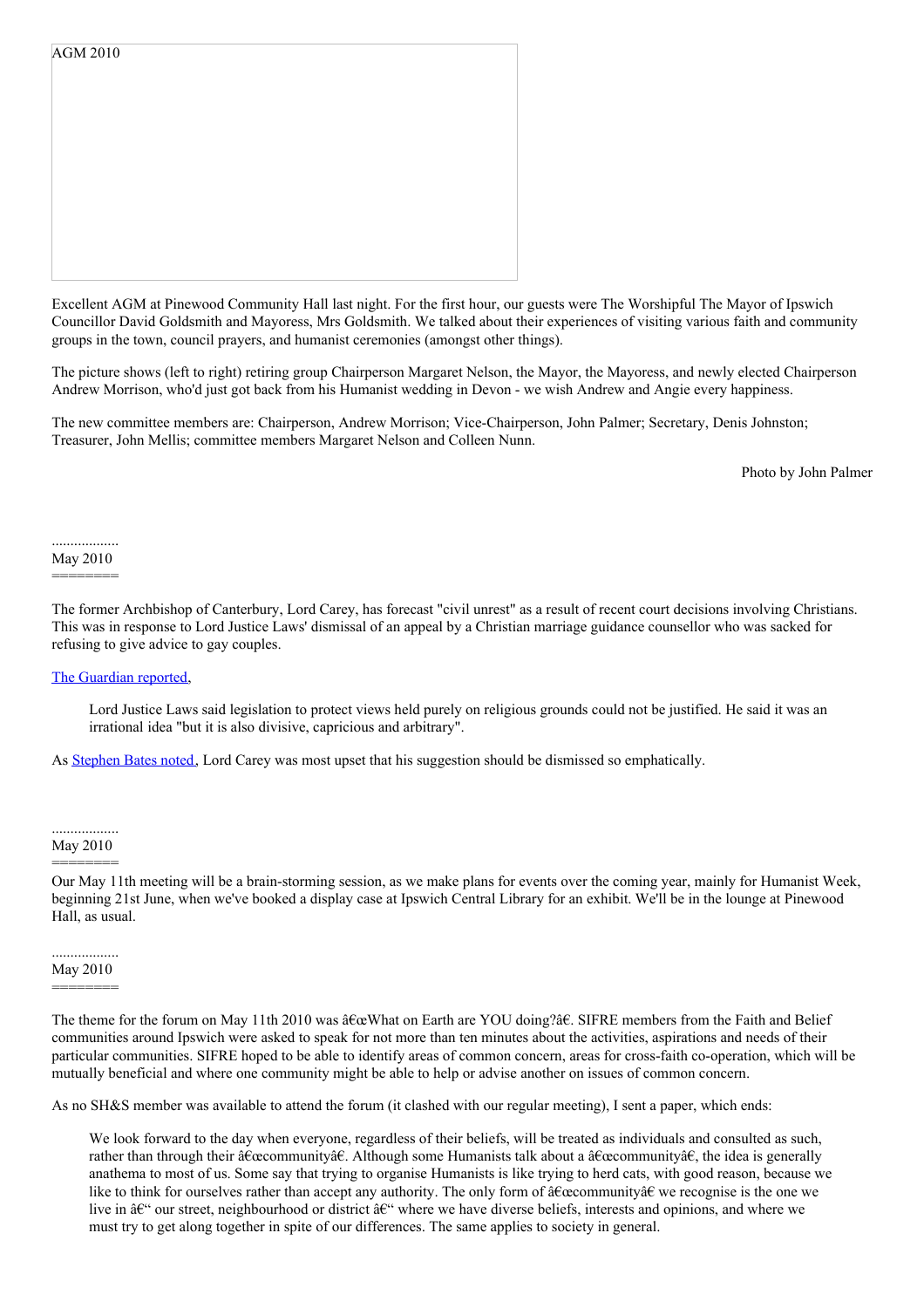| <b>AGM 2010</b> |  |  |  |
|-----------------|--|--|--|
|                 |  |  |  |
|                 |  |  |  |
|                 |  |  |  |
|                 |  |  |  |
|                 |  |  |  |
|                 |  |  |  |

Excellent AGM at Pinewood Community Hall last night. For the first hour, our guests were The Worshipful The Mayor of Ipswich Councillor David Goldsmith and Mayoress, Mrs Goldsmith. We talked about their experiences of visiting various faith and community groups in the town, council prayers, and humanist ceremonies (amongst other things).

The picture shows (left to right) retiring group Chairperson Margaret Nelson, the Mayor, the Mayoress, and newly elected Chairperson Andrew Morrison, who'd just got back from his Humanist wedding in Devon - we wish Andrew and Angie every happiness.

The new committee members are: Chairperson, Andrew Morrison; Vice-Chairperson, John Palmer; Secretary, Denis Johnston; Treasurer, John Mellis; committee members Margaret Nelson and Colleen Nunn.

Photo by John Palmer

#### .................. May 2010 ========

The former Archbishop of Canterbury, Lord Carey, has forecast "civil unrest" as a result of recent court decisions involving Christians. This was in response to Lord Justice Laws' dismissal of an appeal by a Christian marriage guidance counsellor who was sacked for refusing to give advice to gay couples.

### The [Guardian](http://www.guardian.co.uk/uk/2010/apr/29/court-dismisses-christian-employment-appeal) reported,

Lord Justice Laws said legislation to protect views held purely on religious grounds could not be justified. He said it was an irrational idea "but it is also divisive, capricious and arbitrary".

As [Stephen](http://www.guardian.co.uk/politics/2010/may/04/stephen-bates-guardian-diary) Bates noted, Lord Carey was most upset that his suggestion should be dismissed so emphatically.

#### .................. May 2010 ========

Our May 11th meeting will be a brain-storming session, as we make plans for events over the coming year, mainly for Humanist Week, beginning 21st June, when we've booked a display case at Ipswich Central Library for an exhibit. We'll be in the lounge at Pinewood Hall, as usual.

.................. May 2010 ========

The theme for the forum on May 11th 2010 was  $\frac{\partial \mathbf{F}(\mathbf{w})}{\partial \mathbf{F}}$  and Earth are YOU doing? $\frac{\partial \mathbf{F}}{\partial \mathbf{F}}$ . SIFRE members from the Faith and Belief communities around Ipswich were asked to speak for not more than ten minutes about the activities, aspirations and needs of their particular communities. SIFRE hoped to be able to identify areas of common concern, areas for cross-faith co-operation, which will be mutually beneficial and where one community might be able to help or advise another on issues of common concern.

As no SH&S member was available to attend the forum (it clashed with our regular meeting), I sent a paper, which ends:

We look forward to the day when everyone, regardless of their beliefs, will be treated as individuals and consulted as such, rather than through their  $\hat{a}\in \mathcal{C}$ communityâ€. Although some Humanists talk about a  $\hat{a}\in \mathcal{C}$ communityâ€, the idea is generally anathema to most of us. Some say that trying to organise Humanists is like trying to herd cats, with good reason, because we like to think for ourselves rather than accept any authority. The only form of  $â€$ ccommunity†we recognise is the one we live in  $\hat{a}\hat{\epsilon}^{\omega}$  our street, neighbourhood or district  $\hat{a}\hat{\epsilon}^{\omega}$  where we have diverse beliefs, interests and opinions, and where we must try to get along together in spite of our differences. The same applies to society in general.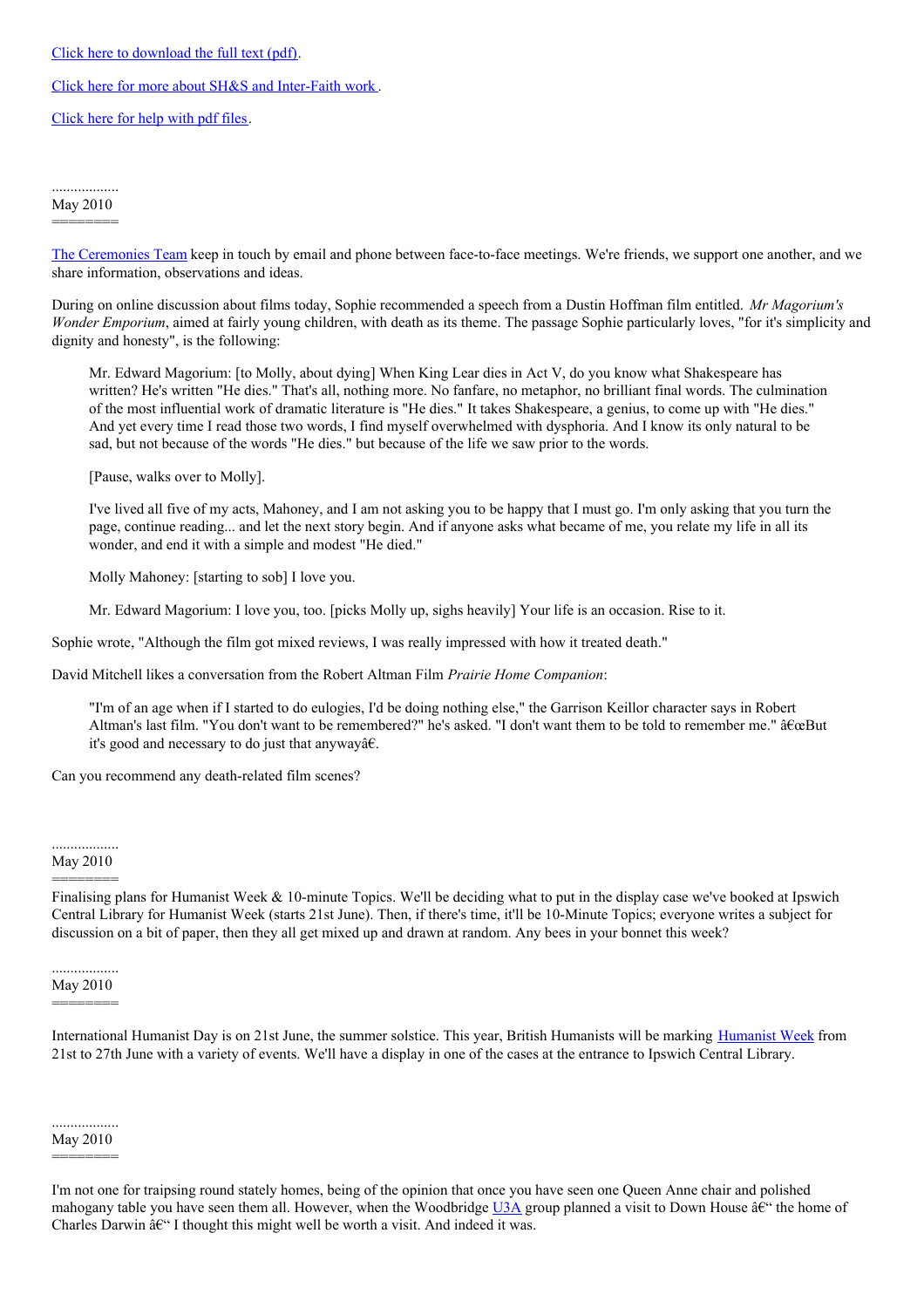Click here to [download](https://html2pdf.com/files/wqi16hzg0unp2tip/o_1dro0t3jpsekrotk0p7hq163av/SIFRE%20Forum%20of%20Faiths,%2011%20May%202010.pdf) the full text (pdf).

Click here for more about SH&S and [Inter-Faith](http://www.suffolkhands.org.uk/interfaith) work .

[Click](http://www.suffolkhands.org.uk/node/40) here for help with pdf files.

#### .................. May 2010

========

The [Ceremonies](http://www.suffolkhands.org.uk/ceremonies/team) Team keep in touch by email and phone between face-to-face meetings. We're friends, we support one another, and we share information, observations and ideas.

During on online discussion about films today, Sophie recommended a speech from a Dustin Hoffman film entitled. *Mr Magorium's Wonder Emporium*, aimed at fairly young children, with death as its theme. The passage Sophie particularly loves, "for it's simplicity and dignity and honesty", is the following:

Mr. Edward Magorium: [to Molly, about dying] When King Lear dies in Act V, do you know what Shakespeare has written? He's written "He dies." That's all, nothing more. No fanfare, no metaphor, no brilliant final words. The culmination of the most influential work of dramatic literature is "He dies." It takes Shakespeare, a genius, to come up with "He dies." And yet every time I read those two words, I find myself overwhelmed with dysphoria. And I know its only natural to be sad, but not because of the words "He dies." but because of the life we saw prior to the words.

[Pause, walks over to Molly].

I've lived all five of my acts, Mahoney, and I am not asking you to be happy that I must go. I'm only asking that you turn the page, continue reading... and let the next story begin. And if anyone asks what became of me, you relate my life in all its wonder, and end it with a simple and modest "He died."

Molly Mahoney: [starting to sob] I love you.

Mr. Edward Magorium: I love you, too. [picks Molly up, sighs heavily] Your life is an occasion. Rise to it.

Sophie wrote, "Although the film got mixed reviews, I was really impressed with how it treated death."

David Mitchell likes a conversation from the Robert Altman Film *Prairie Home Companion*:

"I'm of an age when if I started to do eulogies, I'd be doing nothing else," the Garrison Keillor character says in Robert Altman's last film. "You don't want to be remembered?" he's asked. "I don't want them to be told to remember me." "But it's good and necessary to do just that anywayâ€.

Can you recommend any death-related film scenes?

#### .................. May 2010 ========

Finalising plans for Humanist Week & 10-minute Topics. We'll be deciding what to put in the display case we've booked at Ipswich Central Library for Humanist Week (starts 21st June). Then, if there's time, it'll be 10-Minute Topics; everyone writes a subject for discussion on a bit of paper, then they all get mixed up and drawn at random. Any bees in your bonnet this week?

.................. May 2010

========

International Humanist Day is on 21st June, the summer solstice. This year, British Humanists will be marking [Humanist](http://www.npg.org.uk/whatson/exhibitions/bp-portrait-award-2010/the-exhibition1.php) Week from 21st to 27th June with a variety of events. We'll have a display in one of the cases at the entrance to Ipswich Central Library.

.................. May 2010

========

I'm not one for traipsing round stately homes, being of the opinion that once you have seen one Queen Anne chair and polished mahogany table you have seen them all. However, when the Woodbridge  $U3A$  group planned a visit to Down House  $\hat{a}\hat{\epsilon}$ " the home of Charles Darwin  $\hat{a}\hat{\epsilon}$  I thought this might well be worth a visit. And indeed it was.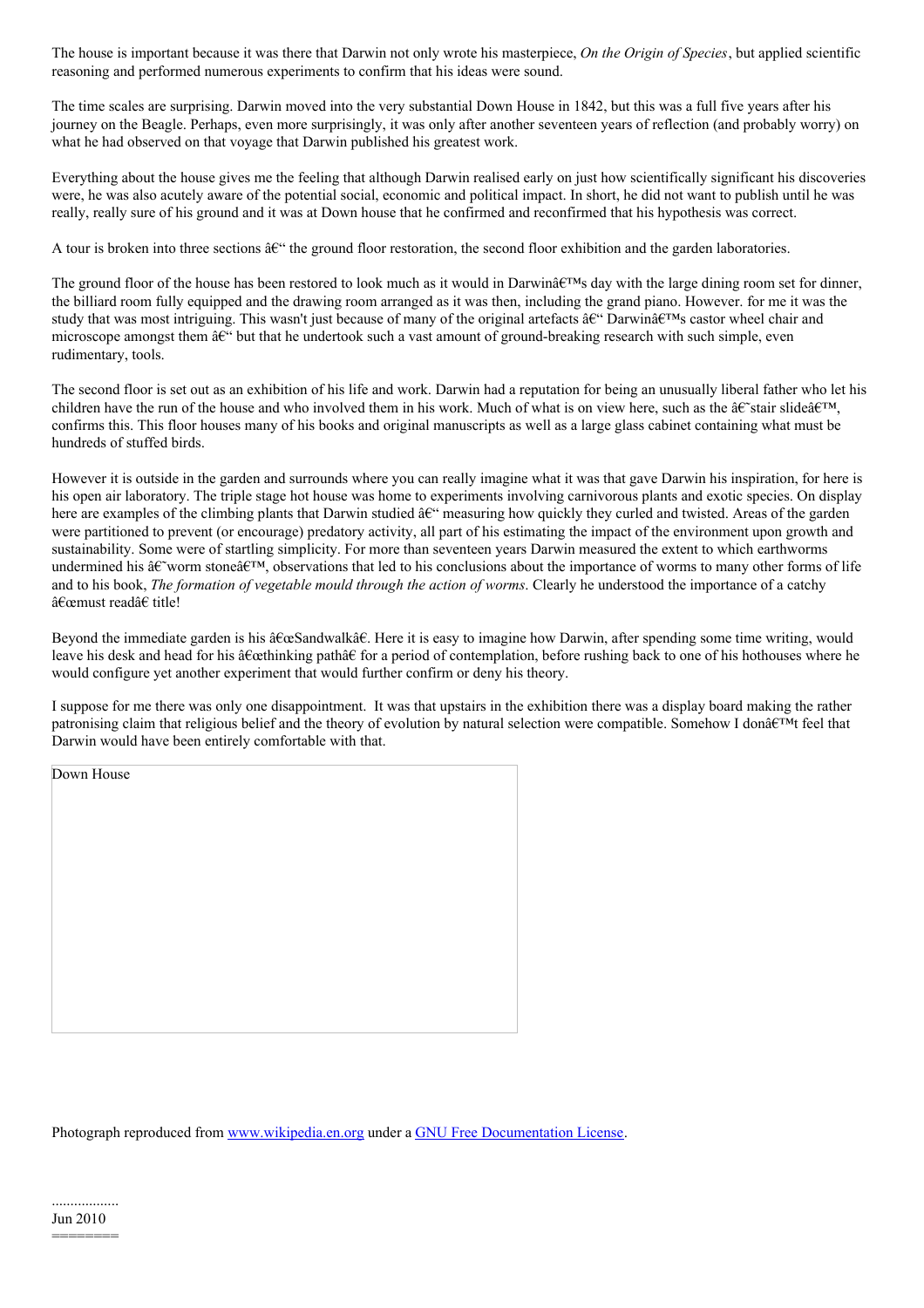The house is important because it was there that Darwin not only wrote his masterpiece, *On the Origin of Species*, but applied scientific reasoning and performed numerous experiments to confirm that his ideas were sound.

The time scales are surprising. Darwin moved into the very substantial Down House in 1842, but this was a full five years after his journey on the Beagle. Perhaps, even more surprisingly, it was only after another seventeen years of reflection (and probably worry) on what he had observed on that voyage that Darwin published his greatest work.

Everything about the house gives me the feeling that although Darwin realised early on just how scientifically significant his discoveries were, he was also acutely aware of the potential social, economic and political impact. In short, he did not want to publish until he was really, really sure of his ground and it was at Down house that he confirmed and reconfirmed that his hypothesis was correct.

A tour is broken into three sections  $\hat{a} \hat{\epsilon}^{\prime\prime}$  the ground floor restoration, the second floor exhibition and the garden laboratories.

The ground floor of the house has been restored to look much as it would in Darwina<sup> $\epsilon_{TM}$ </sup>s day with the large dining room set for dinner. the billiard room fully equipped and the drawing room arranged as it was then, including the grand piano. However. for me it was the study that was most intriguing. This wasn't just because of many of the original artefacts  $\hat{a} \in \mathbb{R}^N$  arwin $\hat{a} \in \mathbb{R}^N$  castor wheel chair and microscope amongst them  $\hat{a}\in \hat{f}$  but that he undertook such a vast amount of ground-breaking research with such simple, even rudimentary, tools.

The second floor is set out as an exhibition of his life and work. Darwin had a reputation for being an unusually liberal father who let his children have the run of the house and who involved them in his work. Much of what is on view here, such as the  $\hat{a}\hat{\epsilon}^{\text{stat}}$  slide $\hat{a}\hat{\epsilon}^{\text{TM}}$ , confirms this. This floor houses many of his books and original manuscripts as well as a large glass cabinet containing what must be hundreds of stuffed birds.

However it is outside in the garden and surrounds where you can really imagine what it was that gave Darwin his inspiration, for here is his open air laboratory. The triple stage hot house was home to experiments involving carnivorous plants and exotic species. On display here are examples of the climbing plants that Darwin studied  $\hat{a}\epsilon^{\prime\prime}$  measuring how quickly they curled and twisted. Areas of the garden were partitioned to prevent (or encourage) predatory activity, all part of his estimating the impact of the environment upon growth and sustainability. Some were of startling simplicity. For more than seventeen years Darwin measured the extent to which earthworms undermined his  $\hat{a}\in\omega$  worm stone  $\hat{a}\in\omega$ , observations that led to his conclusions about the importance of worms to many other forms of life and to his book, *The formation of vegetable mould through the action of worms*. Clearly he understood the importance of a catchy "must read†title!

Beyond the immediate garden is his "Sandwalkâ€. Here it is easy to imagine how Darwin, after spending some time writing, would leave his desk and head for his "thinking path†for a period of contemplation, before rushing back to one of his hothouses where he would configure yet another experiment that would further confirm or deny his theory.

I suppose for me there was only one disappointment. It was that upstairs in the exhibition there was a display board making the rather patronising claim that religious belief and the theory of evolution by natural selection were compatible. Somehow I donâ $\epsilon_{\text{TM}}$  feel that Darwin would have been entirely comfortable with that.

Down House

Photograph reproduced from [www.wikipedia.en.org](http://en.wikipedia.org/wiki/Down_House) under a GNU Free [Documentation](http://en.wikipedia.org/wiki/GNU_Free_Documentation_License) License.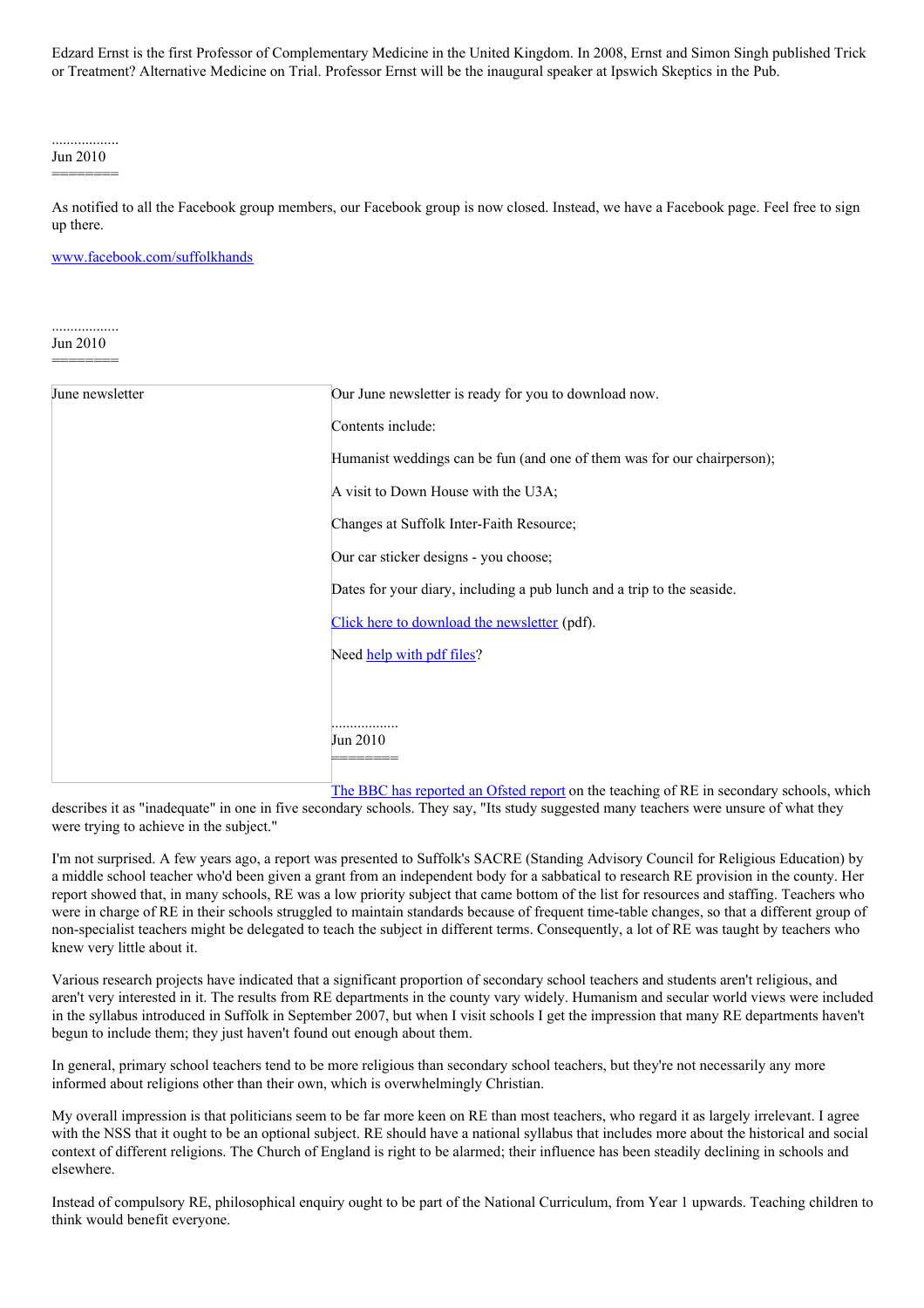Edzard Ernst is the first Professor of Complementary Medicine in the United Kingdom. In 2008, Ernst and Simon Singh published Trick or Treatment? Alternative Medicine on Trial. Professor Ernst will be the inaugural speaker at Ipswich Skeptics in the Pub.

.................. Jun 2010

========

As notified to all the Facebook group members, our Facebook group is now closed. Instead, we have a Facebook page. Feel free to sign up there.

[www.facebook.com/suffolkhands](http://www.facebook.com/suffolkhands)

.................. Jun 2010 ========

| June newsletter | Our June newsletter is ready for you to download now.                   |
|-----------------|-------------------------------------------------------------------------|
|                 | Contents include:                                                       |
|                 | Humanist weddings can be fun (and one of them was for our chairperson); |
|                 | A visit to Down House with the U3A;                                     |
|                 | Changes at Suffolk Inter-Faith Resource;                                |
|                 | Our car sticker designs - you choose;                                   |
|                 | Dates for your diary, including a pub lunch and a trip to the seaside.  |
|                 | Click here to download the newsletter (pdf).                            |
|                 | Need help with pdf files?                                               |
|                 |                                                                         |
|                 |                                                                         |
|                 | Jun 2010                                                                |
|                 |                                                                         |

The BBC has [reported](http://news.bbc.co.uk/1/hi/education/10227673.stm) an Ofsted report on the teaching of RE in secondary schools, which describes it as "inadequate" in one in five secondary schools. They say, "Its study suggested many teachers were unsure of what they were trying to achieve in the subject."

I'm not surprised. A few years ago, a report was presented to Suffolk's SACRE (Standing Advisory Council for Religious Education) by a middle school teacher who'd been given a grant from an independent body for a sabbatical to research RE provision in the county. Her report showed that, in many schools, RE was a low priority subject that came bottom of the list for resources and staffing. Teachers who were in charge of RE in their schools struggled to maintain standards because of frequent time-table changes, so that a different group of non-specialist teachers might be delegated to teach the subject in different terms. Consequently, a lot of RE was taught by teachers who knew very little about it.

Various research projects have indicated that a significant proportion of secondary school teachers and students aren't religious, and aren't very interested in it. The results from RE departments in the county vary widely. Humanism and secular world views were included in the syllabus introduced in Suffolk in September 2007, but when I visit schools I get the impression that many RE departments haven't begun to include them; they just haven't found out enough about them.

In general, primary school teachers tend to be more religious than secondary school teachers, but they're not necessarily any more informed about religions other than their own, which is overwhelmingly Christian.

My overall impression is that politicians seem to be far more keen on RE than most teachers, who regard it as largely irrelevant. I agree with the NSS that it ought to be an optional subject. RE should have a national syllabus that includes more about the historical and social context of different religions. The Church of England is right to be alarmed; their influence has been steadily declining in schools and elsewhere.

Instead of compulsory RE, philosophical enquiry ought to be part of the National Curriculum, from Year 1 upwards. Teaching children to think would benefit everyone.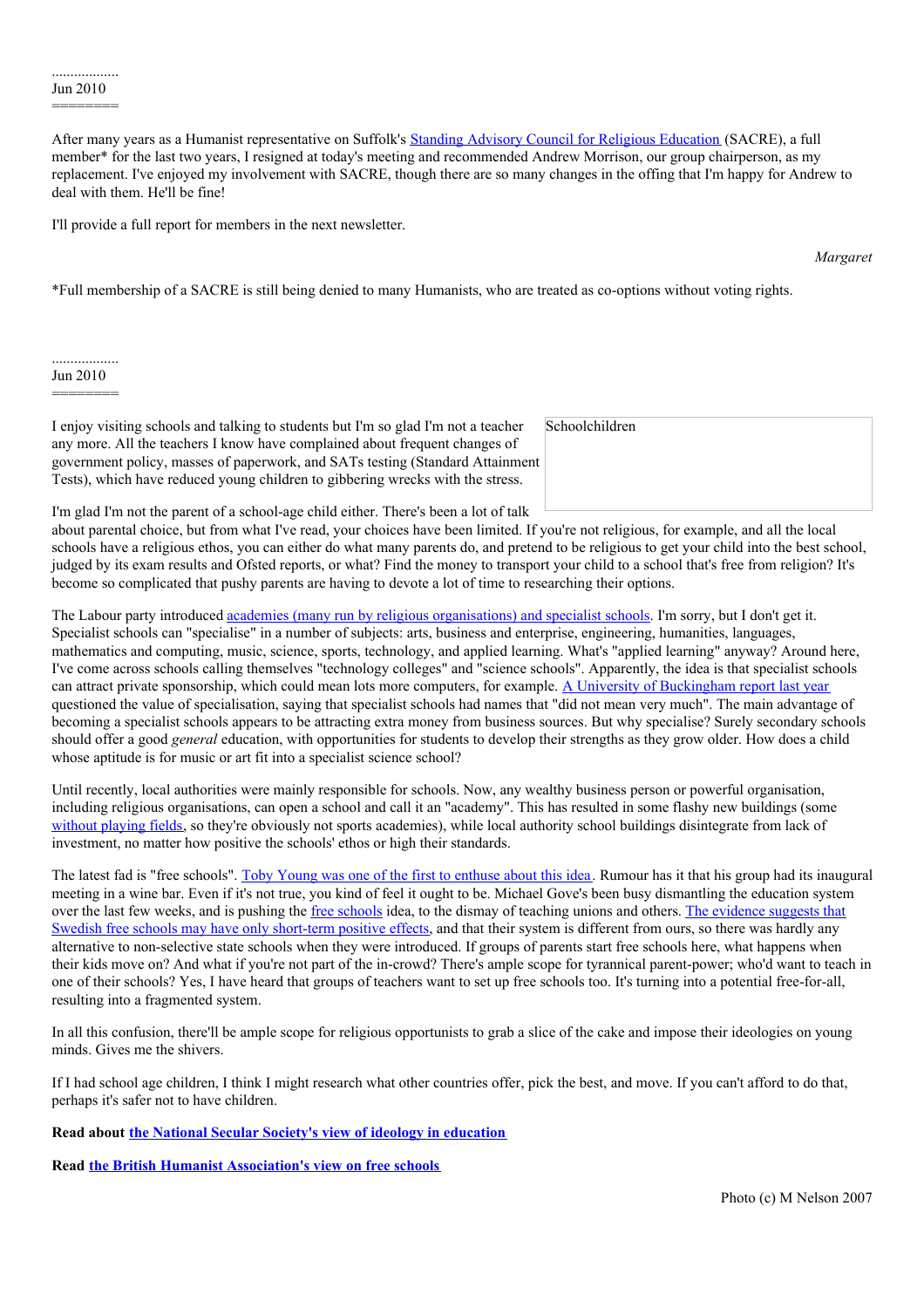After many years as a Humanist representative on Suffolk's **Standing Advisory Council for Religious [Education](http://www.humanism.org.uk/education/sacres-and-ascs/about-sacres)** (SACRE), a full member\* for the last two years, I resigned at today's meeting and recommended Andrew Morrison, our group chairperson, as my replacement. I've enjoyed my involvement with SACRE, though there are so many changes in the offing that I'm happy for Andrew to deal with them. He'll be fine!

I'll provide a full report for members in the next newsletter.

*Margaret*

\*Full membership of a SACRE is still being denied to many Humanists, who are treated as co-options without voting rights.

.................. Jun 2010

========

I enjoy visiting schools and talking to students but I'm so glad I'm not a teacher any more. All the teachers I know have complained about frequent changes of government policy, masses of paperwork, and SATs testing (Standard Attainment Tests), which have reduced young children to gibbering wrecks with the stress.

Schoolchildren

I'm glad I'm not the parent of a school-age child either. There's been a lot of talk about parental choice, but from what I've read, your choices have been limited. If you're not religious, for example, and all the local schools have a religious ethos, you can either do what many parents do, and pretend to be religious to get your child into the best school, judged by its exam results and Ofsted reports, or what? Find the money to transport your child to a school that's free from religion? It's become so complicated that pushy parents are having to devote a lot of time to researching their options.

The Labour party introduced academies (many run by religious [organisations\)](https://www.ssatrust.org.uk/Pages/home.aspx) and specialist schools. I'm sorry, but I don't get it. Specialist schools can "specialise" in a number of subjects: arts, business and enterprise, engineering, humanities, languages, mathematics and computing, music, science, sports, technology, and applied learning. What's "applied learning" anyway? Around here, I've come across schools calling themselves "technology colleges" and "science schools". Apparently, the idea is that specialist schools can attract private sponsorship, which could mean lots more computers, for example. A University of [Buckingham](http://news.bbc.co.uk/1/hi/education/7842726.stm) report last year questioned the value of specialisation, saying that specialist schools had names that "did not mean very much". The main advantage of becoming a specialist schools appears to be attracting extra money from business sources. But why specialise? Surely secondary schools should offer a good *general* education, with opportunities for students to develop their strengths as they grow older. How does a child whose aptitude is for music or art fit into a specialist science school?

Until recently, local authorities were mainly responsible for schools. Now, any wealthy business person or powerful organisation, including religious organisations, can open a school and call it an "academy". This has resulted in some flashy new buildings (some [without](http://www.timesonline.co.uk/tol/news/uk/article1752289.ece) playing fields, so they're obviously not sports academies), while local authority school buildings disintegrate from lack of investment, no matter how positive the schools' ethos or high their standards.

The latest fad is "free schools". Toby Young was one of the first to [enthuse](http://www.guardian.co.uk/commentisfree/2010/apr/15/parent-power-free-schools) about this idea. Rumour has it that his group had its inaugural meeting in a wine bar. Even if it's not true, you kind of feel it ought to be. Michael Gove's been busy dismantling the education system over the last few weeks, and is pushing the free [schools](http://news.bbc.co.uk/1/hi/education/10345302.stm) idea, to the dismay of teaching unions and others. The evidence suggests that Swedish free schools may have only [short-term](http://blogs.channel4.com/factcheck/2010/05/04/do-swedish-free-schools-mean-higher-standards/) positive effects, and that their system is different from ours, so there was hardly any alternative to non-selective state schools when they were introduced. If groups of parents start free schools here, what happens when their kids move on? And what if you're not part of the in-crowd? There's ample scope for tyrannical parent-power; who'd want to teach in one of their schools? Yes, I have heard that groups of teachers want to set up free schools too. It's turning into a potential free-for-all, resulting into a fragmented system.

In all this confusion, there'll be ample scope for religious opportunists to grab a slice of the cake and impose their ideologies on young minds. Gives me the shivers.

If I had school age children, I think I might research what other countries offer, pick the best, and move. If you can't afford to do that, perhaps it's safer not to have children.

**Read about the National Secular Society's view of ideology in [education](http://www.secularism.org.uk/religious-education-why-the-chur.html)**

**Read the British Humanist [Association's](http://www.humanism.org.uk/news/view/573) view on free schools**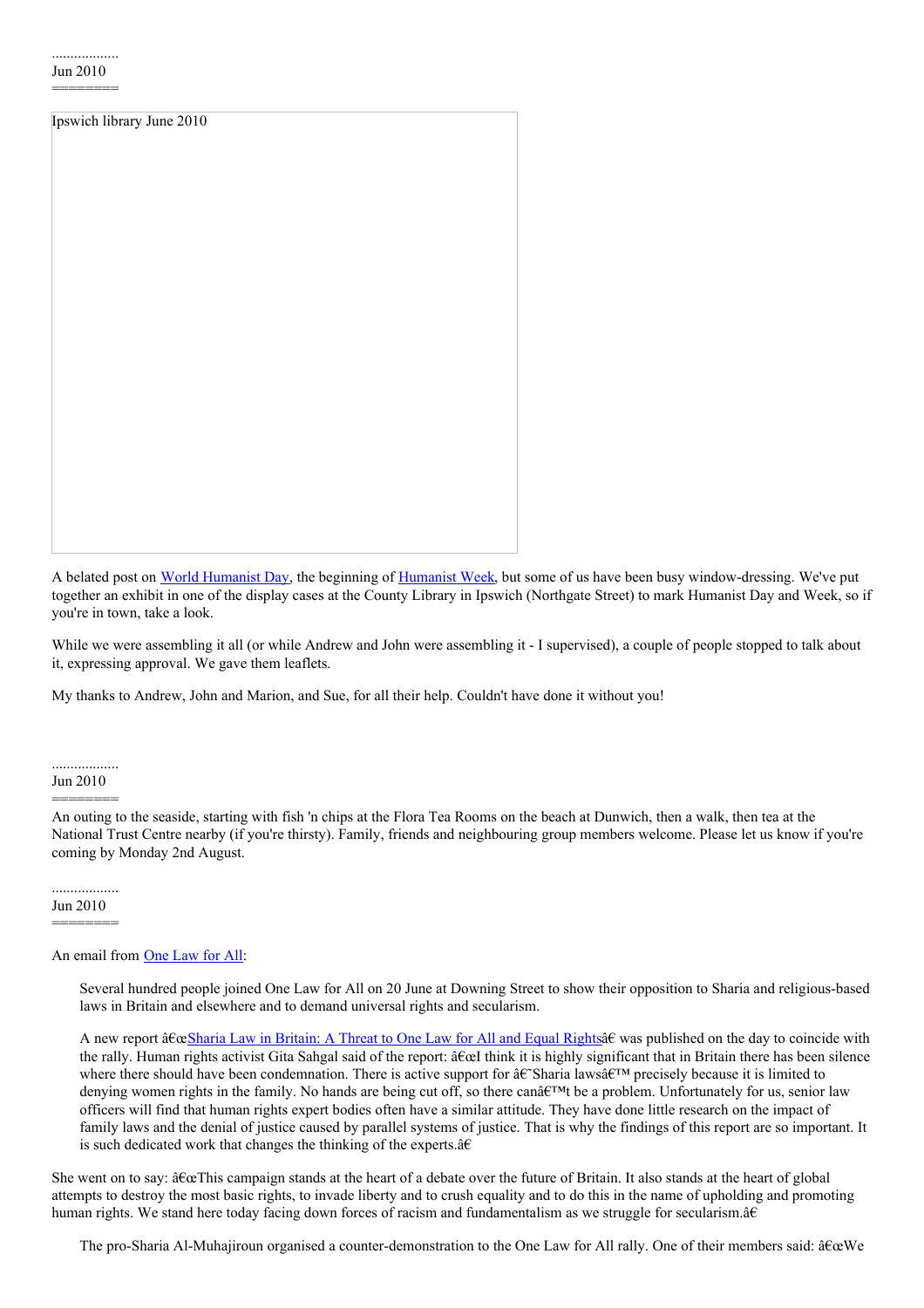========

Ipswich library June 2010

A belated post on World [Humanist](http://en.wikipedia.org/wiki/World_Humanist_Day) Day, the beginning of [Humanist](http://www.humanism.org.uk/news/view/574) Week, but some of us have been busy window-dressing. We've put together an exhibit in one of the display cases at the County Library in Ipswich (Northgate Street) to mark Humanist Day and Week, so if you're in town, take a look.

While we were assembling it all (or while Andrew and John were assembling it - I supervised), a couple of people stopped to talk about it, expressing approval. We gave them leaflets.

My thanks to Andrew, John and Marion, and Sue, for all their help. Couldn't have done it without you!

#### .................. Jun 2010

========

An outing to the seaside, starting with fish 'n chips at the Flora Tea Rooms on the beach at Dunwich, then a walk, then tea at the National Trust Centre nearby (if you're thirsty). Family, friends and neighbouring group members welcome. Please let us know if you're coming by Monday 2nd August.

#### .................. Jun 2010 ========

An email from One [Law](http://www.onelawforall.org.uk/) for All:

Several hundred people joined One Law for All on 20 June at Downing Street to show their opposition to Sharia and religious-based laws in Britain and elsewhere and to demand universal rights and secularism.

A new report "Sharia Law in [Britain:](http://www.onelawforall.org.uk/new-report-sharia-law-in-britain-a-threat-to-one-law-for-all-and-equal-rights/) A Threat to One Law for All and Equal Rights†was published on the day to coincide with the rally. Human rights activist Gita Sahgal said of the report:  $\hat{a}\in\vec{c}$  think it is highly significant that in Britain there has been silence where there should have been condemnation. There is active support for  $\hat{\mathbf{a}} \in \mathbb{S}$  Sharia laws $\hat{\mathbf{a}} \in \mathbb{S}^{\mathsf{TM}}$  precisely because it is limited to denying women rights in the family. No hands are being cut off, so there can $\hat{a} \in \text{Tr}M$  be a problem. Unfortunately for us, senior law officers will find that human rights expert bodies often have a similar attitude. They have done little research on the impact of family laws and the denial of justice caused by parallel systems of justice. That is why the findings of this report are so important. It is such dedicated work that changes the thinking of the experts.â€

She went on to say:  $\frac{\partial \mathcal{L}}{\partial x}$  also stands at the heart of a debate over the future of Britain. It also stands at the heart of global attempts to destroy the most basic rights, to invade liberty and to crush equality and to do this in the name of upholding and promoting human rights. We stand here today facing down forces of racism and fundamentalism as we struggle for secularism.â€

The pro-Sharia Al-Muhajiroun organised a counter-demonstration to the One Law for All rally. One of their members said:  $êE\&We$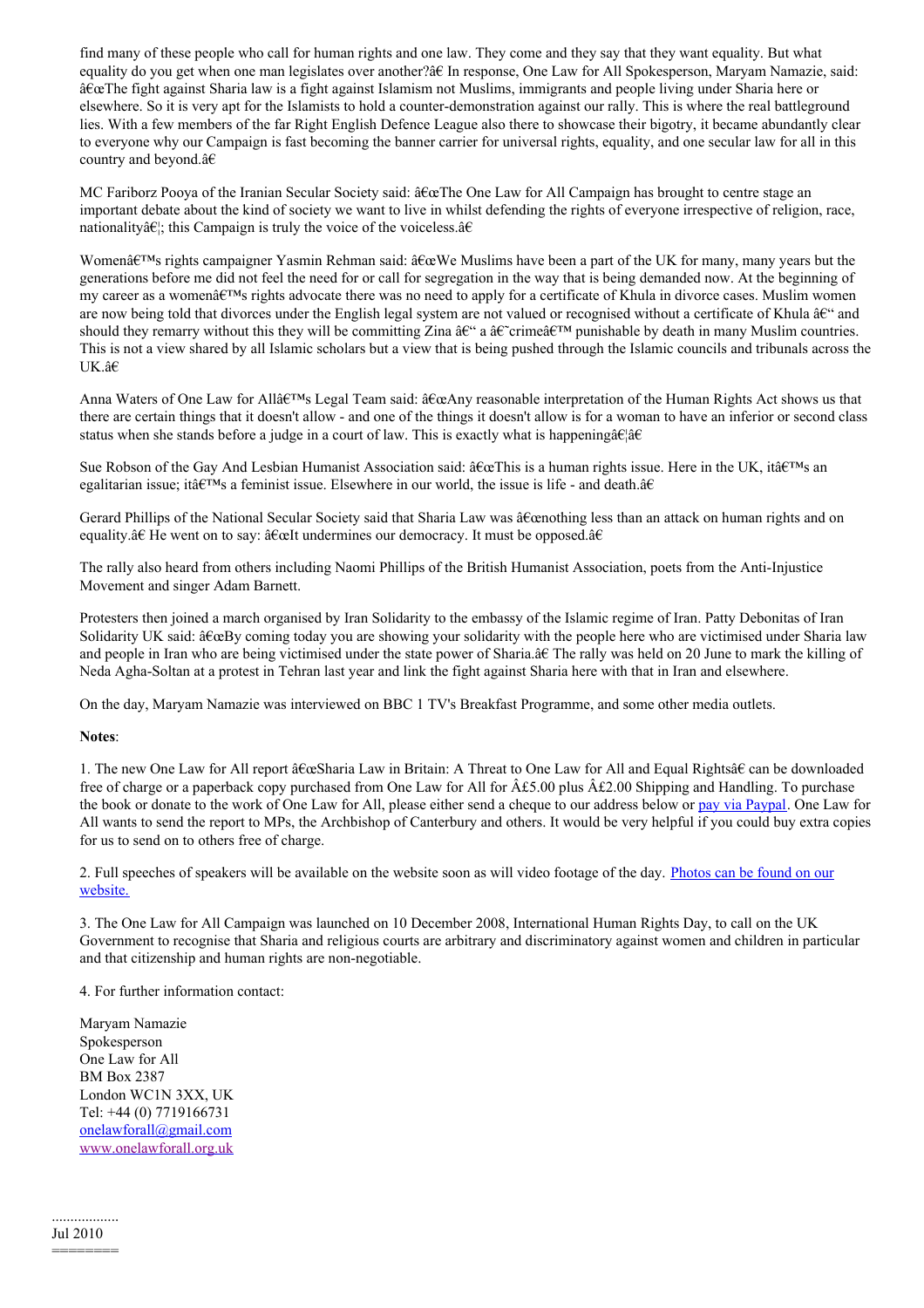find many of these people who call for human rights and one law. They come and they say that they want equality. But what equality do you get when one man legislates over another?â€ In response, One Law for All Spokesperson, Maryam Namazie, said:  $\hat{\alpha}$ EœThe fight against Sharia law is a fight against Islamism not Muslims, immigrants and people living under Sharia here or elsewhere. So it is very apt for the Islamists to hold a counter-demonstration against our rally. This is where the real battleground lies. With a few members of the far Right English Defence League also there to showcase their bigotry, it became abundantly clear to everyone why our Campaign is fast becoming the banner carrier for universal rights, equality, and one secular law for all in this country and beyond.â€

MC Fariborz Pooya of the Iranian Secular Society said:  $\frac{\partial \mathbf{C}}{\partial \mathbf{C}}$ The One Law for All Campaign has brought to centre stage an important debate about the kind of society we want to live in whilst defending the rights of everyone irrespective of religion, race, nationality $\hat{\mathbf{a}} \in \mathbb{R}^n$ ; this Campaign is truly the voice of the voiceless. $\hat{\mathbf{a}} \in \mathbb{R}^n$ 

Women $\hat{a}\in\mathbb{M}$ s rights campaigner Yasmin Rehman said:  $\hat{a}\in\mathbb{C}$ We Muslims have been a part of the UK for many, many years but the generations before me did not feel the need for or call for segregation in the way that is being demanded now. At the beginning of my career as a women $\hat{\mathfrak{a}} \in \mathbb{R}^N$  rights advocate there was no need to apply for a certificate of Khula in divorce cases. Muslim women are now being told that divorces under the English legal system are not valued or recognised without a certificate of Khula  $\hat{a}\in \hat{a}$  and should they remarry without this they will be committing Zina  $\hat{a} \in \hat{a}$  a  $\hat{a} \in \hat{a}$  punishable by death in many Muslim countries. This is not a view shared by all Islamic scholars but a view that is being pushed through the Islamic councils and tribunals across the UK.â€

Anna Waters of One Law for Allâ $\varepsilon_{\text{TMs}}$  Legal Team said:  $\hat{a}\varepsilon_{\text{CCAny}}$  reasonable interpretation of the Human Rights Act shows us that there are certain things that it doesn't allow - and one of the things it doesn't allow is for a woman to have an inferior or second class status when she stands before a judge in a court of law. This is exactly what is happening $\hat{a}\hat{\epsilon}$  and

Sue Robson of the Gay And Lesbian Humanist Association said:  $\frac{\partial \mathcal{L}}{\partial x}$  as a human rights issue. Here in the UK, it $\frac{\partial \mathcal{L}}{\partial x}$  an egalitarian issue; itâ $\mathfrak{E}^{TM}$ s a feminist issue. Elsewhere in our world, the issue is life - and death.â $\epsilon$ 

Gerard Phillips of the National Secular Society said that Sharia Law was a fenothing less than an attack on human rights and on equality.†He went on to say: "It undermines our democracy. It must be opposed.â€

The rally also heard from others including Naomi Phillips of the British Humanist Association, poets from the Anti-Injustice Movement and singer Adam Barnett.

Protesters then joined a march organised by Iran Solidarity to the embassy of the Islamic regime of Iran. Patty Debonitas of Iran Solidarity UK said:  $\frac{\partial \mathcal{L}}{\partial \mathbf{B}}$  coming today you are showing your solidarity with the people here who are victimised under Sharia law and people in Iran who are being victimised under the state power of Sharia.â€ The rally was held on 20 June to mark the killing of Neda Agha-Soltan at a protest in Tehran last year and link the fight against Sharia here with that in Iran and elsewhere.

On the day, Maryam Namazie was interviewed on BBC 1 TV's Breakfast Programme, and some other media outlets.

### **Notes**:

1. The new One Law for All report  $â€c$ sharia Law in Britain: A Threat to One Law for All and Equal Rights†can be downloaded free of charge or a paperback copy purchased from One Law for All for  $\hat{A} \text{\pounds}5.00$  plus  $\hat{A} \text{\pounds}2.00$  Shipping and Handling. To purchase the book or donate to the work of One Law for All, please either send a cheque to our address below or pay via [Paypal](http://www.onelawforall.org.uk/donate/). One Law for All wants to send the report to MPs, the Archbishop of Canterbury and others. It would be very helpful if you could buy extra copies for us to send on to others free of charge.

2. Full speeches of speakers will be [available](http://www.onelawforall.org.uk/successful-day-against-sharia-and-religious-laws-in-uk/) on the website soon as will video footage of the day. Photos can be found on our website.

3. The One Law for All Campaign was launched on 10 December 2008, International Human Rights Day, to call on the UK Government to recognise that Sharia and religious courts are arbitrary and discriminatory against women and children in particular and that citizenship and human rights are non-negotiable.

4. For further information contact:

Maryam Namazie Spokesperson One Law for All BM Box 2387 London WC1N 3XX, UK Tel: +44 (0) 7719166731 [onelawforall@gmail.com](mailto:onelawforall@gmail.com) [www.onelawforall.org.uk](http://www.onelawforall.org.uk/)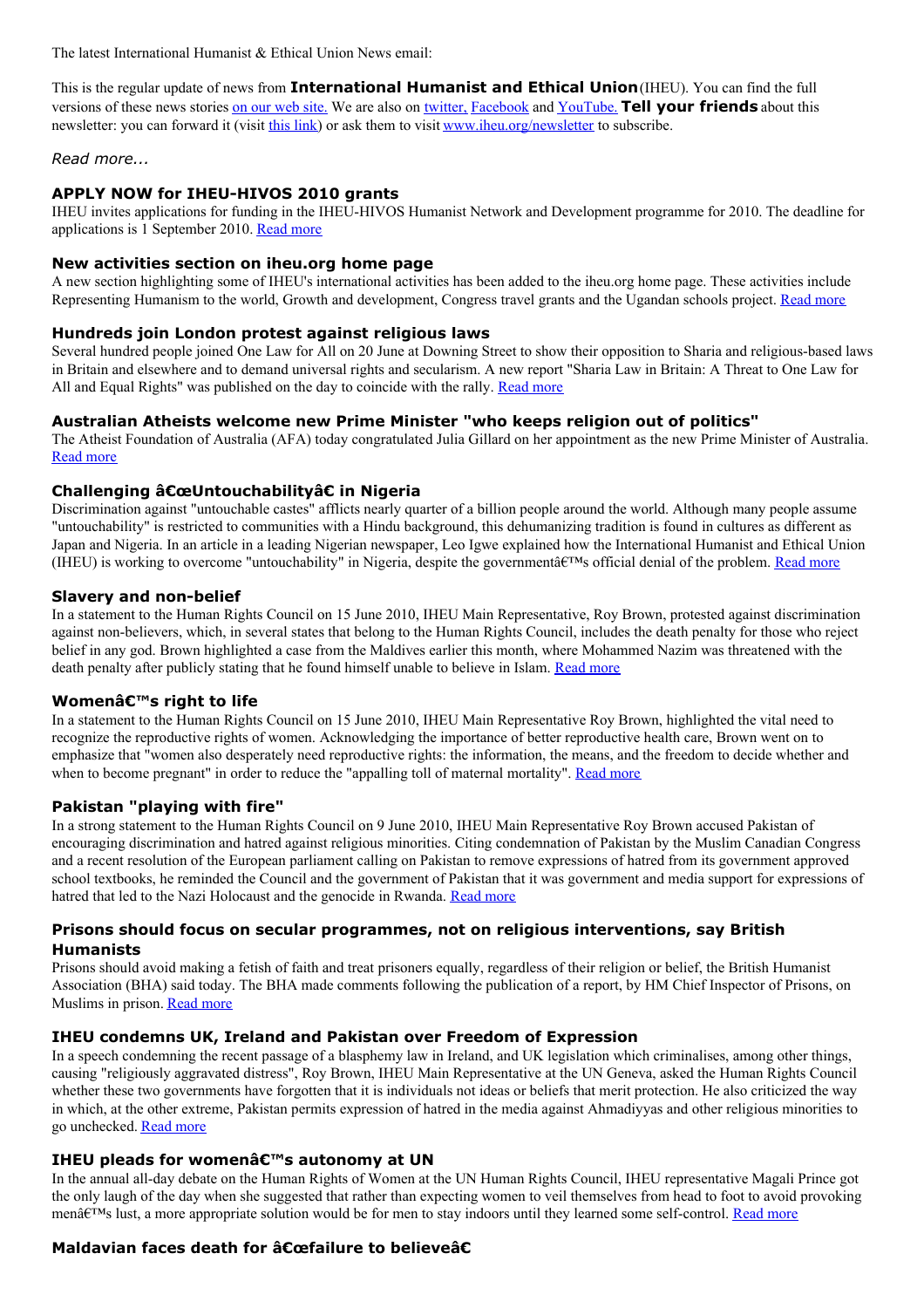The latest International Humanist & Ethical Union News email:

This is the regular update of news from **International Humanist and Ethical Union**(IHEU). You can find the full versions of these news stories on our [web](http://www.iheu.org/) site. We are also on [twitter,](http://twitter.com/iheu) [Facebook](http://facebook.com/iheunion) and [YouTube.](http://www.youtube.com/user/IHEUUnitedNations) **Tell your friends** about this newsletter: you can forward it (visit [this](http://www.iheu.org/lists/?p=forward&uid=6cd4076bd0e2444ea8186bb829b81b14&mid=203) link) or ask them to visit [www.iheu.org/newsletter](http://www.iheu.org/newsletter) to subscribe.

## *Read more...*

# **APPLY NOW for IHEU-HIVOS 2010 grants**

IHEU invites applications for funding in the IHEU-HIVOS Humanist Network and Development programme for 2010. The deadline for applications is 1 September 2010. [Read](http://www.iheu.org/node/3923) more

## **New activities section on iheu.org home page**

A new section highlighting some of IHEU's international activities has been added to the iheu.org home page. These activities include Representing Humanism to the world, Growth and development, Congress travel grants and the Ugandan schools project. [Read](http://www.iheu.org/node/3936) more

## **Hundreds join London protest against religious laws**

Several hundred people joined One Law for All on 20 June at Downing Street to show their opposition to Sharia and religious-based laws in Britain and elsewhere and to demand universal rights and secularism. A new report "Sharia Law in Britain: A Threat to One Law for All and Equal Rights" was published on the day to coincide with the rally. [Read](http://www.iheu.org/node/3931) more

# **Australian Atheists welcome new Prime Minister "who keeps religion out of politics"**

The Atheist Foundation of Australia (AFA) today congratulated Julia Gillard on her appointment as the new Prime Minister of Australia. [Read](http://www.iheu.org/node/3930) more

## **Challenging "Untouchability†in Nigeria**

Discrimination against "untouchable castes" afflicts nearly quarter of a billion people around the world. Although many people assume "untouchability" is restricted to communities with a Hindu background, this dehumanizing tradition is found in cultures as different as Japan and Nigeria. In an article in a leading Nigerian newspaper, Leo Igwe explained how the International Humanist and Ethical Union (IHEU) is working to overcome "untouchability" in Nigeria, despite the government  $\hat{a} \in \mathbb{N}$  official denial of the problem. Read [more](http://www.iheu.org/node/3928)

### **Slavery and non-belief**

In a statement to the Human Rights Council on 15 June 2010, IHEU Main Representative, Roy Brown, protested against discrimination against non-believers, which, in several states that belong to the Human Rights Council, includes the death penalty for those who reject belief in any god. Brown highlighted a case from the Maldives earlier this month, where Mohammed Nazim was threatened with the death penalty after publicly stating that he found himself unable to believe in Islam. [Read](http://www.iheu.org/node/3927) more

### **Women's right to life**

In a statement to the Human Rights Council on 15 June 2010, IHEU Main Representative Roy Brown, highlighted the vital need to recognize the reproductive rights of women. Acknowledging the importance of better reproductive health care, Brown went on to emphasize that "women also desperately need reproductive rights: the information, the means, and the freedom to decide whether and when to become pregnant" in order to reduce the "appalling toll of maternal mortality". [Read](http://www.iheu.org/node/3926) more

# **Pakistan "playing with fire"**

In a strong statement to the Human Rights Council on 9 June 2010, IHEU Main Representative Roy Brown accused Pakistan of encouraging discrimination and hatred against religious minorities. Citing condemnation of Pakistan by the Muslim Canadian Congress and a recent resolution of the European parliament calling on Pakistan to remove expressions of hatred from its government approved school textbooks, he reminded the Council and the government of Pakistan that it was government and media support for expressions of hatred that led to the Nazi Holocaust and the genocide in Rwanda. Read [more](http://www.iheu.org/node/3914)

# **Prisons should focus on secular programmes, not on religious interventions, say British Humanists**

Prisons should avoid making a fetish of faith and treat prisoners equally, regardless of their religion or belief, the British Humanist Association (BHA) said today. The BHA made comments following the publication of a report, by HM Chief Inspector of Prisons, on Muslims in prison. [Read](http://www.iheu.org/node/3913) more

### **IHEU condemns UK, Ireland and Pakistan over Freedom of Expression**

In a speech condemning the recent passage of a blasphemy law in Ireland, and UK legislation which criminalises, among other things, causing "religiously aggravated distress", Roy Brown, IHEU Main Representative at the UN Geneva, asked the Human Rights Council whether these two governments have forgotten that it is individuals not ideas or beliefs that merit protection. He also criticized the way in which, at the other extreme, Pakistan permits expression of hatred in the media against Ahmadiyyas and other religious minorities to go unchecked. Read [more](http://www.iheu.org/node/3912)

### **IHEU pleads for women's autonomy at UN**

In the annual all-day debate on the Human Rights of Women at the UN Human Rights Council, IHEU representative Magali Prince got the only laugh of the day when she suggested that rather than expecting women to veil themselves from head to foot to avoid provoking menâ $\epsilon^{TM}$ s lust, a [more](http://www.iheu.org/node/3911) appropriate solution would be for men to stay indoors until they learned some self-control. Read more

# **Maldavian faces death for "failure to believeâ€**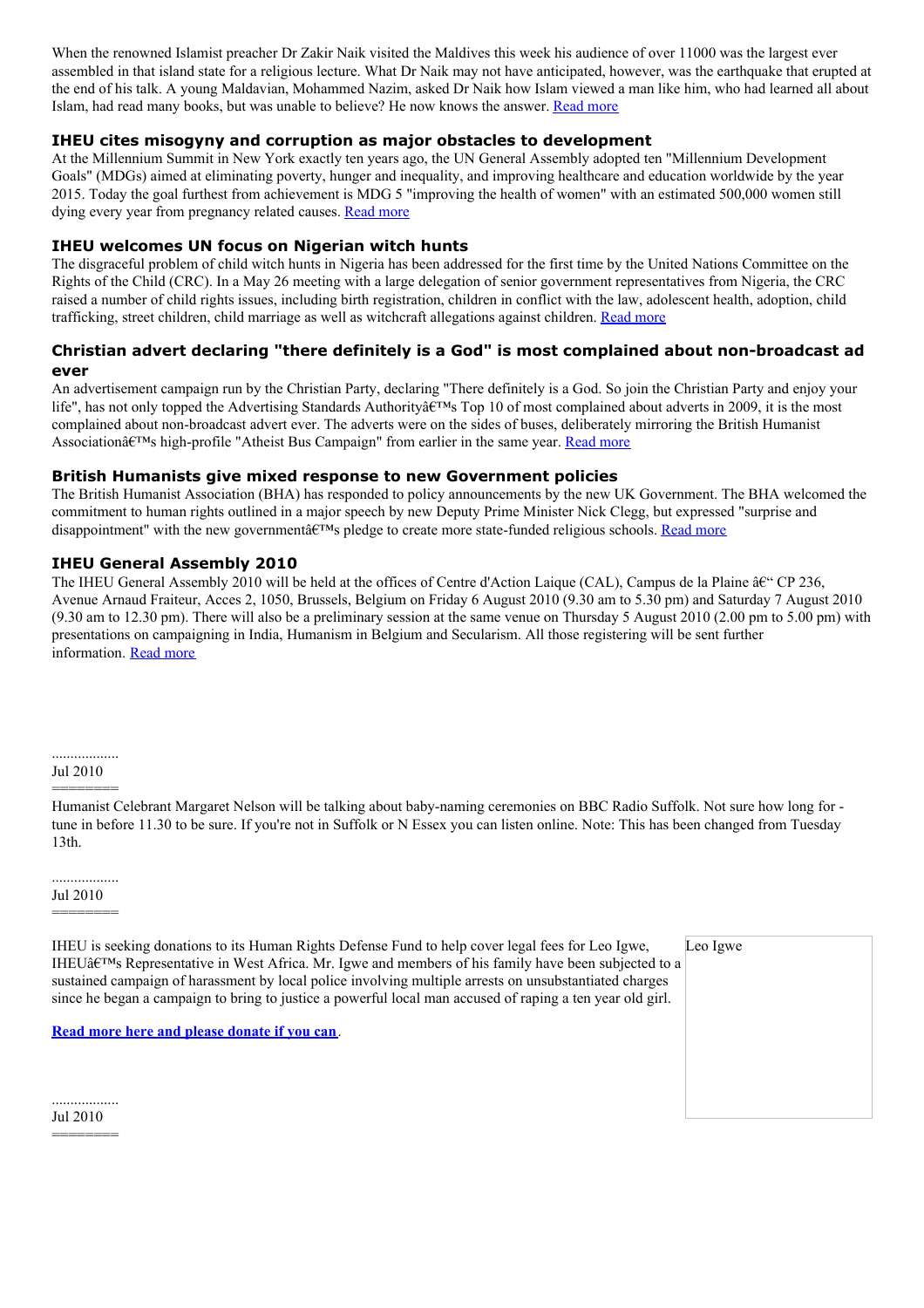When the renowned Islamist preacher Dr Zakir Naik visited the Maldives this week his audience of over 11000 was the largest ever assembled in that island state for a religious lecture. What Dr Naik may not have anticipated, however, was the earthquake that erupted at the end of his talk. A young Maldavian, Mohammed Nazim, asked Dr Naik how Islam viewed a man like him, who had learned all about Islam, had read many books, but was unable to believe? He now knows the answer. Read [more](http://www.iheu.org/node/3910)

## **IHEU cites misogyny and corruption as major obstacles to development**

At the Millennium Summit in New York exactly ten years ago, the UN General Assembly adopted ten "Millennium Development Goals" (MDGs) aimed at eliminating poverty, hunger and inequality, and improving healthcare and education worldwide by the year 2015. Today the goal furthest from achievement is MDG 5 "improving the health of women" with an estimated 500,000 women still dying every year from pregnancy related causes. [Read](http://www.iheu.org/node/3909) more

# **IHEU welcomes UN focus on Nigerian witch hunts**

The disgraceful problem of child witch hunts in Nigeria has been addressed for the first time by the United Nations Committee on the Rights of the Child (CRC). In a May 26 meeting with a large delegation of senior government representatives from Nigeria, the CRC raised a number of child rights issues, including birth registration, children in conflict with the law, adolescent health, adoption, child trafficking, street children, child marriage as well as witchcraft allegations against children. [Read](http://www.iheu.org/node/3908) more

# **Christian advert declaring "there definitely is a God" is most complained about non-broadcast ad ever**

An advertisement campaign run by the Christian Party, declaring "There definitely is a God. So join the Christian Party and enjoy your life", has not only topped the Advertising Standards Authority  $\hat{a} \in \mathbb{N}$  Top 10 of most complained about adverts in 2009, it is the most complained about non-broadcast advert ever. The adverts were on the sides of buses, deliberately mirroring the British Humanist Association $\hat{\mathbf{a}} \in \mathbb{R}^N$ s high-profile "Atheist Bus Campaign" from earlier in the same year. Read [more](http://www.iheu.org/node/3907)

## **British Humanists give mixed response to new Government policies**

The British Humanist Association (BHA) has responded to policy announcements by the new UK Government. The BHA welcomed the commitment to human rights outlined in a major speech by new Deputy Prime Minister Nick Clegg, but expressed "surprise and disappointment" with the new government $\hat{a} \in \mathbb{N}$ s pledge to create more state-funded religious schools. [Read](http://www.iheu.org/node/3906) more

## **IHEU General Assembly 2010**

The IHEU General Assembly 2010 will be held at the offices of Centre d'Action Laique (CAL), Campus de la Plaine †CP 236, Avenue Arnaud Fraiteur, Acces 2, 1050, Brussels, Belgium on Friday 6 August 2010 (9.30 am to 5.30 pm) and Saturday 7 August 2010 (9.30 am to 12.30 pm). There will also be a preliminary session at the same venue on Thursday 5 August 2010 (2.00 pm to 5.00 pm) with presentations on campaigning in India, Humanism in Belgium and Secularism. All those registering will be sent further information. [Read](http://www.iheu.org/node/3812) more

..................

Jul 2010 ========

Humanist Celebrant Margaret Nelson will be talking about baby-naming ceremonies on BBC Radio Suffolk. Not sure how long for tune in before 11.30 to be sure. If you're not in Suffolk or N Essex you can listen online. Note: This has been changed from Tuesday 13th.

.................. Jul 2010 ========

IHEU is seeking donations to its Human Rights Defense Fund to help cover legal fees for Leo Igwe, IHEU $\hat{a} \in \hat{A}$ 's Representative in West Africa. Mr. Igwe and members of his family have been subjected to a sustained campaign of harassment by local police involving multiple arrests on unsubstantiated charges since he began a campaign to bring to justice a powerful local man accused of raping a ten year old girl.

**Read more here and please [donate](http://www.iheu.org/help-defend-leo-igwe) if you can**.

Jul 2010 ======== Leo Igwe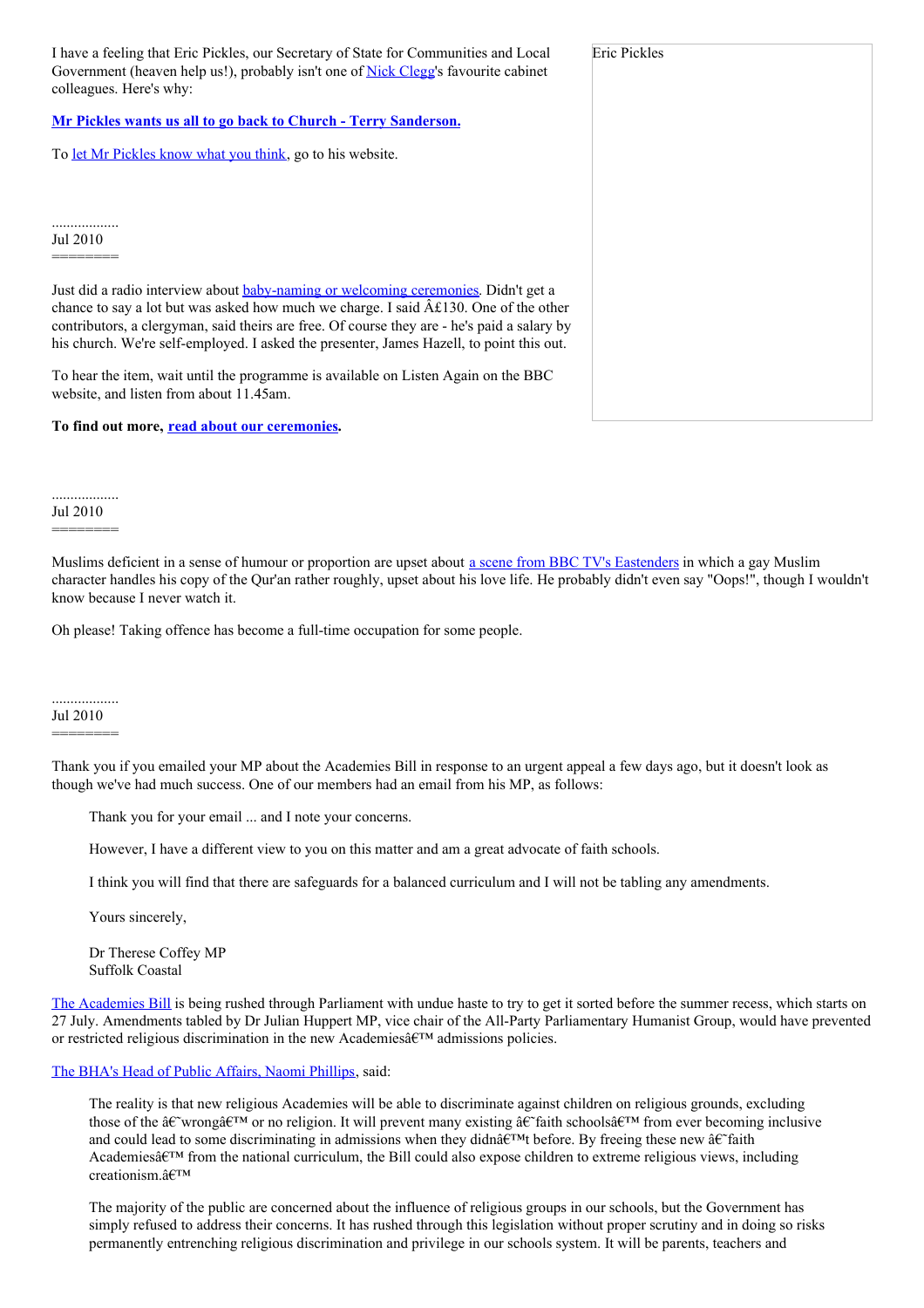| I have a feeling that Eric Pickles, our Secretary of State for Communities and Local<br>Government (heaven help us!), probably isn't one of Nick Clegg's favourite cabinet<br>colleagues. Here's why:                                                                                                                                                                                  | Eric Pickles |
|----------------------------------------------------------------------------------------------------------------------------------------------------------------------------------------------------------------------------------------------------------------------------------------------------------------------------------------------------------------------------------------|--------------|
| <u>Mr Pickles wants us all to go back to Church - Terry Sanderson.</u>                                                                                                                                                                                                                                                                                                                 |              |
| To let Mr Pickles know what you think, go to his website.                                                                                                                                                                                                                                                                                                                              |              |
|                                                                                                                                                                                                                                                                                                                                                                                        |              |
| Jul 2010                                                                                                                                                                                                                                                                                                                                                                               |              |
| Just did a radio interview about baby-naming or welcoming ceremonies. Didn't get a<br>chance to say a lot but was asked how much we charge. I said $\hat{A} \pounds 130$ . One of the other<br>contributors, a clergyman, said theirs are free. Of course they are - he's paid a salary by<br>his church. We're self-employed. I asked the presenter, James Hazell, to point this out. |              |
| To hear the item, wait until the programme is available on Listen Again on the BBC<br>website, and listen from about 11.45am.                                                                                                                                                                                                                                                          |              |
| To find out more, read about our ceremonies.                                                                                                                                                                                                                                                                                                                                           |              |

#### .................. Jul 2010

========

Muslims deficient in a sense of humour or proportion are upset about a scene from BBC TV's [Eastenders](http://www.guardian.co.uk/tv-and-radio/2010/jul/21/bbc-defends-quran-incident-eastenders) in which a gay Muslim character handles his copy of the Qur'an rather roughly, upset about his love life. He probably didn't even say "Oops!", though I wouldn't know because I never watch it.

Oh please! Taking offence has become a full-time occupation for some people.

#### .................. Jul 2010 ========

Thank you if you emailed your MP about the Academies Bill in response to an urgent appeal a few days ago, but it doesn't look as though we've had much success. One of our members had an email from his MP, as follows:

Thank you for your email ... and I note your concerns.

However, I have a different view to you on this matter and am a great advocate of faith schools.

I think you will find that there are safeguards for a balanced curriculum and I will not be tabling any amendments.

Yours sincerely,

Dr Therese Coffey MP Suffolk Coastal

The [Academies](http://services.parliament.uk/bills/2010-11/academieshl.html) Bill is being rushed through Parliament with undue haste to try to get it sorted before the summer recess, which starts on 27 July. Amendments tabled by Dr Julian Huppert MP, vice chair of the All-Party Parliamentary Humanist Group, would have prevented or restricted religious discrimination in the new Academies $\hat{a} \in T^{M}$  admissions policies.

### The BHA's Head of Public [Affairs,](http://www.humanism.org.uk/news/view/606) Naomi Phillips, said:

The reality is that new religious Academies will be able to discriminate against children on religious grounds, excluding those of the  $\hat{\mathcal{H}}^w$  or no religion. It will prevent many existing  $\hat{\mathcal{H}}^w$  from ever becoming inclusive and could lead to some discriminating in admissions when they didn't before. By freeing these new †faith Academies $\hat{\mathbf{a}} \in \mathbb{M}$  from the national curriculum, the Bill could also expose children to extreme religious views, including creationism.'

The majority of the public are concerned about the influence of religious groups in our schools, but the Government has simply refused to address their concerns. It has rushed through this legislation without proper scrutiny and in doing so risks permanently entrenching religious discrimination and privilege in our schools system. It will be parents, teachers and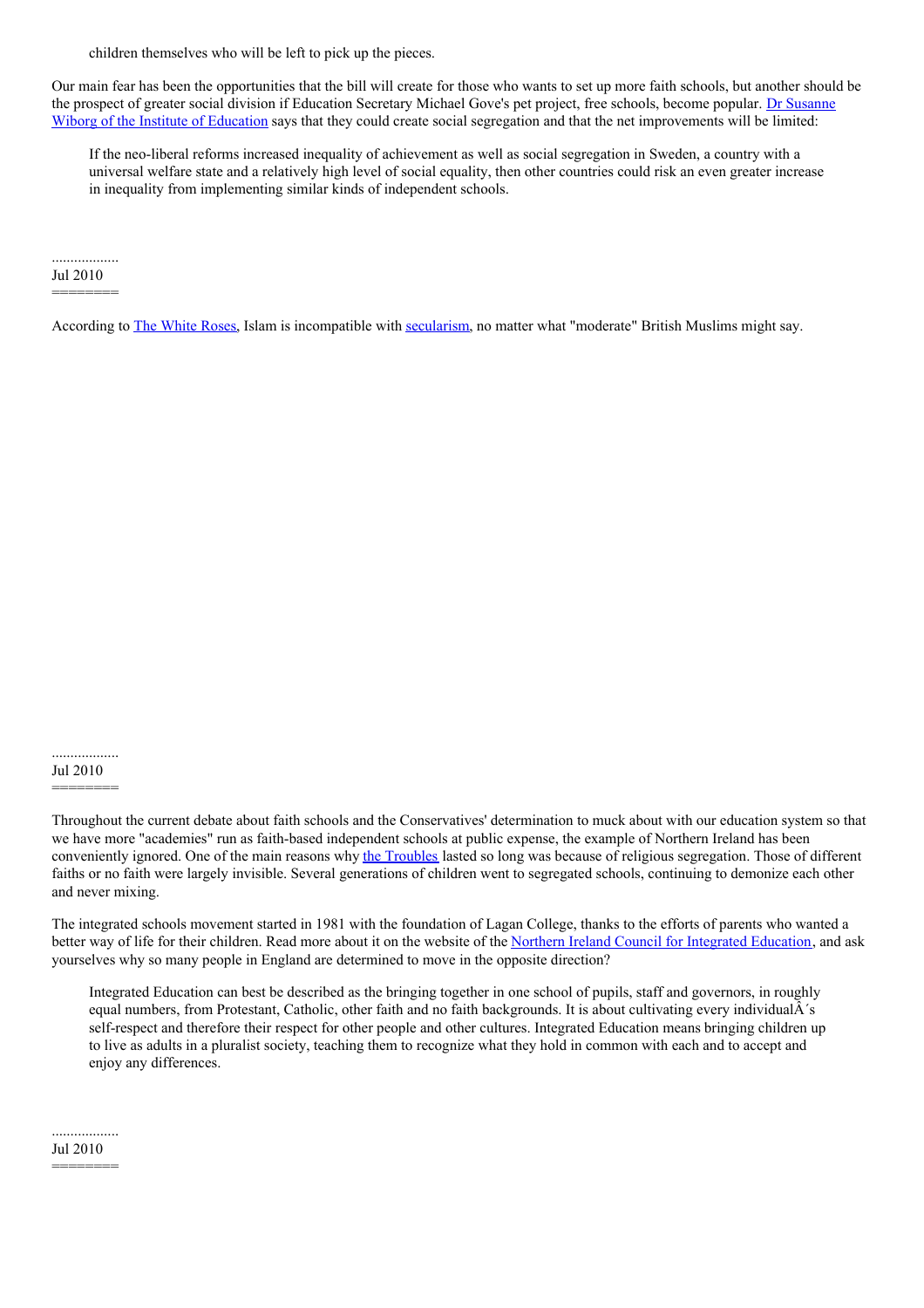children themselves who will be left to pick up the pieces.

Our main fear has been the opportunities that the bill will create for those who wants to set up more faith schools, but another should be the prospect of greater social division if Education Secretary Michael Gove's pet project, free schools, become popular. Dr Susanne Wiborg of the Institute of Education says that they could create social segregation and that the net [improvements](http://www.bbc.co.uk/news/education-10725724) will be limited:

If the neo-liberal reforms increased inequality of achievement as well as social segregation in Sweden, a country with a universal welfare state and a relatively high level of social equality, then other countries could risk an even greater increase in inequality from implementing similar kinds of independent schools.

Jul 2010

========

According to The [White](http://www.youtube.com/user/TheWhiteR0ses) Roses, Islam is incompatible with [secularism](http://www.suffolkhands.org.uk/secularism), no matter what "moderate" British Muslims might say.

.................. Jul 2010

========

Throughout the current debate about faith schools and the Conservatives' determination to muck about with our education system so that we have more "academies" run as faith-based independent schools at public expense, the example of Northern Ireland has been conveniently ignored. One of the main reasons why the [Troubles](http://www.bbc.co.uk/history/recent/troubles/the_troubles_article_01.shtml) lasted so long was because of religious segregation. Those of different faiths or no faith were largely invisible. Several generations of children went to segregated schools, continuing to demonize each other and never mixing.

The integrated schools movement started in 1981 with the foundation of Lagan College, thanks to the efforts of parents who wanted a better way of life for their children. Read more about it on the website of the Northern Ireland Council for [Integrated](http://www.nicie.org/aboutus/) Education, and ask yourselves why so many people in England are determined to move in the opposite direction?

Integrated Education can best be described as the bringing together in one school of pupils, staff and governors, in roughly equal numbers, from Protestant, Catholic, other faith and no faith backgrounds. It is about cultivating every individual $\hat{A}$ 's self-respect and therefore their respect for other people and other cultures. Integrated Education means bringing children up to live as adults in a pluralist society, teaching them to recognize what they hold in common with each and to accept and enjoy any differences.

.................. Jul 2010 ========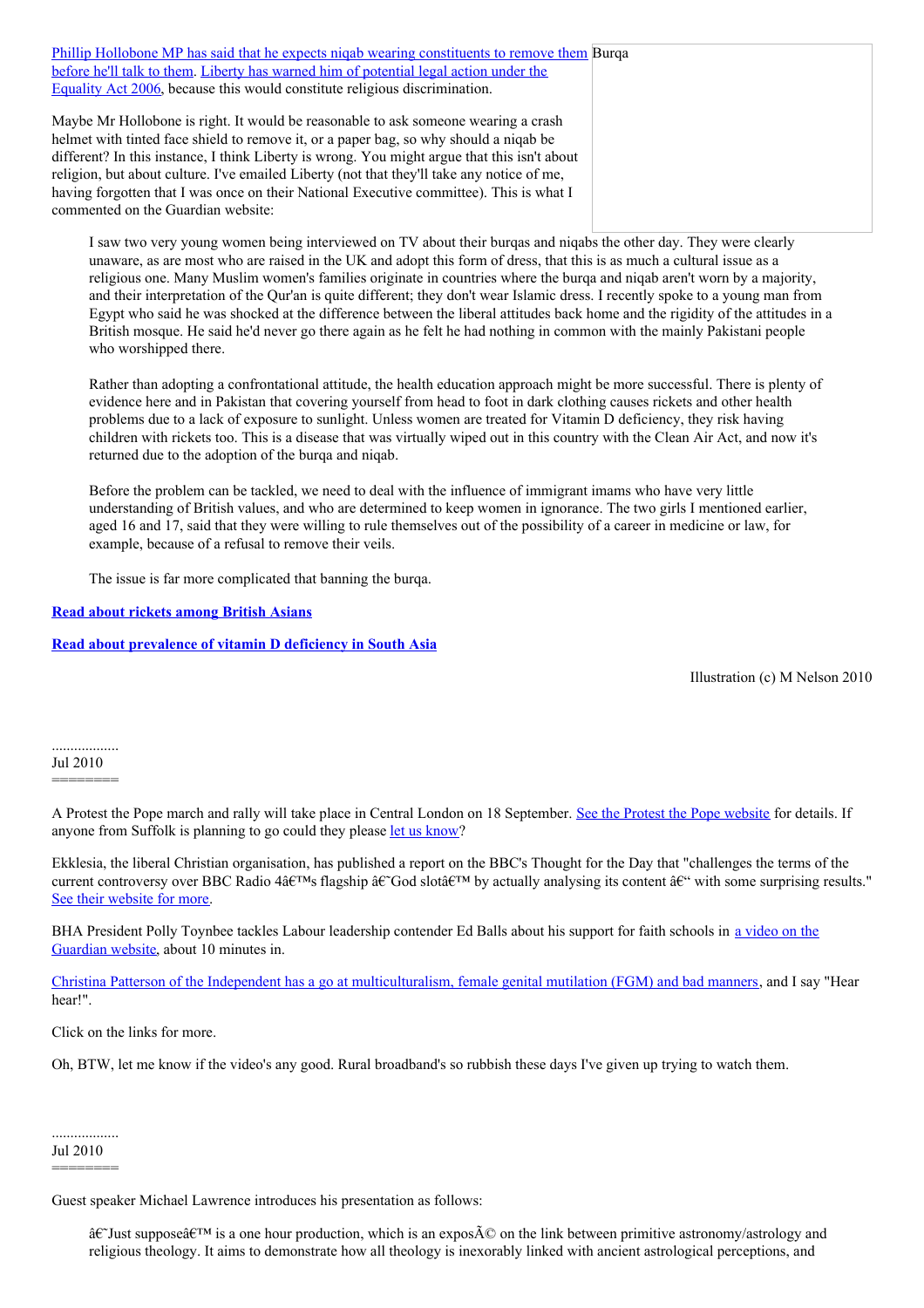| Phillip Hollobone MP has said that he expects nigab wearing constituents to remove them Burga |  |
|-----------------------------------------------------------------------------------------------|--|
| before he'll talk to them. Liberty has warned him of potential legal action under the         |  |
| Equality Act 2006, because this would constitute religious discrimination.                    |  |
|                                                                                               |  |
| Maybe Mr Hollobone is right. It would be reasonable to ask someone wearing a crash            |  |
| helmet with tinted face shield to remove it, or a paper bag, so why should a niqab be         |  |
| different? In this instance, I think Liberty is wrong. You might argue that this isn't about  |  |
| religion, but about culture. I've emailed Liberty (not that they'll take any notice of me,    |  |
| having forgotten that I was once on their National Executive committee). This is what I       |  |
| commented on the Guardian website:                                                            |  |

I saw two very young women being interviewed on TV about their burqas and niqabs the other day. They were clearly unaware, as are most who are raised in the UK and adopt this form of dress, that this is as much a cultural issue as a religious one. Many Muslim women's families originate in countries where the burqa and niqab aren't worn by a majority, and their interpretation of the Qur'an is quite different; they don't wear Islamic dress. I recently spoke to a young man from Egypt who said he was shocked at the difference between the liberal attitudes back home and the rigidity of the attitudes in a British mosque. He said he'd never go there again as he felt he had nothing in common with the mainly Pakistani people who worshipped there.

Rather than adopting a confrontational attitude, the health education approach might be more successful. There is plenty of evidence here and in Pakistan that covering yourself from head to foot in dark clothing causes rickets and other health problems due to a lack of exposure to sunlight. Unless women are treated for Vitamin D deficiency, they risk having children with rickets too. This is a disease that was virtually wiped out in this country with the Clean Air Act, and now it's returned due to the adoption of the burqa and niqab.

Before the problem can be tackled, we need to deal with the influence of immigrant imams who have very little understanding of British values, and who are determined to keep women in ignorance. The two girls I mentioned earlier, aged 16 and 17, said that they were willing to rule themselves out of the possibility of a career in medicine or law, for example, because of a refusal to remove their veils.

The issue is far more complicated that banning the burqa.

### **Read about rickets among [British](http://news.bbc.co.uk/1/hi/health/1154211.stm) Asians**

### **Read about [prevalence](http://www.pjms.com.pk/issues/octdec208/article/reviewarticle1.html) of vitamin D deficiency in South Asia**

Illustration (c) M Nelson 2010

.................. Jul 2010

========

A Protest the Pope march and rally will take place in Central London on 18 September. See the Protest the Pope [website](http://www.protest-the-pope.org.uk/2010/07/march-and-rally-main-event-for-the-protest-the-pope-campaign/) for details. If anyone from Suffolk is planning to go could they please let us [know](http://www.suffolkhands.org.uk/contact)?

Ekklesia, the liberal Christian organisation, has published a report on the BBC's Thought for the Day that "challenges the terms of the current controversy over BBC Radio 4's flagship â€~God slot' by actually analysing its content – with some surprising results." See their [website](http://www.ekklesia.co.uk/node/12711) for more.

BHA President Polly Toynbee tackles Labour [leadership](http://www.guardian.co.uk/politics/video/2010/jul/26/labour-leadership-ed-balls) contender Ed Balls about his support for faith schools in a video on the Guardian website, about 10 minutes in.

Christina Patterson of the Independent has a go at [multiculturalism,](http://www.independent.co.uk/opinion/commentators/christina-patterson/christina-patterson-the-limits-of-multiculturalism-2036861.html) female genital mutilation (FGM) and bad manners, and I say "Hear hear!".

Click on the links for more.

Oh, BTW, let me know if the video's any good. Rural broadband's so rubbish these days I've given up trying to watch them.

.................. Jul 2010 ========

Guest speaker Michael Lawrence introduces his presentation as follows:

 $\hat{a}\hat{\epsilon}$  Just suppose $\hat{a}\hat{\epsilon}^{\text{TM}}$  is a one hour production, which is an expos $\tilde{A}\hat{\epsilon}$  on the link between primitive astronomy/astrology and religious theology. It aims to demonstrate how all theology is inexorably linked with ancient astrological perceptions, and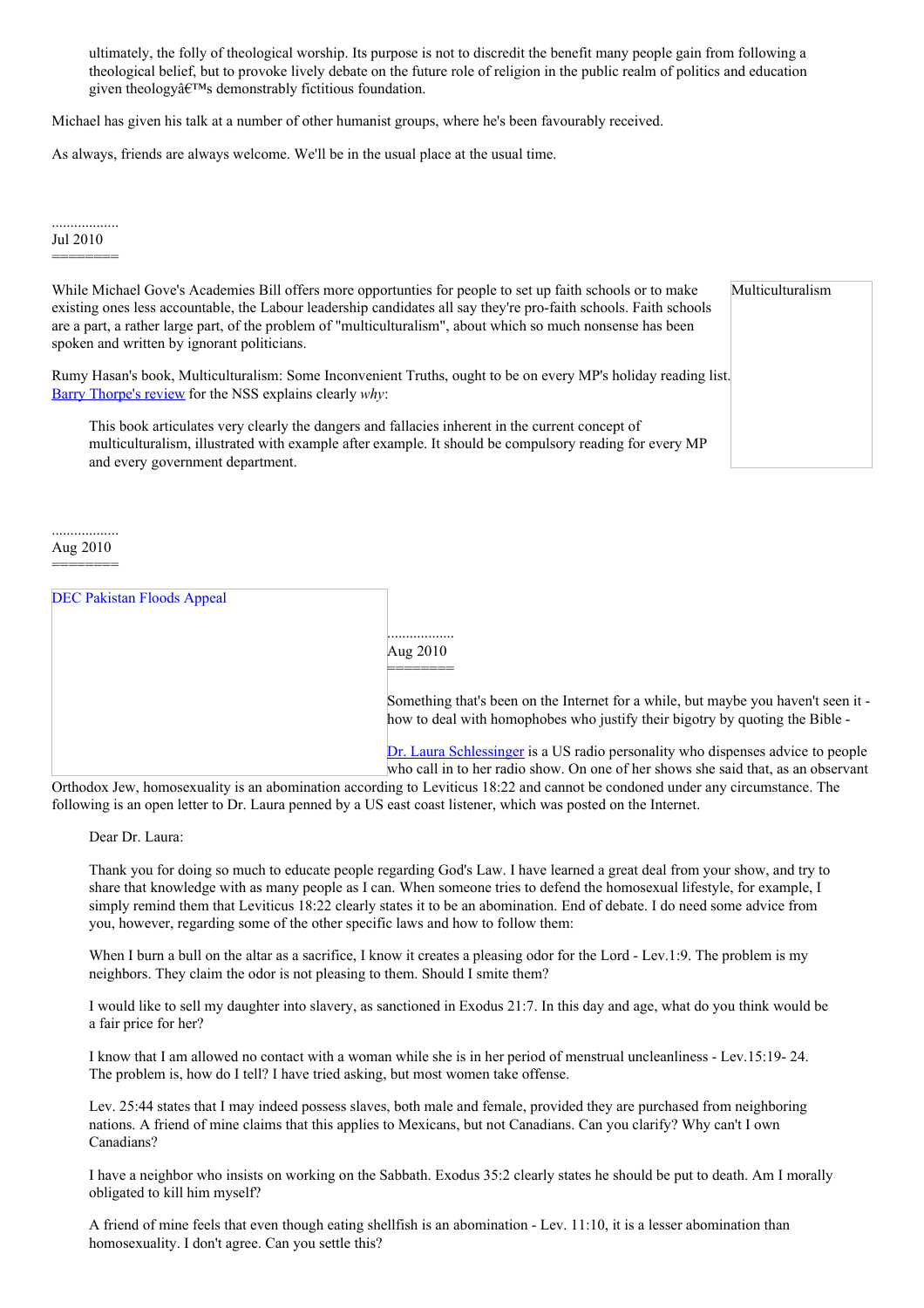ultimately, the folly of theological worship. Its purpose is not to discredit the benefit many people gain from following a theological belief, but to provoke lively debate on the future role of religion in the public realm of politics and education given theology $\hat{\mathbf{a}} \in \mathbb{R}^N$ s demonstrably fictitious foundation.

Multiculturalism

Michael has given his talk at a number of other humanist groups, where he's been favourably received.

As always, friends are always welcome. We'll be in the usual place at the usual time.

.................. Jul 2010

========

While Michael Gove's Academies Bill offers more opportunties for people to set up faith schools or to make existing ones less accountable, the Labour leadership candidates all say they're pro-faith schools. Faith schools are a part, a rather large part, of the problem of "multiculturalism", about which so much nonsense has been spoken and written by ignorant politicians.

Rumy Hasan's book, Multiculturalism: Some Inconvenient Truths, ought to be on every MP's holiday reading list. Barry [Thorpe's](http://www.secularism.org.uk/multiculturalism-some-inconvenie1.html) review for the NSS explains clearly *why*:

This book articulates very clearly the dangers and fallacies inherent in the current concept of multiculturalism, illustrated with example after example. It should be compulsory reading for every MP and every government department.

.................. Aug 2010 ========

DEC Pakistan Floods Appeal .................. Aug 2010 ========== Something that's been on the Internet for a while, but maybe you haven't seen it how to deal with homophobes who justify their bigotry by quoting the Bible - Dr. Laura [Schlessinger](http://www.drlaura.com/main/) is a US radio personality who dispenses advice to people who call in to her radio show. On one of her shows she said that, as an observant

Orthodox Jew, homosexuality is an abomination according to Leviticus 18:22 and cannot be condoned under any circumstance. The following is an open letter to Dr. Laura penned by a US east coast listener, which was posted on the Internet.

Dear Dr. Laura:

Thank you for doing so much to educate people regarding God's Law. I have learned a great deal from your show, and try to share that knowledge with as many people as I can. When someone tries to defend the homosexual lifestyle, for example, I simply remind them that Leviticus 18:22 clearly states it to be an abomination. End of debate. I do need some advice from you, however, regarding some of the other specific laws and how to follow them:

When I burn a bull on the altar as a sacrifice, I know it creates a pleasing odor for the Lord - Lev.1:9. The problem is my neighbors. They claim the odor is not pleasing to them. Should I smite them?

I would like to sell my daughter into slavery, as sanctioned in Exodus 21:7. In this day and age, what do you think would be a fair price for her?

I know that I am allowed no contact with a woman while she is in her period of menstrual uncleanliness - Lev.15:19- 24. The problem is, how do I tell? I have tried asking, but most women take offense.

Lev. 25:44 states that I may indeed possess slaves, both male and female, provided they are purchased from neighboring nations. A friend of mine claims that this applies to Mexicans, but not Canadians. Can you clarify? Why can't I own Canadians?

I have a neighbor who insists on working on the Sabbath. Exodus 35:2 clearly states he should be put to death. Am I morally obligated to kill him myself?

A friend of mine feels that even though eating shellfish is an abomination - Lev. 11:10, it is a lesser abomination than homosexuality. I don't agree. Can you settle this?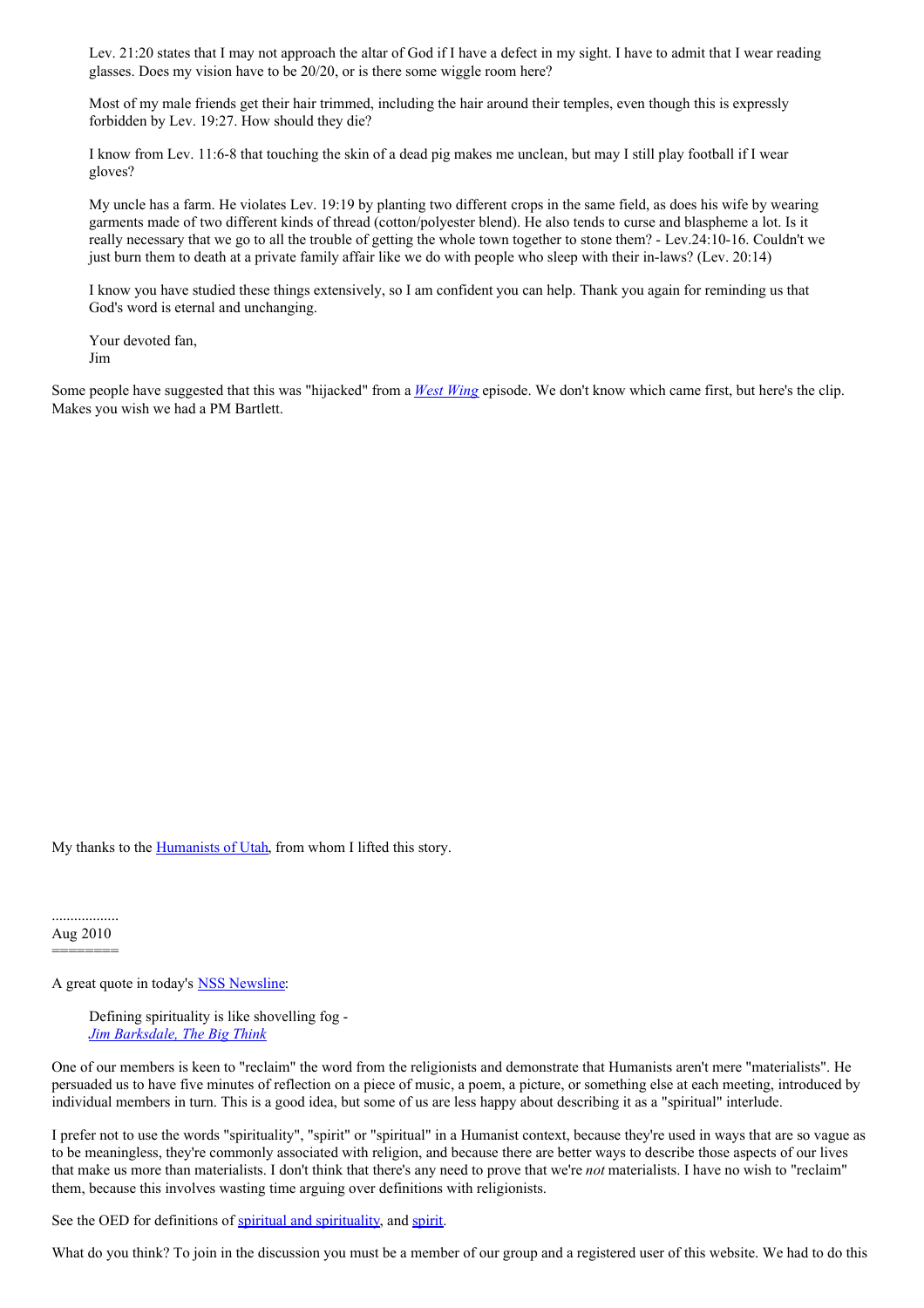Lev. 21:20 states that I may not approach the altar of God if I have a defect in my sight. I have to admit that I wear reading glasses. Does my vision have to be 20/20, or is there some wiggle room here?

Most of my male friends get their hair trimmed, including the hair around their temples, even though this is expressly forbidden by Lev. 19:27. How should they die?

I know from Lev. 11:6-8 that touching the skin of a dead pig makes me unclean, but may I still play football if I wear gloves?

My uncle has a farm. He violates Lev. 19:19 by planting two different crops in the same field, as does his wife by wearing garments made of two different kinds of thread (cotton/polyester blend). He also tends to curse and blaspheme a lot. Is it really necessary that we go to all the trouble of getting the whole town together to stone them? - Lev.24:10-16. Couldn't we just burn them to death at a private family affair like we do with people who sleep with their in-laws? (Lev. 20:14)

I know you have studied these things extensively, so I am confident you can help. Thank you again for reminding us that God's word is eternal and unchanging.

Your devoted fan, Jim

Some people have suggested that this was "hijacked" from a *West [Wing](http://en.wikipedia.org/wiki/The_West_Wing)* episode. We don't know which came first, but here's the clip. Makes you wish we had a PM Bartlett.

My thanks to the **[Humanists](http://www.humanistsofutah.org/2002/WhyCantIOwnACanadian_10-02.html) of Utah**, from whom I lifted this story.

.................. Aug 2010 ========

A great quote in today's **NSS [Newsline](http://www.secularism.org.uk/newsline.html):** 

Defining spirituality is like shovelling fog - *Jim [Barksdale,](http://bigthink.com/jimbarksdale) The Big Think*

One of our members is keen to "reclaim" the word from the religionists and demonstrate that Humanists aren't mere "materialists". He persuaded us to have five minutes of reflection on a piece of music, a poem, a picture, or something else at each meeting, introduced by individual members in turn. This is a good idea, but some of us are less happy about describing it as a "spiritual" interlude.

I prefer not to use the words "spirituality", "spirit" or "spiritual" in a Humanist context, because they're used in ways that are so vague as to be meaningless, they're commonly associated with religion, and because there are better ways to describe those aspects of our lives that make us more than materialists. I don't think that there's any need to prove that we're *not* materialists. I have no wish to "reclaim" them, because this involves wasting time arguing over definitions with religionists.

See the OED for definitions of spiritual and [spirituality](http://oxforddictionaries.com/view/entry/m_en_gb0801390#m_en_gb0801390), and [spirit](http://oxforddictionaries.com/definition/spirit?rskey=7mVytM&result=1#m_en_gb0801270).

What do you think? To join in the discussion you must be a member of our group and a registered user of this website. We had to do this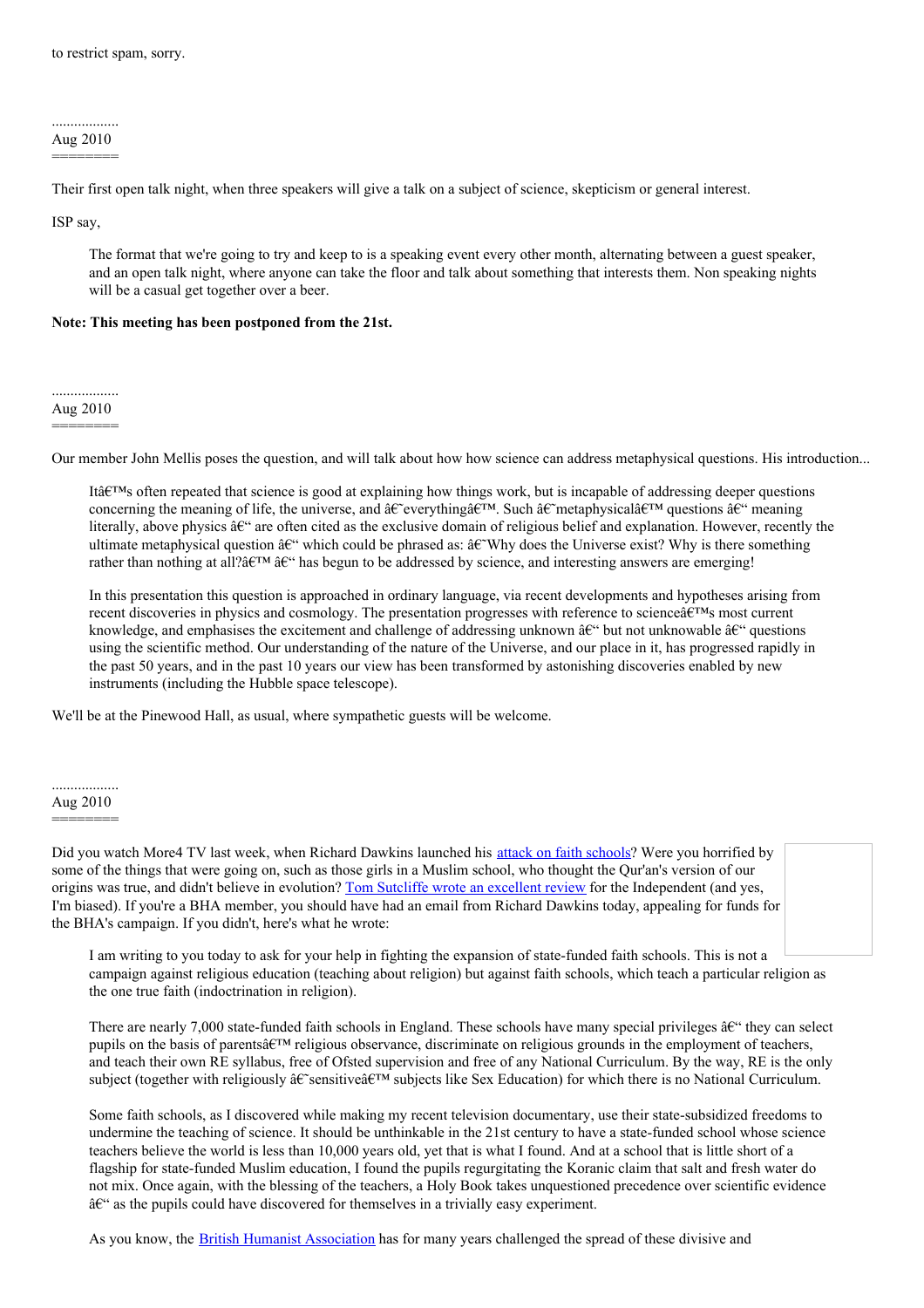#### .................. Aug 2010 ========

Their first open talk night, when three speakers will give a talk on a subject of science, skepticism or general interest.

ISP say,

The format that we're going to try and keep to is a speaking event every other month, alternating between a guest speaker, and an open talk night, where anyone can take the floor and talk about something that interests them. Non speaking nights will be a casual get together over a beer.

#### **Note: This meeting has been postponed from the 21st.**

.................. Aug 2010

========

Our member John Mellis poses the question, and will talk about how how science can address metaphysical questions. His introduction...

It $\hat{\mathbf{a}} \in \mathbb{R}^m$ s often repeated that science is good at explaining how things work, but is incapable of addressing deeper questions concerning the meaning of life, the universe, and  $\hat{\mathbf{a}} \in \mathbb{C}$  everything  $\hat{\mathbf{a}} \in \mathbb{C}^M$ . Such  $\hat{\mathbf{a}} \in \mathbb{C}^M$  and  $\hat{\mathbf{a}} \in \mathbb{C}^M$  questions  $\hat{\mathbf{a}} \in \mathbb{C}^M$  meaning literally, above physics  $\hat{a}\in\hat{a}$  are often cited as the exclusive domain of religious belief and explanation. However, recently the ultimate metaphysical question  $\hat{a}\in\hat{C}$  which could be phrased as:  $\hat{a}\in\hat{C}$  Why does the Universe exist? Why is there something rather than nothing at all? $\hat{a} \in \hat{a}$  has begun to be addressed by science, and interesting answers are emerging!

In this presentation this question is approached in ordinary language, via recent developments and hypotheses arising from recent discoveries in physics and cosmology. The presentation progresses with reference to science $\hat{\mathbf{a}} \in \mathbb{N}$  most current knowledge, and emphasises the excitement and challenge of addressing unknown  $\hat{a}\in\hat{C}$  but not unknowable  $\hat{a}\in\hat{C}$  questions using the scientific method. Our understanding of the nature of the Universe, and our place in it, has progressed rapidly in the past 50 years, and in the past 10 years our view has been transformed by astonishing discoveries enabled by new instruments (including the Hubble space telescope).

We'll be at the Pinewood Hall, as usual, where sympathetic guests will be welcome.

#### .................. Aug 2010 ========

Did you watch More4 TV last week, when Richard Dawkins launched his attack on faith [schools](http://www.channel4.com/programmes/faith-school-menace)? Were you horrified by some of the things that were going on, such as those girls in a Muslim school, who thought the Qur'an's version of our origins was true, and didn't believe in evolution? Tom Sutcliffe wrote an [excellent](http://www.independent.co.uk/arts-entertainment/tv/reviews/last-nights-tv-faith-schools-menacemore-4-2056104.html) review for the Independent (and yes, I'm biased). If you're a BHA member, you should have had an email from Richard Dawkins today, appealing for funds for the BHA's campaign. If you didn't, here's what he wrote:

I am writing to you today to ask for your help in fighting the expansion of state-funded faith schools. This is not a campaign against religious education (teaching about religion) but against faith schools, which teach a particular religion as the one true faith (indoctrination in religion).

There are nearly 7,000 state-funded faith schools in England. These schools have many special privileges  $\hat{a} \in \hat{f}$  they can select pupils on the basis of parents $\hat{\mathbf{a}} \in \mathbb{M}$  religious observance, discriminate on religious grounds in the employment of teachers, and teach their own RE syllabus, free of Ofsted supervision and free of any National Curriculum. By the way, RE is the only subject (together with religiously  $\hat{\mathbf{a}} \in \mathbb{S}$  sensitive  $\hat{\mathbf{a}} \in \mathbb{N}$  subjects like Sex Education) for which there is no National Curriculum.

Some faith schools, as I discovered while making my recent television documentary, use their state-subsidized freedoms to undermine the teaching of science. It should be unthinkable in the 21st century to have a state-funded school whose science teachers believe the world is less than 10,000 years old, yet that is what I found. And at a school that is little short of a flagship for state-funded Muslim education, I found the pupils regurgitating the Koranic claim that salt and fresh water do not mix. Once again, with the blessing of the teachers, a Holy Book takes unquestioned precedence over scientific evidence  $\hat{a}\hat{\epsilon}$  as the pupils could have discovered for themselves in a trivially easy experiment.

As you know, the British Humanist [Association](http://www.humanism.org.uk) has for many years challenged the spread of these divisive and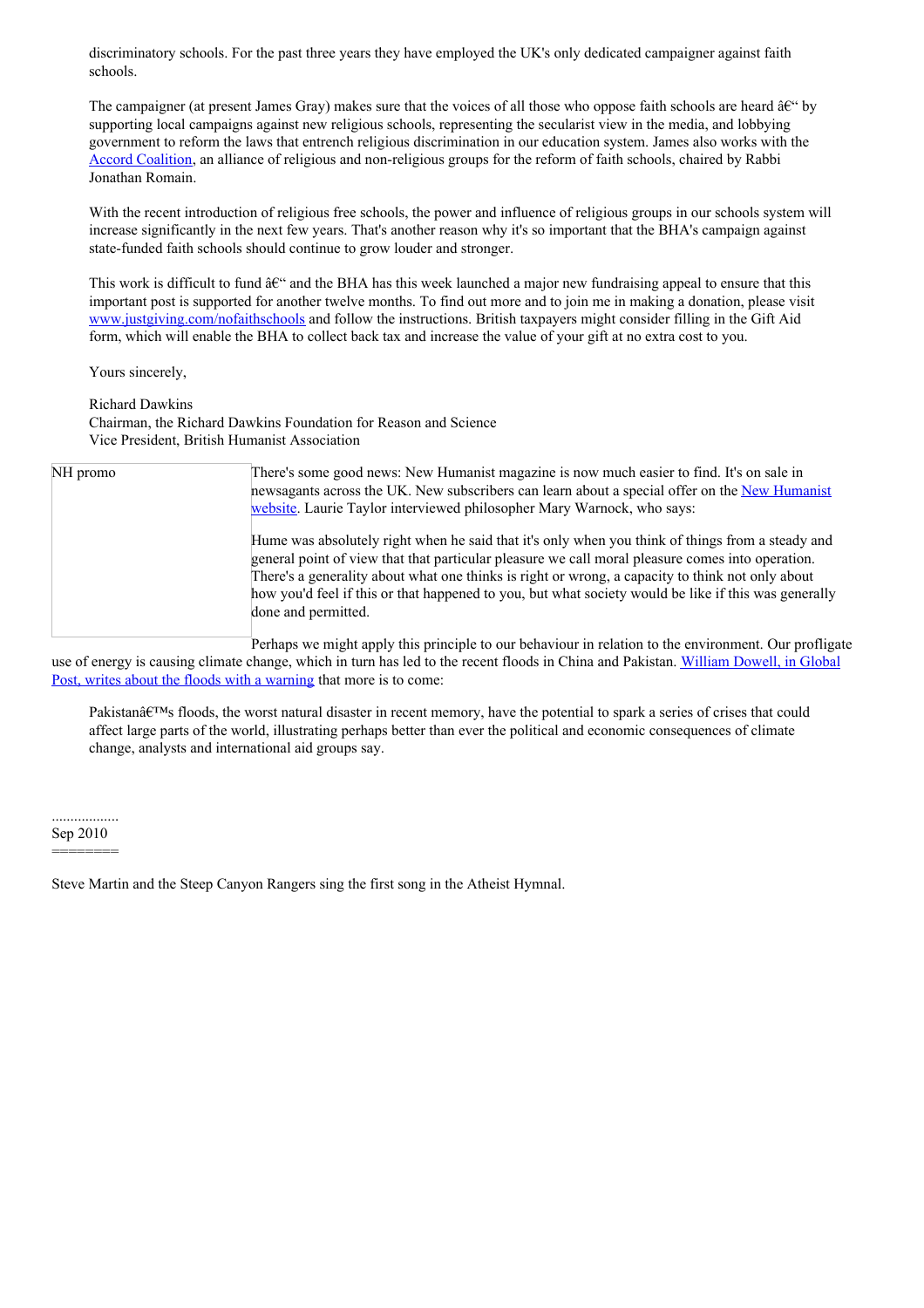discriminatory schools. For the past three years they have employed the UK's only dedicated campaigner against faith schools.

The campaigner (at present James Gray) makes sure that the voices of all those who oppose faith schools are heard  $\hat{a} \hat{\epsilon}$ " by supporting local campaigns against new religious schools, representing the secularist view in the media, and lobbying government to reform the laws that entrench religious discrimination in our education system. James also works with the Accord [Coalition](http://accordcoalition.org.uk/), an alliance of religious and non-religious groups for the reform of faith schools, chaired by Rabbi Jonathan Romain.

With the recent introduction of religious free schools, the power and influence of religious groups in our schools system will increase significantly in the next few years. That's another reason why it's so important that the BHA's campaign against state-funded faith schools should continue to grow louder and stronger.

This work is difficult to fund  $\hat{a}\in \hat{B}^*$  and the BHA has this week launched a major new fundraising appeal to ensure that this important post is supported for another twelve months. To find out more and to join me in making a donation, please visit [www.justgiving.com/nofaithschools](http://www.justgiving.com/nofaithschools) and follow the instructions. British taxpayers might consider filling in the Gift Aid form, which will enable the BHA to collect back tax and increase the value of your gift at no extra cost to you.

Yours sincerely,

Richard Dawkins Chairman, the Richard Dawkins Foundation for Reason and Science Vice President, British Humanist Association

| NH promo | There's some good news: New Humanist magazine is now much easier to find. It's on sale in<br>newsagants across the UK. New subscribers can learn about a special offer on the New Humanist<br>website. Laurie Taylor interviewed philosopher Mary Warnock, who says:                                                                                                                                                                    |
|----------|-----------------------------------------------------------------------------------------------------------------------------------------------------------------------------------------------------------------------------------------------------------------------------------------------------------------------------------------------------------------------------------------------------------------------------------------|
|          | Hume was absolutely right when he said that it's only when you think of things from a steady and<br>general point of view that that particular pleasure we call moral pleasure comes into operation.<br>There's a generality about what one thinks is right or wrong, a capacity to think not only about<br>how you'd feel if this or that happened to you, but what society would be like if this was generally<br>done and permitted. |
|          | $\mathbf{D}$ , the contract of the contract of the contract of the contract of the contract of $\mathbf{D}$ , and $\mathbf{A}$ , and                                                                                                                                                                                                                                                                                                    |

Perhaps we might apply this principle to our behaviour in relation to the environment. Our profligate use of energy is causing climate change, which in turn has led to the recent floods in China and [Pakistan.](http://www.globalpost.com/dispatch/pakistan/100826/pakistan-floods-illustrate-consequences-climate-change) William Dowell, in Global Post, writes about the floods with a warning that more is to come:

Pakistan $\hat{a} \in T^{M}$ s floods, the worst natural disaster in recent memory, have the potential to spark a series of crises that could affect large parts of the world, illustrating perhaps better than ever the political and economic consequences of climate change, analysts and international aid groups say.

.................. Sep 2010

========

Steve Martin and the Steep Canyon Rangers sing the first song in the Atheist Hymnal.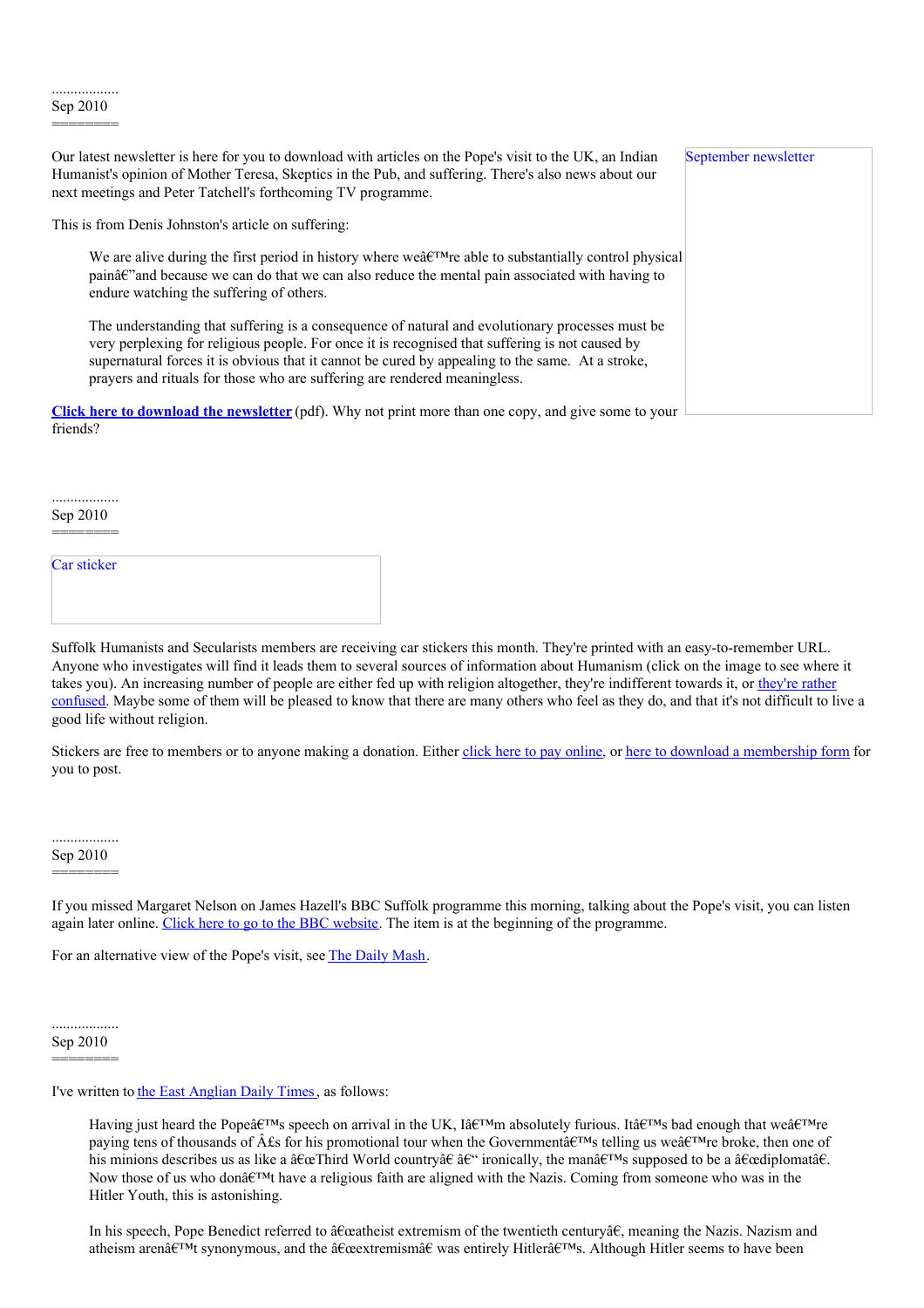#### .................. Sep 2010

========

Our latest newsletter is here for you to download with articles on the Pope's visit to the UK, an Indian Humanist's opinion of Mother Teresa, Skeptics in the Pub, and suffering. There's also news about our next meetings and Peter Tatchell's forthcoming TV programme.

This is from Denis Johnston's article on suffering:

We are alive during the first period in history where we $\hat{a} \in \mathbb{R}^N$  able to substantially control physical  $\text{painâ} \epsilon$ "and because we can do that we can also reduce the mental pain associated with having to endure watching the suffering of others.

The understanding that suffering is a consequence of natural and evolutionary processes must be very perplexing for religious people. For once it is recognised that suffering is not caused by supernatural forces it is obvious that it cannot be cured by appealing to the same. At a stroke, prayers and rituals for those who are suffering are rendered meaningless.

**Click here to <b>download** the **[newsletter](https://html2pdf.com/files/wqi16hzg0unp2tip/o_1dro0t3jpsekrotk0p7hq163av/%20http://www.suffolkhands.org.uk/files/1/2010%20SH&S%20News%20Sept.pdf)** (pdf). Why not print more than one copy, and give some to your friends?

.................. Sep 2010

========

Car [sticker](http://www.agoodlifewithoutreligion.com/)

Suffolk Humanists and Secularists members are receiving car stickers this month. They're printed with an easy-to-remember URL. Anyone who investigates will find it leads them to several sources of information about Humanism (click on the image to see where it takes you). An increasing number of people are either fed up with religion [altogether,](http://www.guardian.co.uk/world/2010/sep/10/religion-typical-briton-fuzzy-believer) they're indifferent towards it, or they're rather confused. Maybe some of them will be pleased to know that there are many others who feel as they do, and that it's not difficult to live a good life without religion.

Stickers are free to members or to anyone making a donation. Either click here to pay [online](http://www.suffolkhands.org.uk/membership), or here to download a [membership](http://www.suffolkhands.org.uk/files/1/Membership%20SO%20form%202010.pdf) form for you to post.

.................. Sep 2010 ========

If you missed Margaret Nelson on James Hazell's BBC Suffolk programme this morning, talking about the Pope's visit, you can listen again later online. Click here to go to the BBC [website](http://www.bbc.co.uk/programmes/p001d7yd). The item is at the beginning of the programme.

For an alternative view of the Pope's visit, see The Daily [Mash](http://www.thedailymash.co.uk/news/celebrity/queen-to-have-lunch-with-insane-criminal-201009163093/).

.................. Sep 2010 ========

I've written to the East [Anglian](http://www.eadt.co.uk/home) Daily Times, as follows:

Having just heard the Pope $\hat{\mathfrak{a}} \in \mathbb{M}^N$  speech on arrival in the UK, I $\hat{\mathfrak{a}} \in \mathbb{M}^N$  absolutely furious. It  $\hat{\mathfrak{a}} \in \mathbb{M}^N$  bad enough that we $\hat{\mathfrak{a}} \in \mathbb{M}^N$  re paying tens of thousands of  $\hat{A}$ £s for his promotional tour when the Government  $\hat{a} \in T^M$ s telling us we $\hat{a} \in T^M$ re broke, then one of his minions describes us as like a "Third World country†â€" ironically, the man's supposed to be a "diplomatâ€. Now those of us who don $\hat{\mathfrak{g}} \in \mathbb{R}^M$  have a religious faith are aligned with the Nazis. Coming from someone who was in the Hitler Youth, this is astonishing.

In his speech, Pope Benedict referred to "atheist extremism of the twentieth centuryâ€, meaning the Nazis. Nazism and atheism aren't synonymous, and the "extremism†was entirely Hitler's. Although Hitler seems to have been

|      |  | September newsletter |  |
|------|--|----------------------|--|
|      |  |                      |  |
|      |  |                      |  |
|      |  |                      |  |
| ical |  |                      |  |
|      |  |                      |  |
|      |  |                      |  |
|      |  |                      |  |
|      |  |                      |  |
|      |  |                      |  |
|      |  |                      |  |
|      |  |                      |  |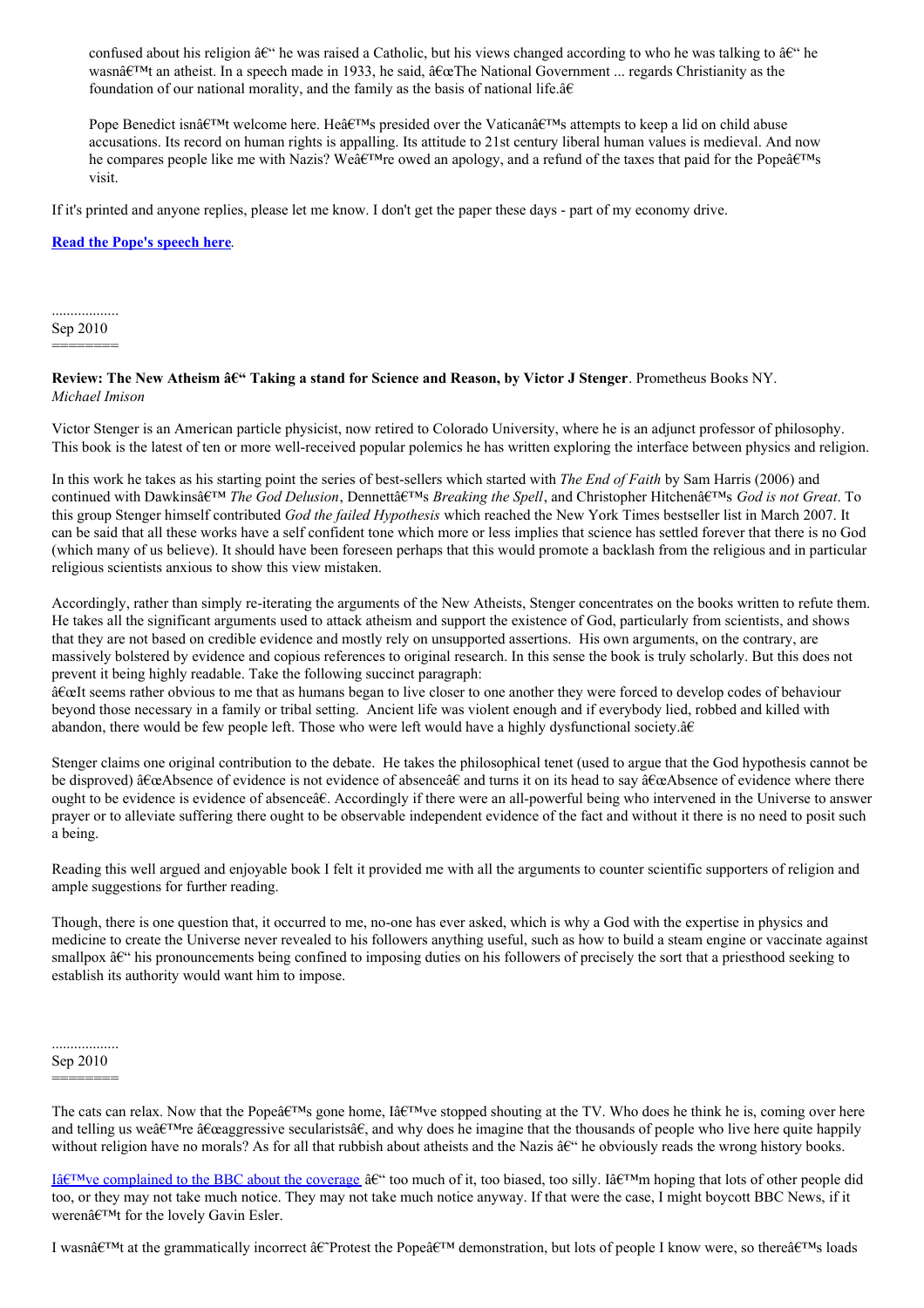confused about his religion  $\hat{a} \hat{\epsilon}$  he was raised a Catholic, but his views changed according to who he was talking to  $\hat{a} \hat{\epsilon}$  he wasn $\hat{a} \in T^M$ t an atheist. In a speech made in 1933, he said,  $\hat{a} \in \mathcal{C}$ The National Government ... regards Christianity as the foundation of our national morality, and the family as the basis of national life. $\hat{a}\hat{\epsilon}$ 

Pope Benedict isn $\hat{a}\in\mathbb{M}$ t welcome here. He $\hat{a}\in\mathbb{M}$ s presided over the Vatican $\hat{a}\in\mathbb{M}$ s attempts to keep a lid on child abuse accusations. Its record on human rights is appalling. Its attitude to 21st century liberal human values is medieval. And now he compares people like me with Nazis? We $\hat{a} \in T^M$ re owed an apology, and a refund of the taxes that paid for the Pope $\hat{a} \in T^M$ s visit.

If it's printed and anyone replies, please let me know. I don't get the paper these days - part of my economy drive.

### **Read the Pope's [speech](http://bengoldacre.posterous.com/nazi-youth-pope-aligns-atheists-with-nazis-bi) here**.

.................. Sep 2010 ========

### **Review: The New Atheism – Taking a stand for Science and Reason, by Victor J Stenger**. Prometheus Books NY. *Michael Imison*

Victor Stenger is an American particle physicist, now retired to Colorado University, where he is an adjunct professor of philosophy. This book is the latest of ten or more well-received popular polemics he has written exploring the interface between physics and religion.

In this work he takes as his starting point the series of best-sellers which started with *The End of Faith* by Sam Harris (2006) and continued with Dawkins' *The God Delusion*, Dennett's *Breaking the Spell*, and Christopher Hitchen's *God is not Great*. To this group Stenger himself contributed *God the failed Hypothesis* which reached the New York Times bestseller list in March 2007. It can be said that all these works have a self confident tone which more or less implies that science has settled forever that there is no God (which many of us believe). It should have been foreseen perhaps that this would promote a backlash from the religious and in particular religious scientists anxious to show this view mistaken.

Accordingly, rather than simply re-iterating the arguments of the New Atheists, Stenger concentrates on the books written to refute them. He takes all the significant arguments used to attack atheism and support the existence of God, particularly from scientists, and shows that they are not based on credible evidence and mostly rely on unsupported assertions. His own arguments, on the contrary, are massively bolstered by evidence and copious references to original research. In this sense the book is truly scholarly. But this does not prevent it being highly readable. Take the following succinct paragraph:

 $\hat{\mathbf{a}}$  EœIt seems rather obvious to me that as humans began to live closer to one another they were forced to develop codes of behaviour beyond those necessary in a family or tribal setting. Ancient life was violent enough and if everybody lied, robbed and killed with abandon, there would be few people left. Those who were left would have a highly dysfunctional society.â€

Stenger claims one original contribution to the debate. He takes the philosophical tenet (used to argue that the God hypothesis cannot be be disproved)  $\hat{a}\in\hat{c}$  absence of evidence is not evidence of absence $\hat{a}\in\hat{c}$  and turns it on its head to say  $\hat{a}\in\hat{c}$  absence of evidence where there ought to be evidence is evidence of absenceâ€. Accordingly if there were an all-powerful being who intervened in the Universe to answer prayer or to alleviate suffering there ought to be observable independent evidence of the fact and without it there is no need to posit such a being.

Reading this well argued and enjoyable book I felt it provided me with all the arguments to counter scientific supporters of religion and ample suggestions for further reading.

Though, there is one question that, it occurred to me, no-one has ever asked, which is why a God with the expertise in physics and medicine to create the Universe never revealed to his followers anything useful, such as how to build a steam engine or vaccinate against smallpox  $\hat{a}\hat{\epsilon}^{\prime\prime}$  his pronouncements being confined to imposing duties on his followers of precisely the sort that a priesthood seeking to establish its authority would want him to impose.

#### .................. Sep 2010

========

The cats can relax. Now that the Pope $\hat{a} \in T^M$ s gone home, I $\hat{a} \in T^M$ ve stopped shouting at the TV. Who does he think he is, coming over here and telling us we're "aggressive secularistsâ€, and why does he imagine that the thousands of people who live here quite happily without religion have no morals? As for all that rubbish about atheists and the Nazis  $\hat{a}\hat{\epsilon}^{\prime\prime}$  he obviously reads the wrong history books.

I've [complained](http://theanswers42.blogspot.com/2010/09/bbc-and-pope.html) to the BBC about the coverage â€" too much of it, too biased, too silly. I'm hoping that lots of other people did too, or they may not take much notice. They may not take much notice anyway. If that were the case, I might boycott BBC News, if it werenâ€<sup>™t</sup> for the lovely Gavin Esler.

I wasn $\hat{a} \in \mathbb{M}$ t at the grammatically incorrect  $\hat{a} \in \mathbb{M}$  Protest the Pope $\hat{a} \in \mathbb{M}$  demonstration, but lots of people I know were, so there $\hat{a} \in \mathbb{M}$ s loads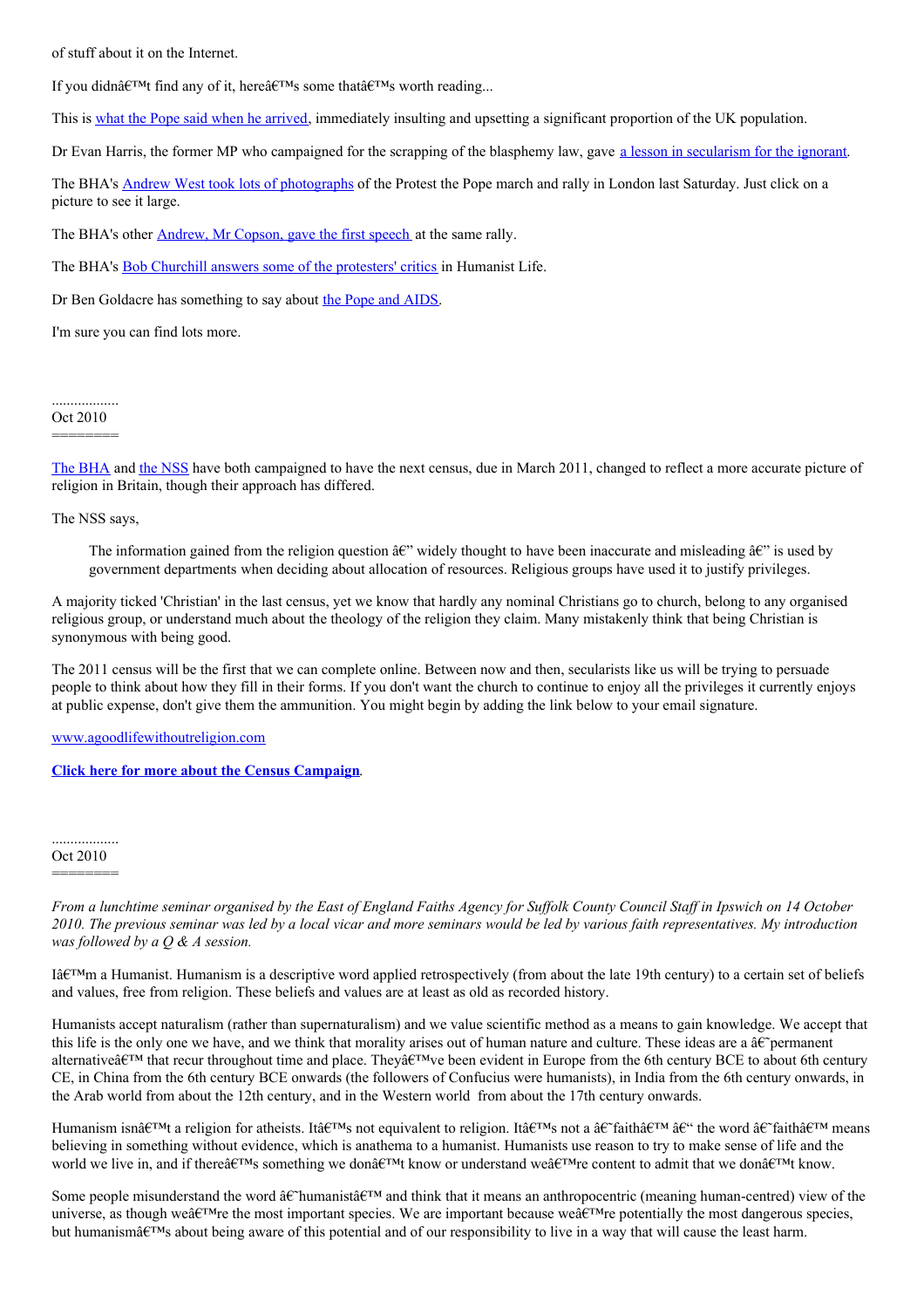of stuff about it on the Internet.

If you didn $\hat{a} \in T^M$ t find any of it, here $\hat{a} \in T^M$ s some that $\hat{a} \in T^M$ s worth reading...

This is what the Pope said when he [arrived](http://bengoldacre.posterous.com/nazi-youth-pope-aligns-atheists-with-nazis-bi), immediately insulting and upsetting a significant proportion of the UK population.

Dr Evan Harris, the former MP who campaigned for the scrapping of the blasphemy law, gave a lesson in [secularism](http://www.guardian.co.uk/commentisfree/belief/2010/sep/18/secularist-manifesto-secularism) for the ignorant.

The BHA's **Andrew West took lots of [photographs](http://www.facebook.com/album.php?aid=293721&id=26806660922)** of the Protest the Pope march and rally in London last Saturday. Just click on a picture to see it large.

The BHA's other [Andrew,](http://www.humanism.org.uk/news/view/655) Mr Copson, gave the first speech at the same rally.

The BHA's Bob Churchill answers some of the [protesters'](http://www.humanistlife.org.uk/2010/09/friends-roman-pontiffs-countrymen/) critics in Humanist Life.

Dr Ben Goldacre has something to say about the Pope and [AIDS](http://www.badscience.net/2010/09/the-pope-and-aids/).

I'm sure you can find lots more.

#### .................. Oct 2010

========

The [BHA](http://www.humanism.org.uk/campaigns/census-2011) and the [NSS](http://www.secularism.org.uk/census-will-ask-religion-questio.html) have both campaigned to have the next census, due in March 2011, changed to reflect a more accurate picture of religion in Britain, though their approach has differed.

The NSS says,

The information gained from the religion question  $\hat{a} \in \hat{C}$  widely thought to have been inaccurate and misleading  $\hat{a} \in \hat{C}$  is used by government departments when deciding about allocation of resources. Religious groups have used it to justify privileges.

A majority ticked 'Christian' in the last census, yet we know that hardly any nominal Christians go to church, belong to any organised religious group, or understand much about the theology of the religion they claim. Many mistakenly think that being Christian is synonymous with being good.

The 2011 census will be the first that we can complete online. Between now and then, secularists like us will be trying to persuade people to think about how they fill in their forms. If you don't want the church to continue to enjoy all the privileges it currently enjoys at public expense, don't give them the ammunition. You might begin by adding the link below to your email signature.

[www.agoodlifewithoutreligion.com](http://www.agoodlifewithoutreligion.com/)

**Click here for more about the Census [Campaign](http://www.humanistlife.org.uk/2010/10/ask-a-silly-question/)**.

.................. Oct 2010 ========

From a lunchtime seminar organised by the East of England Faiths Agency for Suffolk County Council Staff in Ipswich on 14 October 2010. The previous seminar was led by a local vicar and more seminars would be led by various faith representatives. My introduction *was followed by a Q & A session.*

 $I\hat{a}\in\mathbb{T}^{M}$ m a Humanist. Humanism is a descriptive word applied retrospectively (from about the late 19th century) to a certain set of beliefs and values, free from religion. These beliefs and values are at least as old as recorded history.

Humanists accept naturalism (rather than supernaturalism) and we value scientific method as a means to gain knowledge. We accept that this life is the only one we have, and we think that morality arises out of human nature and culture. These ideas are a  $\hat{a}\hat{\epsilon}$  permanent alternative $\hat{a} \in \mathbb{M}$  that recur throughout time and place. They $\hat{a} \in \mathbb{M}$  been evident in Europe from the 6th century BCE to about 6th century CE, in China from the 6th century BCE onwards (the followers of Confucius were humanists), in India from the 6th century onwards, in the Arab world from about the 12th century, and in the Western world from about the 17th century onwards.

Humanism isn $\hat{\mathcal{H}}^{\text{TM}}$ t a religion for atheists. It $\hat{\mathcal{H}}^{\text{TM}}$ s not equivalent to religion. It $\hat{\mathcal{H}}^{\text{TM}}$ s not a  $\hat{\mathcal{H}}^{\text{TM}}$  and  $\hat{\mathcal{H}}^{\text{TM}}$  means believing in something without evidence, which is anathema to a humanist. Humanists use reason to try to make sense of life and the world we live in, and if therea<sup> $\epsilon_{\text{TM}}$ </sup>s something we dona $\epsilon_{\text{TM}}$  know or understand wea $\epsilon_{\text{TM}}$  re content to admit that we dona $\epsilon_{\text{TM}}$  know.

Some people misunderstand the word  $\hat{\mathbf{a}} \in \mathbb{C}^{T}$  and think that it means an anthropocentric (meaning human-centred) view of the universe, as though we $\hat{a}\in\mathbb{M}$  are the most important species. We are important because we $\hat{a}\in\mathbb{M}$  re potentially the most dangerous species, but humanism $\hat{a} \in T^M$ s about being aware of this potential and of our responsibility to live in a way that will cause the least harm.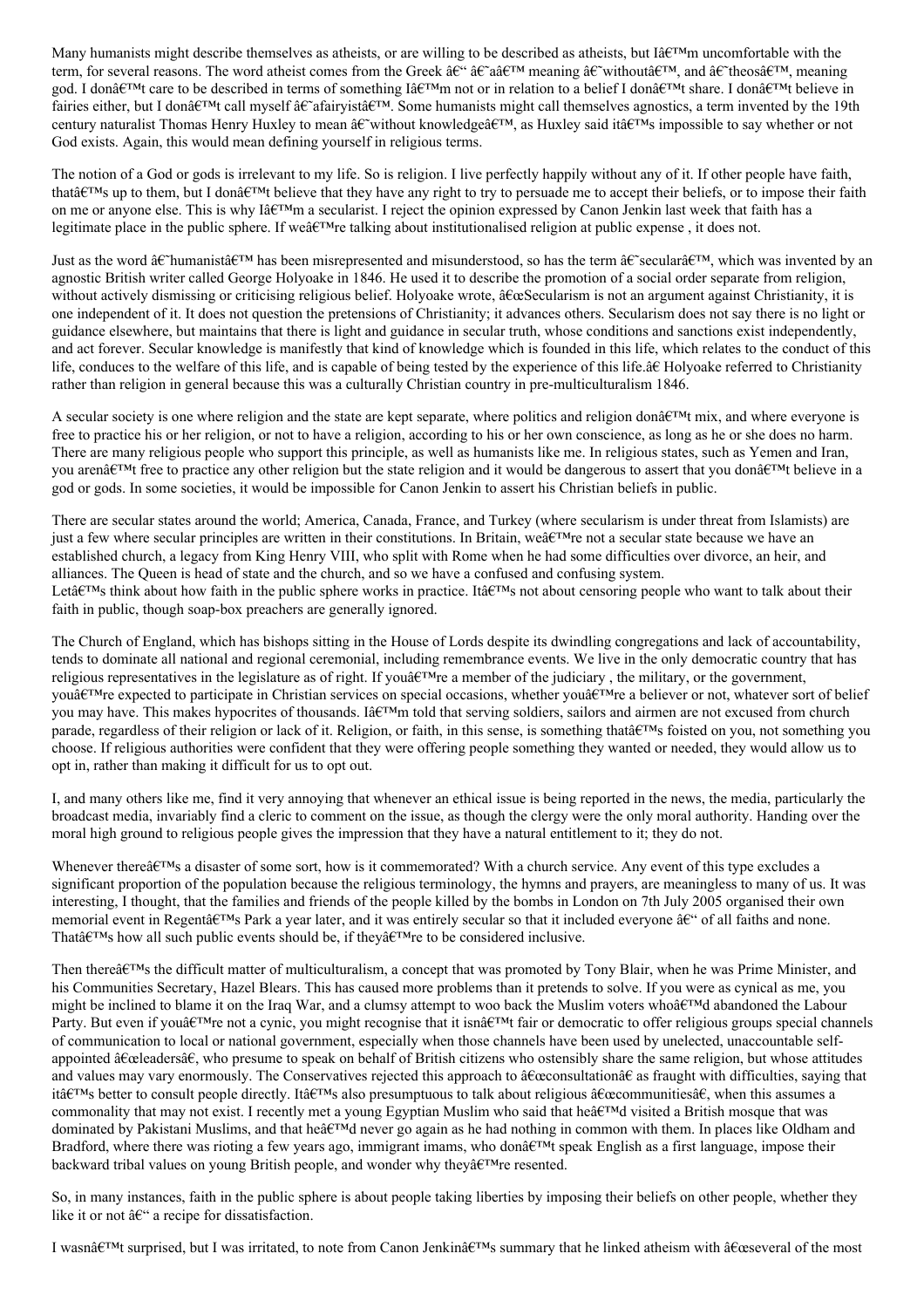Many humanists might describe themselves as atheists, or are willing to be described as atheists, but Iâ $\epsilon^{\text{TM}}$ m uncomfortable with the term, for several reasons. The word atheist comes from the Greek  $\hat{a}\in\hat{f}^{\text{in}}$  and  $\hat{a}\in\hat{f}^{\text{in}}$ , and  $\hat{a}\in\hat{f}^{\text{in}}$ , meaning god. I donâ $\in$ <sup>TM</sup>t care to be described in terms of something Iâ $\in$ <sup>TM</sup>m not or in relation to a belief I donâ $\in$ TMt share. I donâ $\in$ TMt believe in fairies either, but I donâ $\epsilon^{TM}$ t call myself â $\epsilon^T$ afairyistâ $\epsilon^{TM}$ . Some humanists might call themselves agnostics, a term invented by the 19th century naturalist Thomas Henry Huxley to mean  $\hat{\mathbf{a}} \in \mathcal{C}$  without knowledge $\hat{\mathbf{a}} \in \mathbb{R}^M$ , as Huxley said it $\hat{\mathbf{a}} \in \mathbb{R}^M$ s impossible to say whether or not God exists. Again, this would mean defining yourself in religious terms.

The notion of a God or gods is irrelevant to my life. So is religion. I live perfectly happily without any of it. If other people have faith, that $\hat{\mathbf{a}} \in \mathbb{R}^m$ s up to them, but I don $\hat{\mathbf{a}} \in \mathbb{R}^m$ t believe that they have any right to try to persuade me to accept their beliefs, or to impose their faith on me or anyone else. This is why  $I\hat{a}\in\mathbb{M}$ m a secularist. I reject the opinion expressed by Canon Jenkin last week that faith has a legitimate place in the public sphere. If wea<sup> $\epsilon$ TM</sup>re talking about institutionalised religion at public expense, it does not.

Just as the word  $\hat{\mathbf{a}} \in \text{Sumanist} \hat{\mathbf{a}} \in \text{M}$  has been misrepresented and misunderstood, so has the term  $\hat{\mathbf{a}} \in \text{Secular} \hat{\mathbf{a}} \in \text{M}$ , which was invented by an agnostic British writer called George Holyoake in 1846. He used it to describe the promotion of a social order separate from religion, without actively dismissing or criticising religious belief. Holyoake wrote,  $\hat{a}\epsilon\alpha$ Secularism is not an argument against Christianity, it is one independent of it. It does not question the pretensions of Christianity; it advances others. Secularism does not say there is no light or guidance elsewhere, but maintains that there is light and guidance in secular truth, whose conditions and sanctions exist independently, and act forever. Secular knowledge is manifestly that kind of knowledge which is founded in this life, which relates to the conduct of this life, conduces to the welfare of this life, and is capable of being tested by the experience of this life.â€ Holyoake referred to Christianity rather than religion in general because this was a culturally Christian country in pre-multiculturalism 1846.

A secular society is one where religion and the state are kept separate, where politics and religion don $\hat{a} \in T^M$ t mix, and where everyone is free to practice his or her religion, or not to have a religion, according to his or her own conscience, as long as he or she does no harm. There are many religious people who support this principle, as well as humanists like me. In religious states, such as Yemen and Iran, you arena<sup>eTM</sup>t free to practice any other religion but the state religion and it would be dangerous to assert that you dona<sup>eTM</sup>t believe in a god or gods. In some societies, it would be impossible for Canon Jenkin to assert his Christian beliefs in public.

There are secular states around the world; America, Canada, France, and Turkey (where secularism is under threat from Islamists) are just a few where secular principles are written in their constitutions. In Britain, wea<sup> $\epsilon$ TM</sup>re not a secular state because we have an established church, a legacy from King Henry VIII, who split with Rome when he had some difficulties over divorce, an heir, and alliances. The Queen is head of state and the church, and so we have a confused and confusing system. Letâ $\epsilon_{\text{TMs}}$  think about how faith in the public sphere works in practice. Itâ $\epsilon_{\text{TMs}}$  not about censoring people who want to talk about their faith in public, though soap-box preachers are generally ignored.

The Church of England, which has bishops sitting in the House of Lords despite its dwindling congregations and lack of accountability, tends to dominate all national and regional ceremonial, including remembrance events. We live in the only democratic country that has religious representatives in the legislature as of right. If you $\hat{a} \in T^M$ re a member of the judiciary, the military, or the government, you're expected to participate in Christian services on special occasions, whether you're a believer or not, whatever sort of belief you may have. This makes hypocrites of thousands. Iâ E<sup>TM</sup>m told that serving soldiers, sailors and airmen are not excused from church parade, regardless of their religion or lack of it. Religion, or faith, in this sense, is something that $\hat{a}\in\mathbb{R}^{M}$ s foisted on you, not something you choose. If religious authorities were confident that they were offering people something they wanted or needed, they would allow us to opt in, rather than making it difficult for us to opt out.

I, and many others like me, find it very annoying that whenever an ethical issue is being reported in the news, the media, particularly the broadcast media, invariably find a cleric to comment on the issue, as though the clergy were the only moral authority. Handing over the moral high ground to religious people gives the impression that they have a natural entitlement to it; they do not.

Whenever there $\hat{a}\in\mathbb{M}$ s a disaster of some sort, how is it commemorated? With a church service. Any event of this type excludes a significant proportion of the population because the religious terminology, the hymns and prayers, are meaningless to many of us. It was interesting, I thought, that the families and friends of the people killed by the bombs in London on 7th July 2005 organised their own memorial event in Regent $\hat{\mathbf{a}} \in \mathbb{R}^m$  Park a year later, and it was entirely secular so that it included everyone  $\hat{\mathbf{a}} \in \mathbb{C}^m$  of all faiths and none. That $\hat{a} \in \mathbb{M}$ s how all such public events should be, if they $\hat{a} \in \mathbb{M}$ re to be considered inclusive.

Then there $\hat{\mathfrak{a}} \in \mathbb{R}^m$  the difficult matter of multiculturalism, a concept that was promoted by Tony Blair, when he was Prime Minister, and his Communities Secretary, Hazel Blears. This has caused more problems than it pretends to solve. If you were as cynical as me, you might be inclined to blame it on the Iraq War, and a clumsy attempt to woo back the Muslim voters whoat abandoned the Labour Party. But even if you're not a cynic, you might recognise that it isn't fair or democratic to offer religious groups special channels of communication to local or national government, especially when those channels have been used by unelected, unaccountable selfappointed "leadersâ€, who presume to speak on behalf of British citizens who ostensibly share the same religion, but whose attitudes and values may vary enormously. The Conservatives rejected this approach to "consultation†as fraught with difficulties, saying that it's better to consult people directly. It's also presumptuous to talk about religious "communitiesâ€, when this assumes a commonality that may not exist. I recently met a young Egyptian Muslim who said that heâ $\epsilon^{TM}$ d visited a British mosque that was dominated by Pakistani Muslims, and that heâ $f^{TM}$ d never go again as he had nothing in common with them. In places like Oldham and Bradford, where there was rioting a few years ago, immigrant imams, who donat T<sup>M</sup>t speak English as a first language, impose their backward tribal values on young British people, and wonder why they $\hat{a} \in T^M$ re resented.

So, in many instances, faith in the public sphere is about people taking liberties by imposing their beliefs on other people, whether they like it or not  $\hat{a} \in \hat{a}$  a recipe for dissatisfaction.

I wasn't surprised, but I was irritated, to note from Canon Jenkin's summary that he linked atheism with "several of the most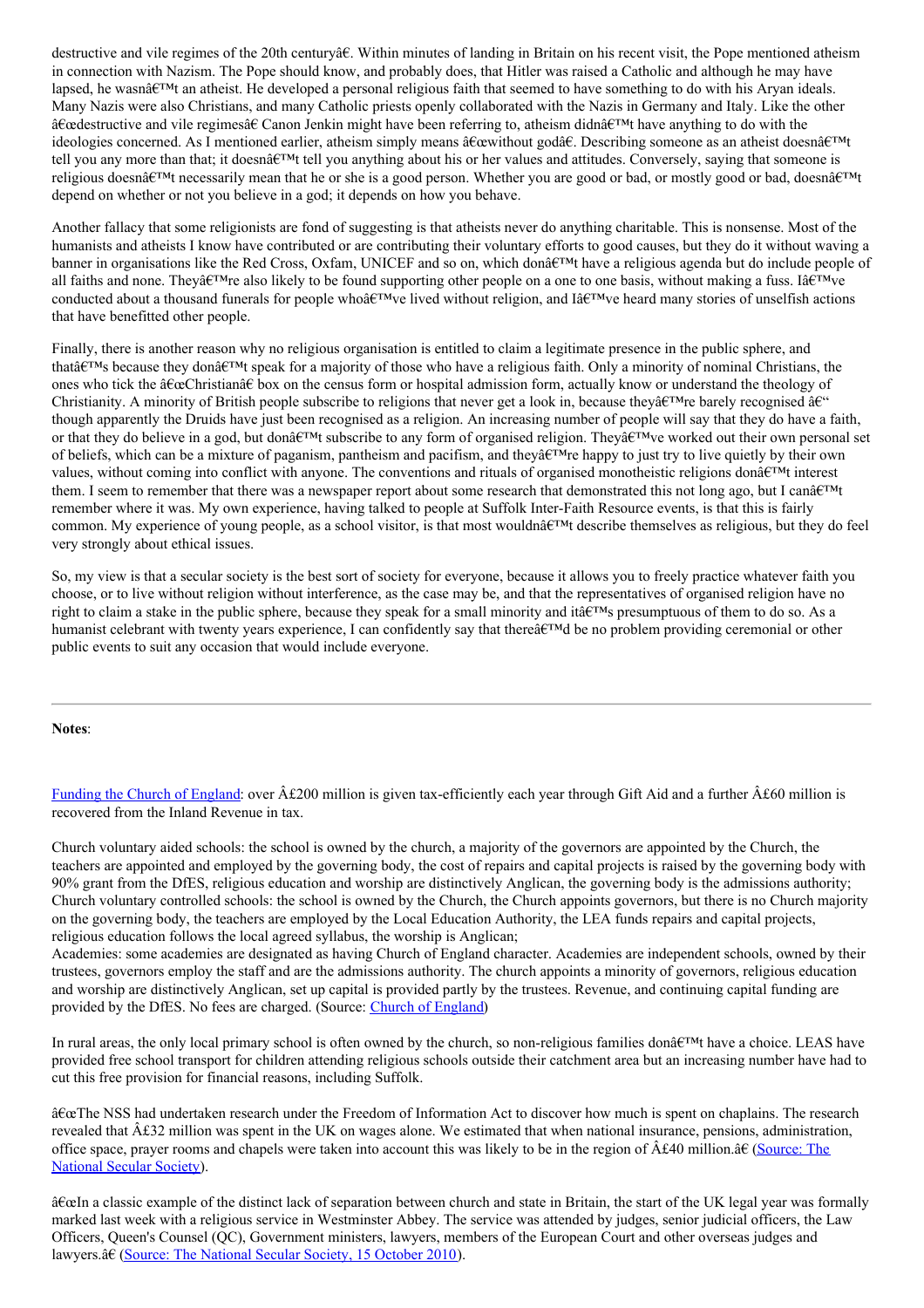destructive and vile regimes of the 20th centuryâ€. Within minutes of landing in Britain on his recent visit, the Pope mentioned atheism in connection with Nazism. The Pope should know, and probably does, that Hitler was raised a Catholic and although he may have lapsed, he wasn $\hat{\mathfrak{a}} \in \mathbb{R}^{n+1}$  an atheist. He developed a personal religious faith that seemed to have something to do with his Aryan ideals. Many Nazis were also Christians, and many Catholic priests openly collaborated with the Nazis in Germany and Italy. Like the other "destructive and vile regimes†Canon Jenkin might have been referring to, atheism didn't have anything to do with the ideologies concerned. As I mentioned earlier, atheism simply means "without godâ€. Describing someone as an atheist doesn't tell you any more than that; it doesn $\hat{\alpha} \in \mathbb{R}^N$  tell you anything about his or her values and attitudes. Conversely, saying that someone is religious doesnâ $\epsilon$ <sup>TM</sup>t necessarily mean that he or she is a good person. Whether you are good or bad, or mostly good or bad, doesnâ $\epsilon$ <sup>TM</sup>t depend on whether or not you believe in a god; it depends on how you behave.

Another fallacy that some religionists are fond of suggesting is that atheists never do anything charitable. This is nonsense. Most of the humanists and atheists I know have contributed or are contributing their voluntary efforts to good causes, but they do it without waving a banner in organisations like the Red Cross, Oxfam, UNICEF and so on, which donâ $\epsilon^{TM}$ t have a religious agenda but do include people of all faiths and none. They $\hat{a} \in T^M$ re also likely to be found supporting other people on a one to one basis, without making a fuss. I $\hat{a} \in T^M$ ve conducted about a thousand funerals for people who $\hat{a} \in \mathbb{N}$  ived without religion, and I $\hat{a} \in \mathbb{N}$  ve heard many stories of unselfish actions that have benefitted other people.

Finally, there is another reason why no religious organisation is entitled to claim a legitimate presence in the public sphere, and that $\hat{\mathbf{a}} \in \mathbb{R}^m$  because they don $\hat{\mathbf{a}} \in \mathbb{R}^m$  speak for a majority of those who have a religious faith. Only a minority of nominal Christians, the ones who tick the "Christian†box on the census form or hospital admission form, actually know or understand the theology of Christianity. A minority of British people subscribe to religions that never get a look in, because they a  $\mathbb{R}^n$ re barely recognised  $\hat{\mathbf{a}} \in \mathbb{R}^n$ though apparently the Druids have just been recognised as a religion. An increasing number of people will say that they do have a faith, or that they do believe in a god, but donâ $\epsilon^{TM}$ t subscribe to any form of organised religion. Theyâ $\epsilon^{TM}$ ve worked out their own personal set of beliefs, which can be a mixture of paganism, pantheism and pacifism, and they  $\mathbf{r}^{\text{M}}$  re happy to just try to live quietly by their own values, without coming into conflict with anyone. The conventions and rituals of organised monotheistic religions donâ $\epsilon^{TM}$  interest them. I seem to remember that there was a newspaper report about some research that demonstrated this not long ago, but I can $\hat{a}\in M$ t remember where it was. My own experience, having talked to people at Suffolk Inter-Faith Resource events, is that this is fairly common. My experience of young people, as a school visitor, is that most wouldn $\hat{a} \in T^M$ t describe themselves as religious, but they do feel very strongly about ethical issues.

So, my view is that a secular society is the best sort of society for everyone, because it allows you to freely practice whatever faith you choose, or to live without religion without interference, as the case may be, and that the representatives of organised religion have no right to claim a stake in the public sphere, because they speak for a small minority and it $\hat{\mathbf{a}} \in \mathbb{R}^M$ s presumptuous of them to do so. As a humanist celebrant with twenty years experience, I can confidently say that there $\hat{a}\in\mathbb{T}^{M}$ d be no problem providing ceremonial or other public events to suit any occasion that would include everyone.

### **Notes**:

[Funding](http://www.cofe.anglican.org/info/funding/) the Church of England: over  $\hat{A}t200$  million is given tax-efficiently each year through Gift Aid and a further  $\hat{A}t60$  million is recovered from the Inland Revenue in tax.

Church voluntary aided schools: the school is owned by the church, a majority of the governors are appointed by the Church, the teachers are appointed and employed by the governing body, the cost of repairs and capital projects is raised by the governing body with 90% grant from the DfES, religious education and worship are distinctively Anglican, the governing body is the admissions authority; Church voluntary controlled schools: the school is owned by the Church, the Church appoints governors, but there is no Church majority on the governing body, the teachers are employed by the Local Education Authority, the LEA funds repairs and capital projects, religious education follows the local agreed syllabus, the worship is Anglican;

Academies: some academies are designated as having Church of England character. Academies are independent schools, owned by their trustees, governors employ the staff and are the admissions authority. The church appoints a minority of governors, religious education and worship are distinctively Anglican, set up capital is provided partly by the trustees. Revenue, and continuing capital funding are provided by the DfES. No fees are charged. (Source: Church of [England](http://www.cofe.anglican.org/info/education/schools/))

In rural areas, the only local primary school is often owned by the church, so non-religious families don $\hat{\mathfrak{a}}$  extends the a choice. LEAS have provided free school transport for children attending religious schools outside their catchment area but an increasing number have had to cut this free provision for financial reasons, including Suffolk.

 $\hat{\alpha}$ EœThe NSS had undertaken research under the Freedom of Information Act to discover how much is spent on chaplains. The research revealed that  $\hat{A}$ £32 million was spent in the UK on wages alone. We estimated that when national insurance, pensions, administration, office space, prayer rooms and chapels were taken into account this was likely to be in the region of  $\hat{A}f40$  million. $\hat{a}\hat{\epsilon}$  (Source: The National Secular Society).

 $\hat{\mathbf{a}}$  EceIn a classic example of the distinct lack of separation between church and state in Britain, the start of the UK legal year was formally marked last week with a religious service in Westminster Abbey. The service was attended by judges, senior judicial officers, the Law Officers, Queen's Counsel (QC), Government ministers, lawyers, members of the European Court and other overseas judges and lawyers.â€ (Source: The [National](http://www.secularism.org.uk/religious-service-marks-the-star.html) Secular Society, 15 October 2010).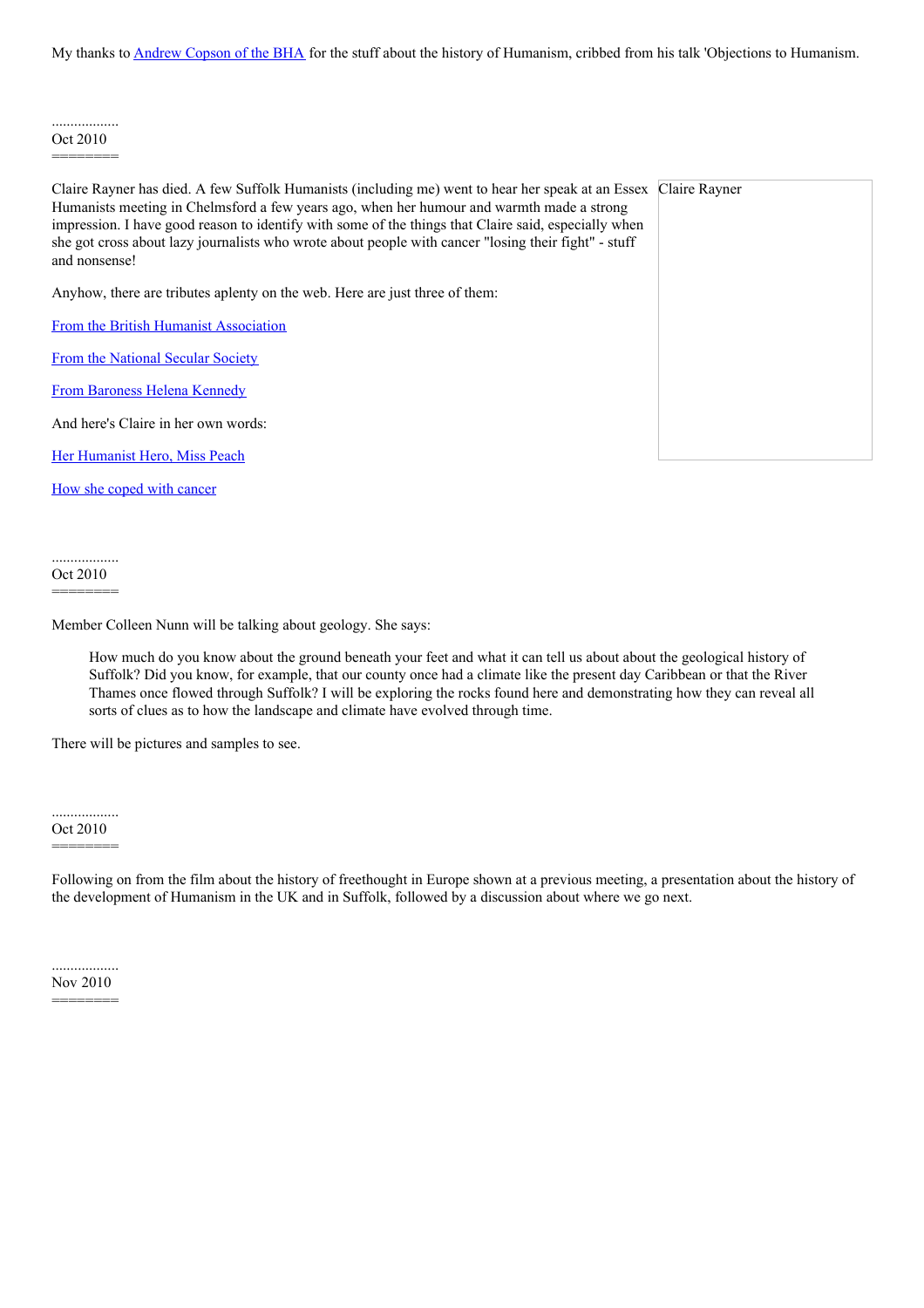My thanks to [Andrew](http://www.humanism.org.uk/about/people/staff) Copson of the BHA for the stuff about the history of Humanism, cribbed from his talk 'Objections to Humanism.

#### .................. Oct 2010

========

Claire Rayner Claire Rayner has died. A few Suffolk Humanists (including me) went to hear her speak at an Essex Humanists meeting in Chelmsford a few years ago, when her humour and warmth made a strong impression. I have good reason to identify with some of the things that Claire said, especially when she got cross about lazy journalists who wrote about people with cancer "losing their fight" - stuff and nonsense!

Anyhow, there are tributes aplenty on the web. Here are just three of them:

From the British Humanist [Association](http://www.humanism.org.uk/news/view/672)

From the [National](http://www.secularism.org.uk/nss-pay-tribute-to-honorary-asso.html) Secular Society

From [Baroness](http://www.dailymail.co.uk/femail/article-1319998/CLAIRE-RAYNER-Funny-brave-like-ship-sail-carrying-her.html) Helena Kennedy

And here's Claire in her own words:

Her [Humanist](http://www.humanistlife.org.uk/2010/07/humanist-heroes-miss-peach-by-claire-rayner/) Hero, Miss Peach

How she coped with [cancer](http://www.independent.co.uk/news/people/profiles/claire-rayner-how-i-coped-with-breast-cancer-675910.html)

.................. Oct 2010

========

Member Colleen Nunn will be talking about geology. She says:

How much do you know about the ground beneath your feet and what it can tell us about about the geological history of Suffolk? Did you know, for example, that our county once had a climate like the present day Caribbean or that the River Thames once flowed through Suffolk? I will be exploring the rocks found here and demonstrating how they can reveal all sorts of clues as to how the landscape and climate have evolved through time.

There will be pictures and samples to see.

Oct 2010

========

Following on from the film about the history of freethought in Europe shown at a previous meeting, a presentation about the history of the development of Humanism in the UK and in Suffolk, followed by a discussion about where we go next.

.................. Nov 2010 ========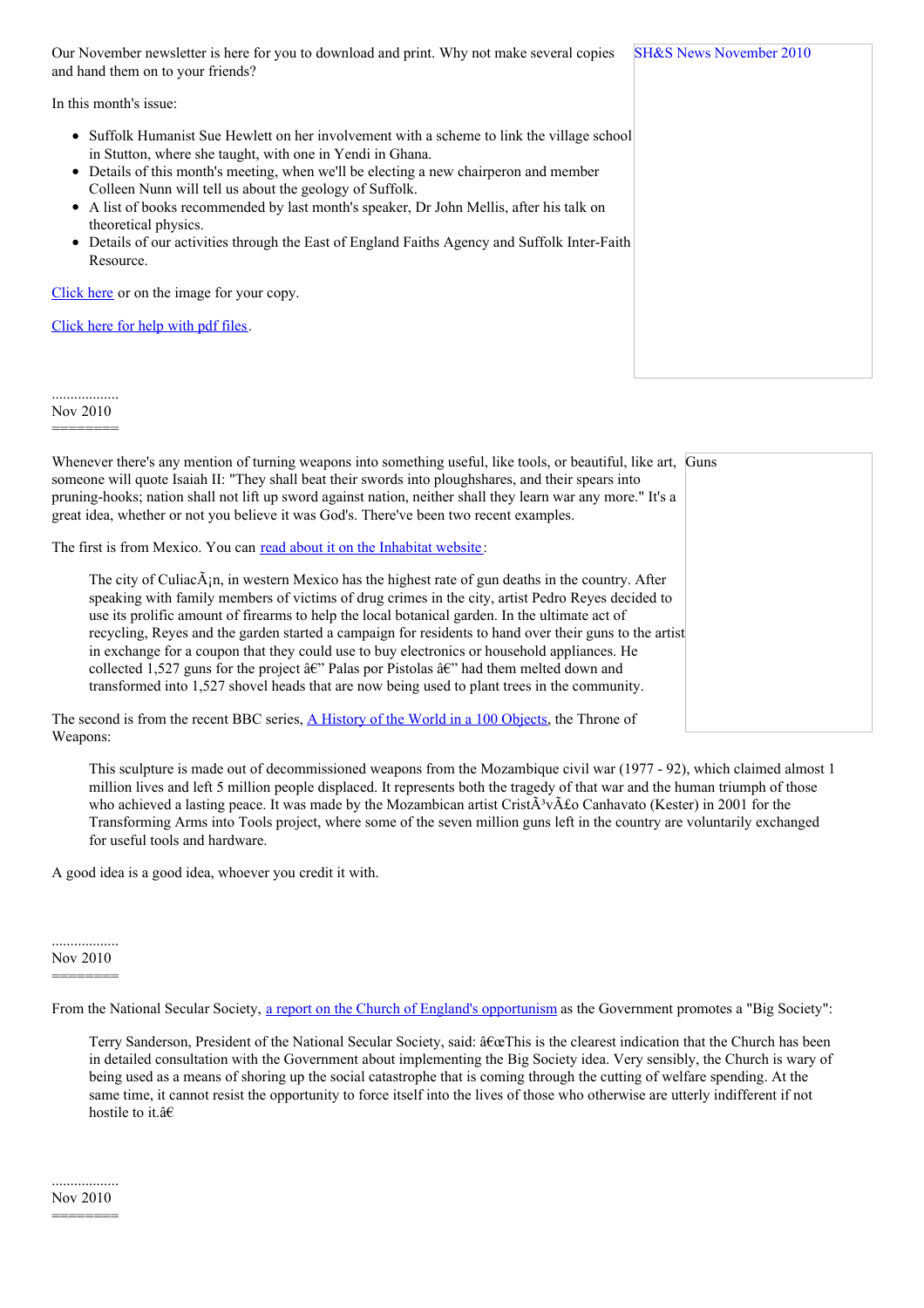Our November newsletter is here for you to download and print. Why not make several copies and hand them on to your friends?

SH&S News November 2010

In this month's issue:

- Suffolk Humanist Sue Hewlett on her involvement with a scheme to link the village school in Stutton, where she taught, with one in Yendi in Ghana.
- Details of this month's meeting, when we'll be electing a new chairperon and member  $\bullet$ Colleen Nunn will tell us about the geology of Suffolk.
- A list of books recommended by last month's speaker, Dr John Mellis, after his talk on theoretical physics.
- $\bullet$ Details of our activities through the East of England Faiths Agency and Suffolk Inter-Faith Resource.

[Click](http://www.suffolkhands.org.uk/files/1/2010%20SH&S%20News%20November.pdf) here or on the image for your copy.

[Click](http://www.suffolkhands.org.uk/node/40) here for help with pdf files.

.................. Nov 2010

========

| Whenever there's any mention of turning weapons into something useful, like tools, or beautiful, like art, Guns<br>someone will quote Isaiah II: "They shall beat their swords into ploughshares, and their spears into<br>pruning-hooks; nation shall not lift up sword against nation, neither shall they learn war any more." It's a<br>great idea, whether or not you believe it was God's. There've been two recent examples.                                                                                                                                                                                                                                                                                                                                     |  |
|------------------------------------------------------------------------------------------------------------------------------------------------------------------------------------------------------------------------------------------------------------------------------------------------------------------------------------------------------------------------------------------------------------------------------------------------------------------------------------------------------------------------------------------------------------------------------------------------------------------------------------------------------------------------------------------------------------------------------------------------------------------------|--|
| The first is from Mexico. You can read about it on the Inhabitat website:                                                                                                                                                                                                                                                                                                                                                                                                                                                                                                                                                                                                                                                                                              |  |
| The city of CuliacÂ <sub>i</sub> n, in western Mexico has the highest rate of gun deaths in the country. After<br>speaking with family members of victims of drug crimes in the city, artist Pedro Reyes decided to<br>use its prolific amount of firearms to help the local botanical garden. In the ultimate act of<br>recycling, Reyes and the garden started a campaign for residents to hand over their guns to the artist<br>in exchange for a coupon that they could use to buy electronics or household appliances. He<br>collected 1,527 guns for the project $\hat{a}\hat{\epsilon}$ " Palas por Pistolas $\hat{a}\hat{\epsilon}$ " had them melted down and<br>transformed into 1,527 shovel heads that are now being used to plant trees in the community. |  |
| The second is from the recent BBC series, A History of the World in a 100 Objects, the Throne of<br>Weapons:                                                                                                                                                                                                                                                                                                                                                                                                                                                                                                                                                                                                                                                           |  |

This sculpture is made out of decommissioned weapons from the Mozambique civil war (1977 - 92), which claimed almost 1 million lives and left 5 million people displaced. It represents both the tragedy of that war and the human triumph of those who achieved a lasting peace. It was made by the Mozambican artist Crist $\tilde{A}^3v\tilde{A}$  Canhavato (Kester) in 2001 for the Transforming Arms into Tools project, where some of the seven million guns left in the country are voluntarily exchanged for useful tools and hardware.

A good idea is a good idea, whoever you credit it with.

.................. Nov 2010 ========

From the National Secular Society, a report on the Church of England's [opportunism](http://www.secularism.org.uk/church-of-england-sees-the-big-s.html) as the Government promotes a "Big Society":

Terry Sanderson, President of the National Secular Society, said:  $\hat{a} \in \mathbb{C}$ This is the clearest indication that the Church has been in detailed consultation with the Government about implementing the Big Society idea. Very sensibly, the Church is wary of being used as a means of shoring up the social catastrophe that is coming through the cutting of welfare spending. At the same time, it cannot resist the opportunity to force itself into the lives of those who otherwise are utterly indifferent if not hostile to it.â€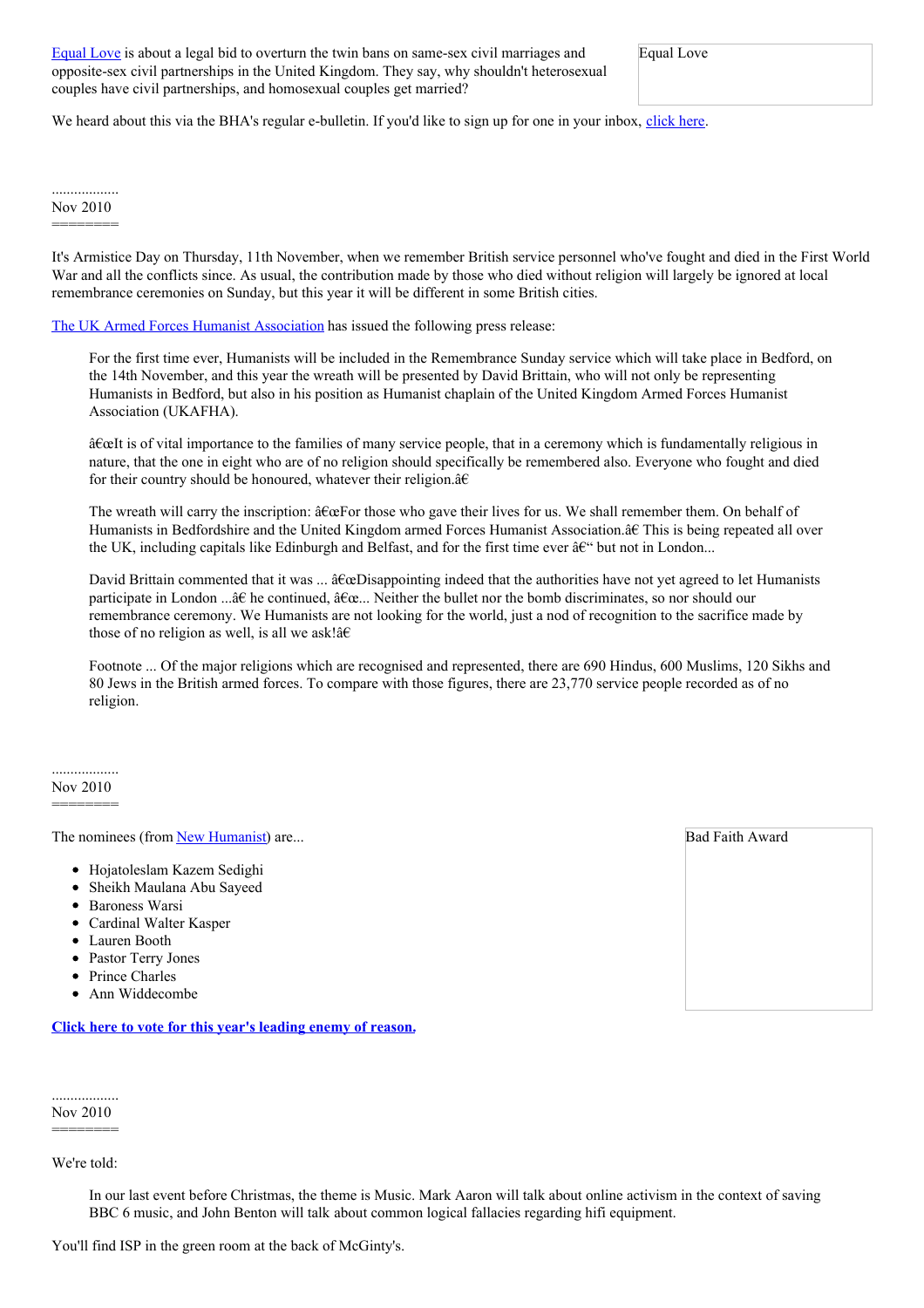[Equal](http://equallove.org.uk/) Love is about a legal bid to overturn the twin bans on same-sex civil marriages and opposite-sex civil partnerships in the United Kingdom. They say, why shouldn't heterosexual couples have civil partnerships, and homosexual couples get married?

Bad Faith Award

We heard about this via the BHA's regular e-bulletin. If you'd like to sign up for one in your inbox, [click](https://www.humanism.org.uk/register) here.

#### .................. Nov 2010

========

It's Armistice Day on Thursday, 11th November, when we remember British service personnel who've fought and died in the First World War and all the conflicts since. As usual, the contribution made by those who died without religion will largely be ignored at local remembrance ceremonies on Sunday, but this year it will be different in some British cities.

The UK Armed Forces Humanist [Association](http://www.armedforceshumanists.org.uk/index.html) has issued the following press release:

For the first time ever, Humanists will be included in the Remembrance Sunday service which will take place in Bedford, on the 14th November, and this year the wreath will be presented by David Brittain, who will not only be representing Humanists in Bedford, but also in his position as Humanist chaplain of the United Kingdom Armed Forces Humanist Association (UKAFHA).

 $\hat{\mathbf{a}}\in\mathbb{C}$  at is of vital importance to the families of many service people, that in a ceremony which is fundamentally religious in nature, that the one in eight who are of no religion should specifically be remembered also. Everyone who fought and died for their country should be honoured, whatever their religion.â€

The wreath will carry the inscription:  $\hat{a}\epsilon \alpha$  For those who gave their lives for us. We shall remember them. On behalf of Humanists in Bedfordshire and the United Kingdom armed Forces Humanist Association.â€ This is being repeated all over the UK, including capitals like Edinburgh and Belfast, and for the first time ever  $\hat{a}\hat{\epsilon}^{\prime\prime}$  but not in London...

David Brittain commented that it was  $\ldots$   $\hat{a} \in \mathbb{C}$  Disappointing indeed that the authorities have not vet agreed to let Humanists participate in London ...†he continued, "... Neither the bullet nor the bomb discriminates, so nor should our remembrance ceremony. We Humanists are not looking for the world, just a nod of recognition to the sacrifice made by those of no religion as well, is all we ask! $â€$ 

Footnote ... Of the major religions which are recognised and represented, there are 690 Hindus, 600 Muslims, 120 Sikhs and 80 Jews in the British armed forces. To compare with those figures, there are 23,770 service people recorded as of no religion.

.................. Nov 2010 ========

The nominees (from New [Humanist](http://newhumanist.org.uk/)) are...

- Hojatoleslam Kazem Sedighi
- Sheikh Maulana Abu Sayeed
- Baroness Warsi
- Cardinal Walter Kasper
- Lauren Booth
- Pastor Terry Jones
- Prince Charles
- Ann Widdecombe

**Click here to vote for this year's [leading](http://blog.newhumanist.org.uk/2010/11/bad-faith-awards-2010-vote-for-this.html) enemy of reason.**

Nov 2010

========

We're told:

In our last event before Christmas, the theme is Music. Mark Aaron will talk about online activism in the context of saving BBC 6 music, and John Benton will talk about common logical fallacies regarding hifi equipment.

You'll find ISP in the green room at the back of McGinty's.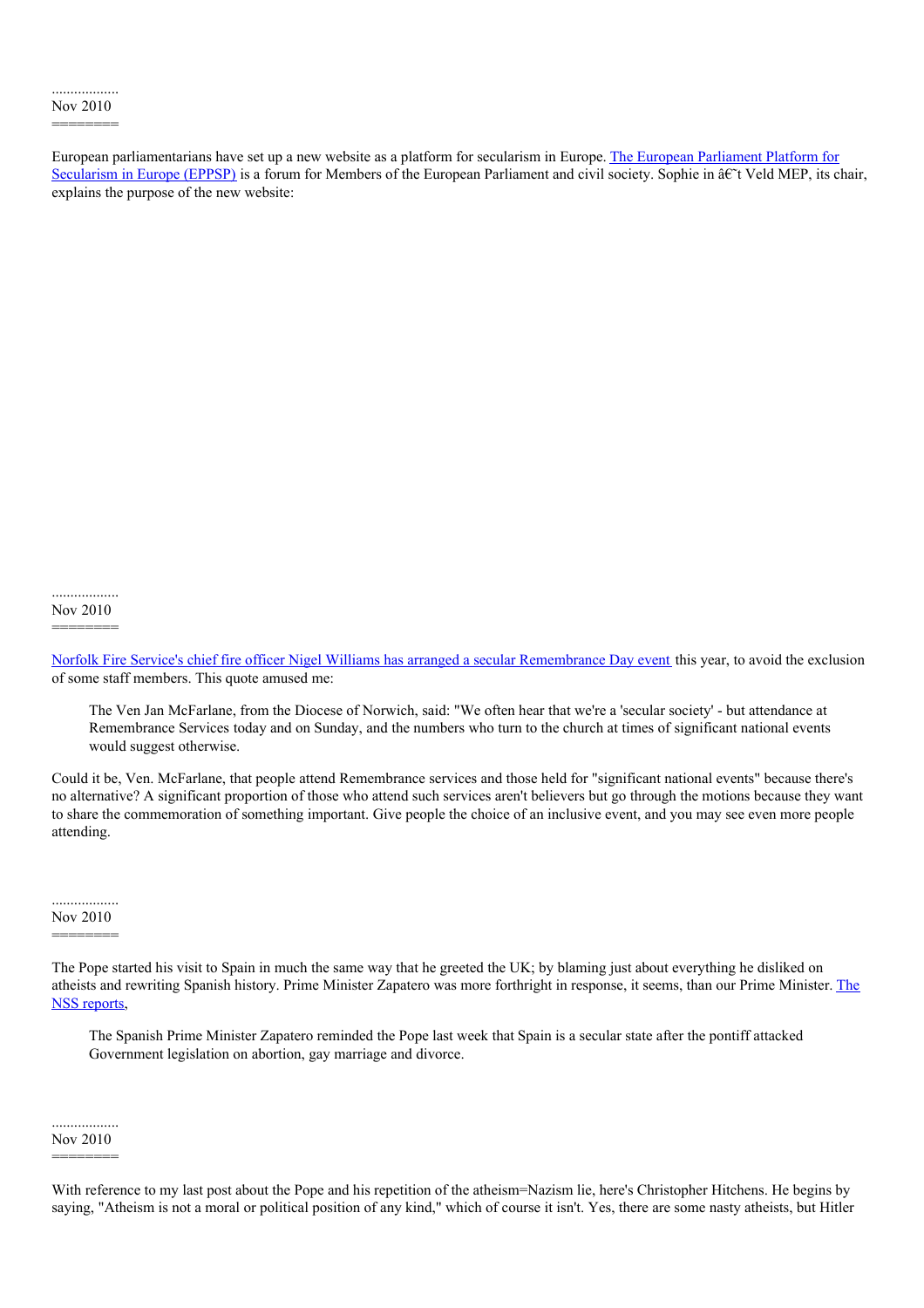#### .................. Nov 2010

========

European [parliamentarians](http://politicsreligion.eu/) have set up a new website as a platform for secularism in Europe. The European Parliament Platform for Secularism in Europe (EPPSP) is a forum for Members of the European Parliament and civil society. Sophie in  $\hat{a}\epsilon^+$ t Veld MEP, its chair, explains the purpose of the new website:

.................. Nov 2010 ========

Norfolk Fire Service's chief fire officer Nigel Williams has arranged a secular [Remembrance](http://www.bbc.co.uk/news/uk-england-norfolk-11733374) Day event this year, to avoid the exclusion of some staff members. This quote amused me:

The Ven Jan McFarlane, from the Diocese of Norwich, said: "We often hear that we're a 'secular society' - but attendance at Remembrance Services today and on Sunday, and the numbers who turn to the church at times of significant national events would suggest otherwise.

Could it be, Ven. McFarlane, that people attend Remembrance services and those held for "significant national events" because there's no alternative? A significant proportion of those who attend such services aren't believers but go through the motions because they want to share the commemoration of something important. Give people the choice of an inclusive event, and you may see even more people attending.

.................. Nov 2010

========

The Pope started his visit to Spain in much the same way that he greeted the UK; by blaming just about everything he disliked on atheists and rewriting Spanish history. Prime Minister Zapatero was more [forthright](http://www.secularism.org.uk/zapatero-tells-pope-spain-is-sec.html) in response, it seems, than our Prime Minister. The NSS reports,

The Spanish Prime Minister Zapatero reminded the Pope last week that Spain is a secular state after the pontiff attacked Government legislation on abortion, gay marriage and divorce.

.................. Nov 2010

========

With reference to my last post about the Pope and his repetition of the atheism=Nazism lie, here's Christopher Hitchens. He begins by saying, "Atheism is not a moral or political position of any kind," which of course it isn't. Yes, there are some nasty atheists, but Hitler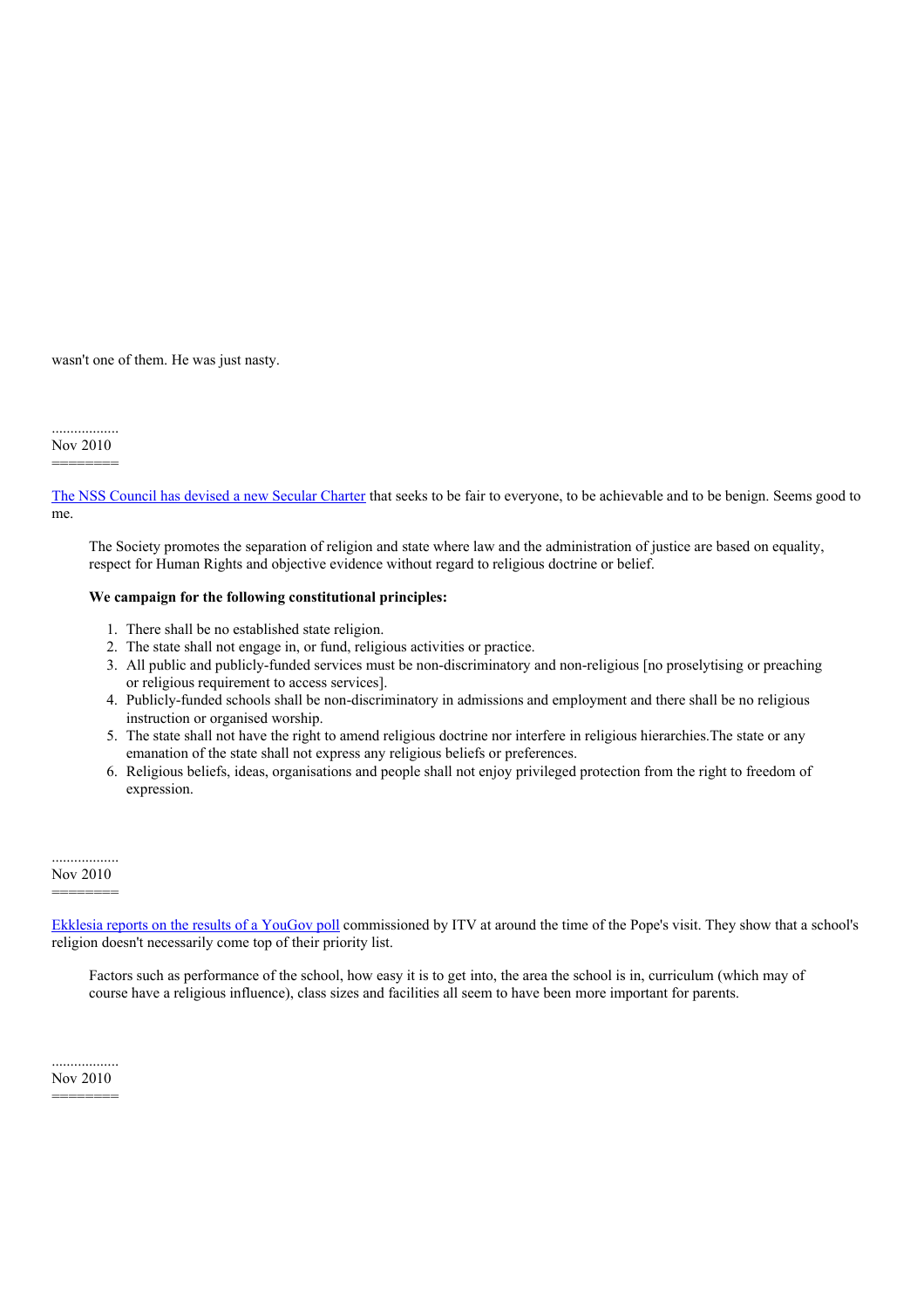wasn't one of them. He was just nasty.

#### .................. Nov 2010

# ========

The NSS [Council](http://www.secularism.org.uk/presidents-message-from-the-2010.html) has devised a new Secular Charter that seeks to be fair to everyone, to be achievable and to be benign. Seems good to me.

The Society promotes the separation of religion and state where law and the administration of justice are based on equality, respect for Human Rights and objective evidence without regard to religious doctrine or belief.

### **We campaign for the following constitutional principles:**

- 1. There shall be no established state religion.
- 2. The state shall not engage in, or fund, religious activities or practice.
- 3. All public and publicly-funded services must be non-discriminatory and non-religious [no proselytising or preaching or religious requirement to access services].
- 4. Publicly-funded schools shall be non-discriminatory in admissions and employment and there shall be no religious instruction or organised worship.
- 5. The state shall not have the right to amend religious doctrine nor interfere in religious hierarchies.The state or any emanation of the state shall not express any religious beliefs or preferences.
- 6. Religious beliefs, ideas, organisations and people shall not enjoy privileged protection from the right to freedom of expression.

#### .................. Nov 2010

# ========

Ekklesia reports on the results of a [YouGov](http://www.ekklesia.co.uk/node/13583) poll commissioned by ITV at around the time of the Pope's visit. They show that a school's religion doesn't necessarily come top of their priority list.

Factors such as performance of the school, how easy it is to get into, the area the school is in, curriculum (which may of course have a religious influence), class sizes and facilities all seem to have been more important for parents.

.................. Nov 2010

========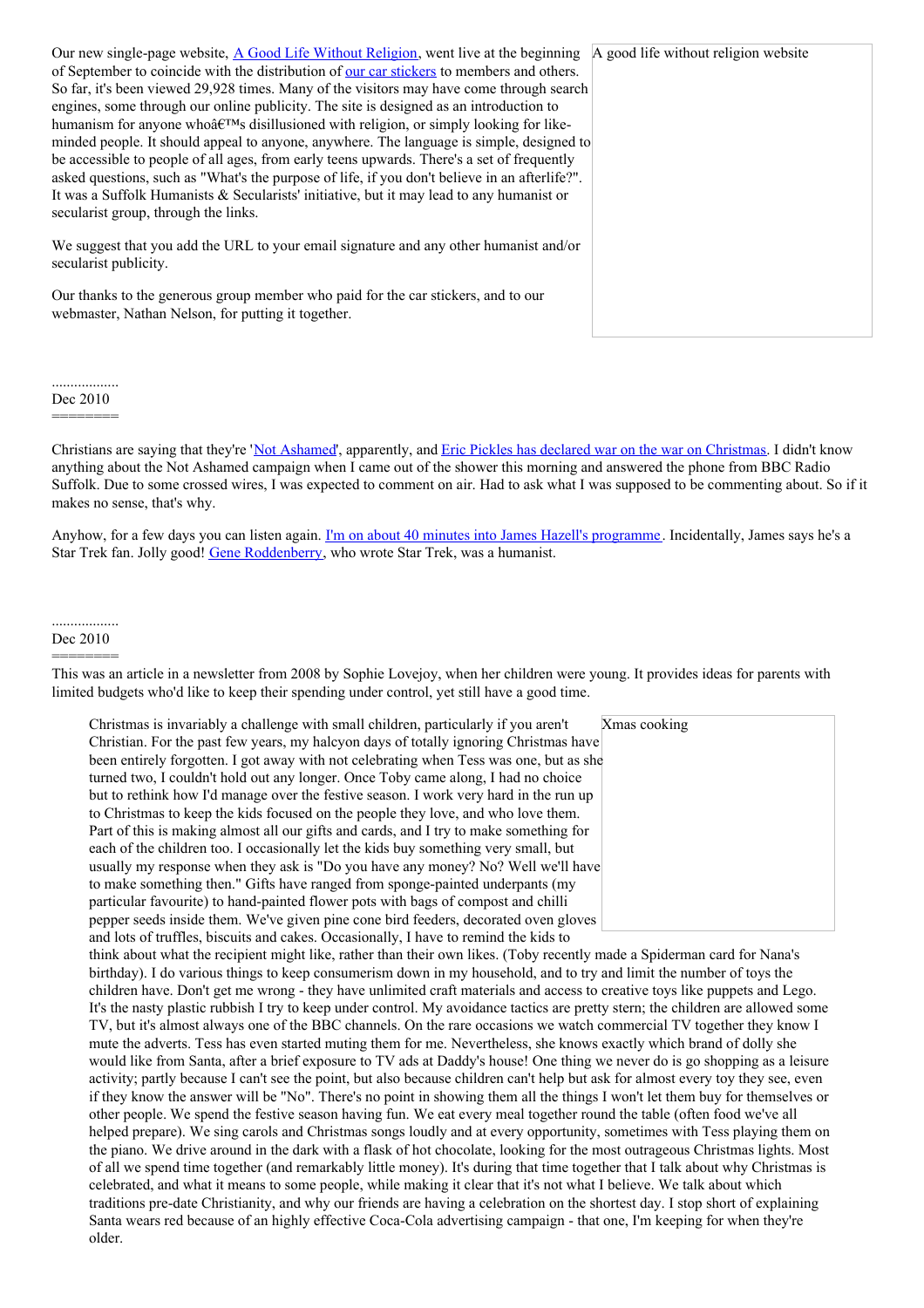Our new single-page website, A Good Life Without [Religion](http://www.agoodlifewithoutreligion.com/), went live at the beginning A good life without religion website of September to coincide with the distribution of our car [stickers](http://www.suffolkhands.org.uk/node/1233) to members and others. So far, it's been viewed 29,928 times. Many of the visitors may have come through search engines, some through our online publicity. The site is designed as an introduction to humanism for anyone who $\hat{a} \in T^{M}$ s disillusioned with religion, or simply looking for likeminded people. It should appeal to anyone, anywhere. The language is simple, designed to be accessible to people of all ages, from early teens upwards. There's a set of frequently asked questions, such as "What's the purpose of life, if you don't believe in an afterlife?". It was a Suffolk Humanists & Secularists' initiative, but it may lead to any humanist or secularist group, through the links. We suggest that you add the URL to your email signature and any other humanist and/or secularist publicity.

Our thanks to the generous group member who paid for the car stickers, and to our webmaster, Nathan Nelson, for putting it together.

.................. Dec 2010

========

Christians are saying that they're 'Not [Ashamed](http://www.humanism.org.uk/news/view/710)', apparently, and Eric Pickles has declared war on the war on [Christmas](http://www.humanistlife.org.uk/2010/12/eric-pickles-hasnt-ended-the-war-on-christmas-hes-started-it/). I didn't know anything about the Not Ashamed campaign when I came out of the shower this morning and answered the phone from BBC Radio Suffolk. Due to some crossed wires, I was expected to comment on air. Had to ask what I was supposed to be commenting about. So if it makes no sense, that's why.

Anyhow, for a few days you can listen again. I'm on about 40 minutes into James Hazell's [programme](http://www.bbc.co.uk/iplayer/episode/p00cbtdm/James_Hazell_Show_Christian_beliefs_threatened/). Incidentally, James says he's a Star Trek fan. Jolly good! Gene [Roddenberry](http://www.suffolkhands.org.uk/node/924), who wrote Star Trek, was a humanist.

#### .................. Dec 2010 ========

This was an article in a newsletter from 2008 by Sophie Lovejoy, when her children were young. It provides ideas for parents with limited budgets who'd like to keep their spending under control, yet still have a good time.

Christmas is invariably a challenge with small children, particularly if you aren't Christian. For the past few years, my halcyon days of totally ignoring Christmas have been entirely forgotten. I got away with not celebrating when Tess was one, but as she turned two, I couldn't hold out any longer. Once Toby came along, I had no choice but to rethink how I'd manage over the festive season. I work very hard in the run up to Christmas to keep the kids focused on the people they love, and who love them. Part of this is making almost all our gifts and cards, and I try to make something for each of the children too. I occasionally let the kids buy something very small, but usually my response when they ask is "Do you have any money? No? Well we'll have to make something then." Gifts have ranged from sponge-painted underpants (my particular favourite) to hand-painted flower pots with bags of compost and chilli pepper seeds inside them. We've given pine cone bird feeders, decorated oven gloves and lots of truffles, biscuits and cakes. Occasionally, I have to remind the kids to

| Xmas cooking |  |  |
|--------------|--|--|
|              |  |  |
|              |  |  |
|              |  |  |
|              |  |  |
|              |  |  |
|              |  |  |

think about what the recipient might like, rather than their own likes. (Toby recently made a Spiderman card for Nana's birthday). I do various things to keep consumerism down in my household, and to try and limit the number of toys the children have. Don't get me wrong - they have unlimited craft materials and access to creative toys like puppets and Lego. It's the nasty plastic rubbish I try to keep under control. My avoidance tactics are pretty stern; the children are allowed some TV, but it's almost always one of the BBC channels. On the rare occasions we watch commercial TV together they know I mute the adverts. Tess has even started muting them for me. Nevertheless, she knows exactly which brand of dolly she would like from Santa, after a brief exposure to TV ads at Daddy's house! One thing we never do is go shopping as a leisure activity; partly because I can't see the point, but also because children can't help but ask for almost every toy they see, even if they know the answer will be "No". There's no point in showing them all the things I won't let them buy for themselves or other people. We spend the festive season having fun. We eat every meal together round the table (often food we've all helped prepare). We sing carols and Christmas songs loudly and at every opportunity, sometimes with Tess playing them on the piano. We drive around in the dark with a flask of hot chocolate, looking for the most outrageous Christmas lights. Most of all we spend time together (and remarkably little money). It's during that time together that I talk about why Christmas is celebrated, and what it means to some people, while making it clear that it's not what I believe. We talk about which traditions pre-date Christianity, and why our friends are having a celebration on the shortest day. I stop short of explaining Santa wears red because of an highly effective Coca-Cola advertising campaign - that one, I'm keeping for when they're older.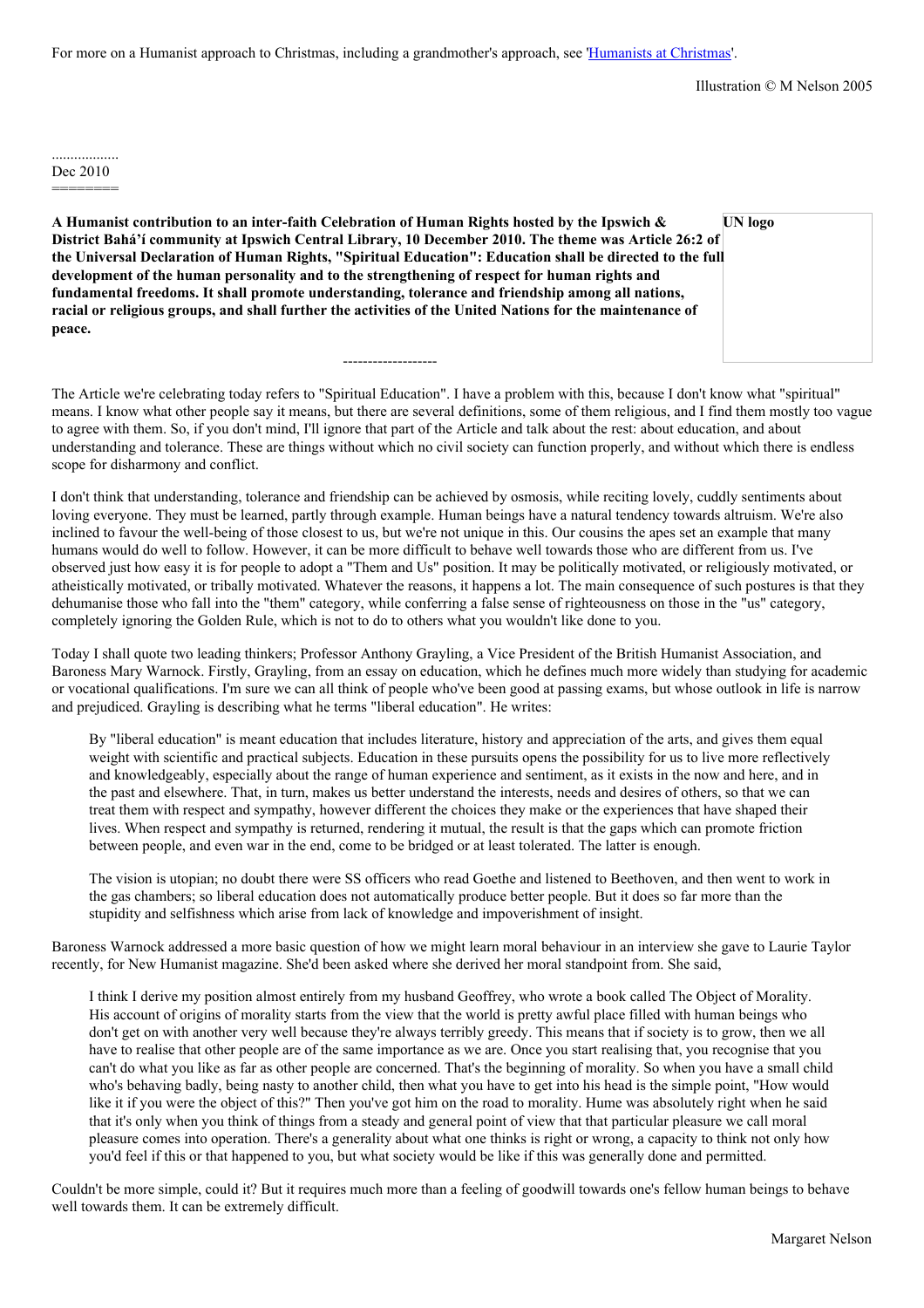For more on a Humanist approach to Christmas, including a grandmother's approach, see '[Humanists](http://suffolkhands.org.uk/christmas/) at Christmas'.

.................. Dec 2010

========

**A Humanist contribution to an inter-faith Celebration of Human Rights hosted by the Ipswich & District Bahá'í community at Ipswich Central Library, 10 December 2010. The theme was Article 26:2 of the Universal Declaration of Human Rights, "Spiritual Education": Education shall be directed to the full development of the human personality and to the strengthening of respect for human rights and fundamental freedoms. It shall promote understanding, tolerance and friendship among all nations, racial or religious groups, and shall further the activities of the United Nations for the maintenance of peace.**

-------------------

**UN logo**

The Article we're celebrating today refers to "Spiritual Education". I have a problem with this, because I don't know what "spiritual" means. I know what other people say it means, but there are several definitions, some of them religious, and I find them mostly too vague to agree with them. So, if you don't mind, I'll ignore that part of the Article and talk about the rest: about education, and about understanding and tolerance. These are things without which no civil society can function properly, and without which there is endless scope for disharmony and conflict.

I don't think that understanding, tolerance and friendship can be achieved by osmosis, while reciting lovely, cuddly sentiments about loving everyone. They must be learned, partly through example. Human beings have a natural tendency towards altruism. We're also inclined to favour the well-being of those closest to us, but we're not unique in this. Our cousins the apes set an example that many humans would do well to follow. However, it can be more difficult to behave well towards those who are different from us. I've observed just how easy it is for people to adopt a "Them and Us" position. It may be politically motivated, or religiously motivated, or atheistically motivated, or tribally motivated. Whatever the reasons, it happens a lot. The main consequence of such postures is that they dehumanise those who fall into the "them" category, while conferring a false sense of righteousness on those in the "us" category, completely ignoring the Golden Rule, which is not to do to others what you wouldn't like done to you.

Today I shall quote two leading thinkers; Professor Anthony Grayling, a Vice President of the British Humanist Association, and Baroness Mary Warnock. Firstly, Grayling, from an essay on education, which he defines much more widely than studying for academic or vocational qualifications. I'm sure we can all think of people who've been good at passing exams, but whose outlook in life is narrow and prejudiced. Grayling is describing what he terms "liberal education". He writes:

By "liberal education" is meant education that includes literature, history and appreciation of the arts, and gives them equal weight with scientific and practical subjects. Education in these pursuits opens the possibility for us to live more reflectively and knowledgeably, especially about the range of human experience and sentiment, as it exists in the now and here, and in the past and elsewhere. That, in turn, makes us better understand the interests, needs and desires of others, so that we can treat them with respect and sympathy, however different the choices they make or the experiences that have shaped their lives. When respect and sympathy is returned, rendering it mutual, the result is that the gaps which can promote friction between people, and even war in the end, come to be bridged or at least tolerated. The latter is enough.

The vision is utopian; no doubt there were SS officers who read Goethe and listened to Beethoven, and then went to work in the gas chambers; so liberal education does not automatically produce better people. But it does so far more than the stupidity and selfishness which arise from lack of knowledge and impoverishment of insight.

Baroness Warnock addressed a more basic question of how we might learn moral behaviour in an interview she gave to Laurie Taylor recently, for New Humanist magazine. She'd been asked where she derived her moral standpoint from. She said,

I think I derive my position almost entirely from my husband Geoffrey, who wrote a book called The Object of Morality. His account of origins of morality starts from the view that the world is pretty awful place filled with human beings who don't get on with another very well because they're always terribly greedy. This means that if society is to grow, then we all have to realise that other people are of the same importance as we are. Once you start realising that, you recognise that you can't do what you like as far as other people are concerned. That's the beginning of morality. So when you have a small child who's behaving badly, being nasty to another child, then what you have to get into his head is the simple point, "How would like it if you were the object of this?" Then you've got him on the road to morality. Hume was absolutely right when he said that it's only when you think of things from a steady and general point of view that that particular pleasure we call moral pleasure comes into operation. There's a generality about what one thinks is right or wrong, a capacity to think not only how you'd feel if this or that happened to you, but what society would be like if this was generally done and permitted.

Couldn't be more simple, could it? But it requires much more than a feeling of goodwill towards one's fellow human beings to behave well towards them. It can be extremely difficult.